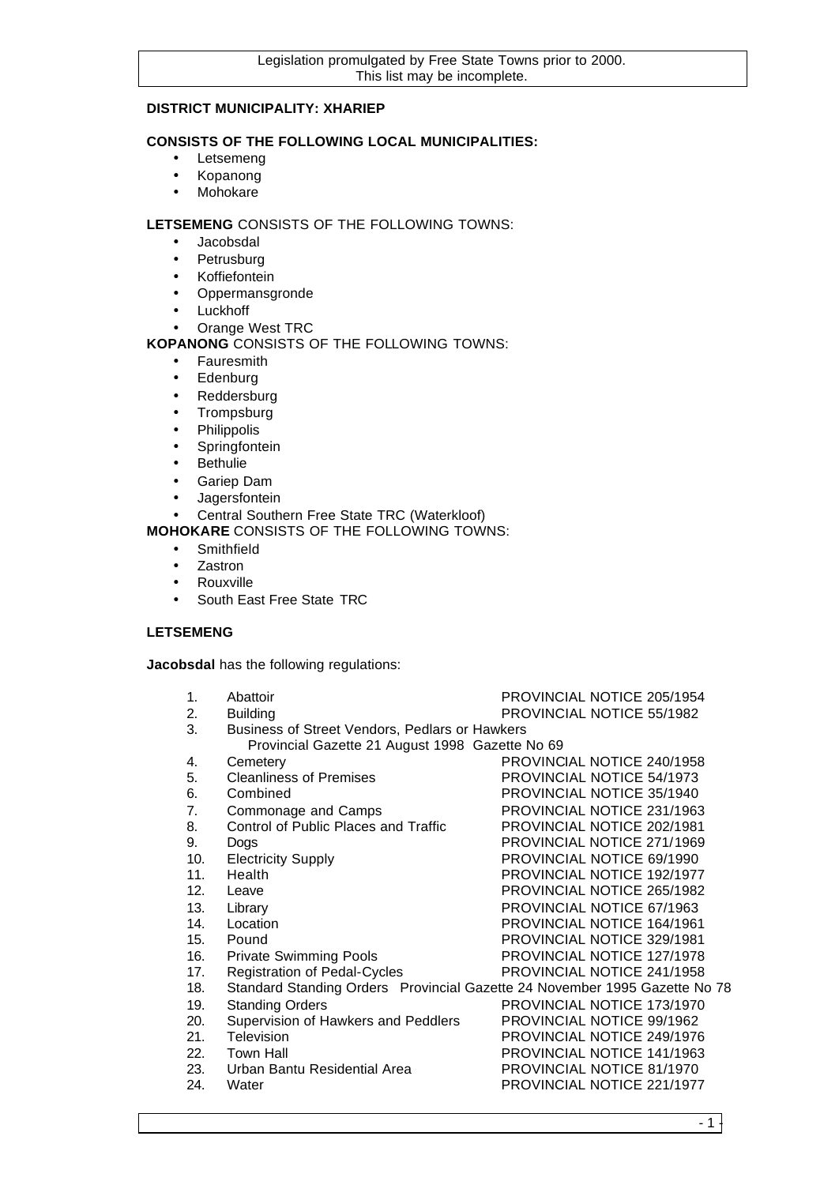## **DISTRICT MUNICIPALITY: XHARIEP**

## **CONSISTS OF THE FOLLOWING LOCAL MUNICIPALITIES:**

- Letsemeng
- Kopanong
- Mohokare

## **LETSEMENG** CONSISTS OF THE FOLLOWING TOWNS:

- Jacobsdal
- Petrusburg
- Koffiefontein
- Oppermansgronde
- Luckhoff
- Orange West TRC

## **KOPANONG** CONSISTS OF THE FOLLOWING TOWNS:

- Fauresmith
- Edenburg
- Reddersburg
- Trompsburg
- Philippolis
- Springfontein
- Bethulie
- Gariep Dam
- Jagersfontein
- Central Southern Free State TRC (Waterkloof)

**MOHOKARE** CONSISTS OF THE FOLLOWING TOWNS:

- Smithfield
- Zastron
- Rouxville
- South East Free State TRC

## **LETSEMENG**

**Jacobsdal** has the following regulations:

| $\mathbf{1}$ . | Abattoir                                                                   | PROVINCIAL NOTICE 205/1954 |
|----------------|----------------------------------------------------------------------------|----------------------------|
| 2.             | <b>Building</b>                                                            | PROVINCIAL NOTICE 55/1982  |
| 3.             | Business of Street Vendors, Pedlars or Hawkers                             |                            |
|                | Provincial Gazette 21 August 1998 Gazette No 69                            |                            |
| 4.             | Cemetery                                                                   | PROVINCIAL NOTICE 240/1958 |
| 5.             | <b>Cleanliness of Premises</b>                                             | PROVINCIAL NOTICE 54/1973  |
| 6.             | Combined                                                                   | PROVINCIAL NOTICE 35/1940  |
| 7.             | Commonage and Camps                                                        | PROVINCIAL NOTICE 231/1963 |
| 8.             | Control of Public Places and Traffic                                       | PROVINCIAL NOTICE 202/1981 |
| 9.             | Dogs                                                                       | PROVINCIAL NOTICE 271/1969 |
| 10.            | <b>Electricity Supply</b>                                                  | PROVINCIAL NOTICE 69/1990  |
| 11.            | Health                                                                     | PROVINCIAL NOTICE 192/1977 |
| 12.            | Leave                                                                      | PROVINCIAL NOTICE 265/1982 |
| 13.            | Library                                                                    | PROVINCIAL NOTICE 67/1963  |
| 14.            | Location                                                                   | PROVINCIAL NOTICE 164/1961 |
| 15.            | Pound                                                                      | PROVINCIAL NOTICE 329/1981 |
| 16.            | <b>Private Swimming Pools</b>                                              | PROVINCIAL NOTICE 127/1978 |
| 17.            | <b>Registration of Pedal-Cycles</b>                                        | PROVINCIAL NOTICE 241/1958 |
| 18.            | Standard Standing Orders Provincial Gazette 24 November 1995 Gazette No 78 |                            |
| 19.            | <b>Standing Orders</b>                                                     | PROVINCIAL NOTICE 173/1970 |
| 20.            | Supervision of Hawkers and Peddlers                                        | PROVINCIAL NOTICE 99/1962  |
| 21.            | Television                                                                 | PROVINCIAL NOTICE 249/1976 |
| 22.            | <b>Town Hall</b>                                                           | PROVINCIAL NOTICE 141/1963 |
| 23.            | Urban Bantu Residential Area                                               | PROVINCIAL NOTICE 81/1970  |
| 24.            | Water                                                                      | PROVINCIAL NOTICE 221/1977 |
|                |                                                                            |                            |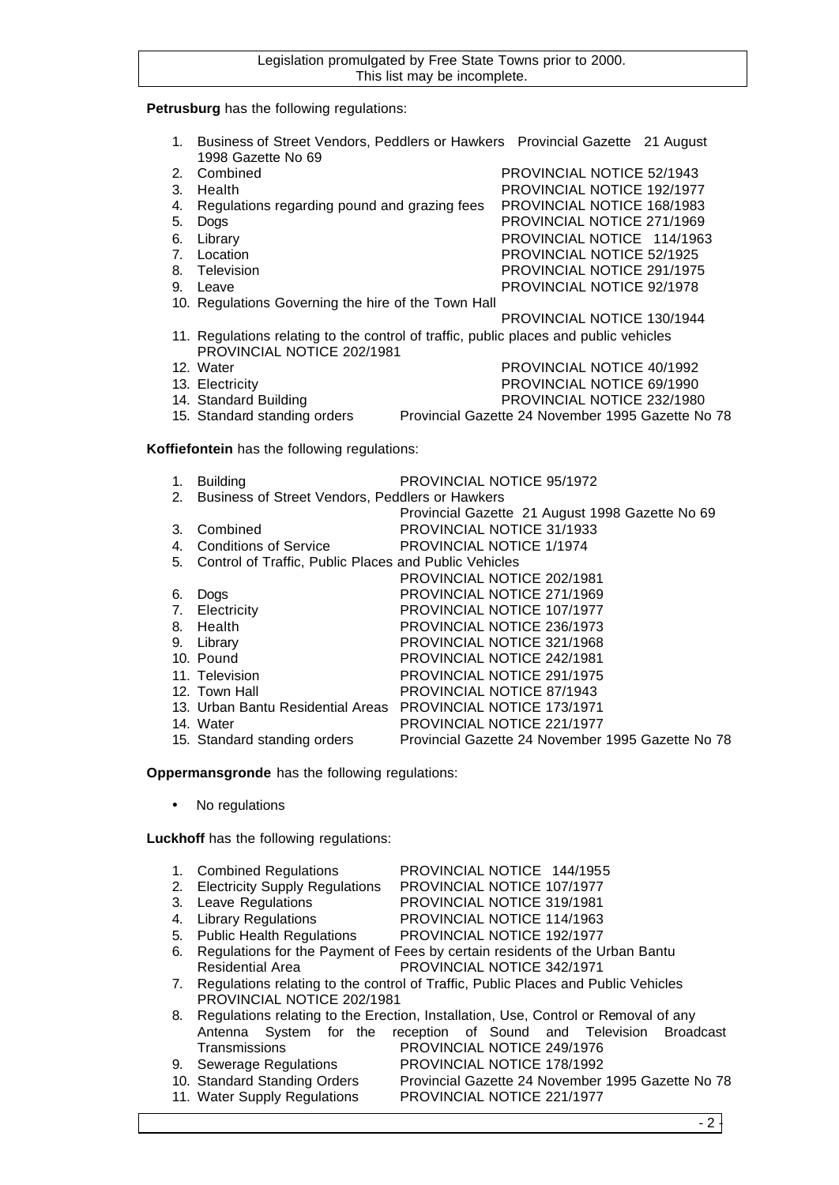#### **Petrusburg** has the following regulations:

- 1. Business of Street Vendors, Peddlers or Hawkers Provincial Gazette 21 August 1998 Gazette No 69
- 2. Combined PROVINCIAL NOTICE 52/1943
- 3. Health PROVINCIAL NOTICE 192/1977
- 4. Regulations regarding pound and grazing fees PROVINCIAL NOTICE 168/1983
- 5. Dogs PROVINCIAL NOTICE 271/1969
- 6. Library **Example 20 and SET Allen STAGE 114/1963** PROVINCIAL NOTICE 114/1963
- 
- 7. Location PROVINCIAL NOTICE 52/1925
- 9. Leave PROVINCIAL NOTICE 92/1978
	-
- 10. Regulations Governing the hire of the Town Hall PROVINCIAL NOTICE 130/1944
- 11. Regulations relating to the control of traffic, public places and public vehicles PROVINCIAL NOTICE 202/1981
- 12. Water PROVINCIAL NOTICE 40/1992
- 13. Electricity PROVINCIAL NOTICE 69/1990
- 14. Standard Building PROVINCIAL NOTICE 232/1980
- 15. Standard standing orders Provincial Gazette 24 November 1995 Gazette No 78

## **Koffiefontein** has the following regulations:

1. Building PROVINCIAL NOTICE 95/1972 2. Business of Street Vendors, Peddlers or Hawkers Provincial Gazette 21 August 1998 Gazette No 69 3. Combined PROVINCIAL NOTICE 31/1933 4. Conditions of Service PROVINCIAL NOTICE 1/1974 5. Control of Traffic, Public Places and Public Vehicles PROVINCIAL NOTICE 202/1981 6. Dogs PROVINCIAL NOTICE 271/1969 7. Electricity PROVINCIAL NOTICE 107/1977 8. Health PROVINCIAL NOTICE 236/1973 9. Library PROVINCIAL NOTICE 321/1968 10. Pound PROVINCIAL NOTICE 242/1981 11. Television PROVINCIAL NOTICE 291/1975 12. Town Hall **PROVINCIAL NOTICE 87/1943** 13. Urban Bantu Residential Areas PROVINCIAL NOTICE 173/1971 14. Water PROVINCIAL NOTICE 221/1977 15. Standard standing orders Provincial Gazette 24 November 1995 Gazette No 78

**Oppermansgronde** has the following regulations:

• No regulations

**Luckhoff** has the following regulations:

|    | 1. Combined Regulations           | PROVINCIAL NOTICE 144/1955                                                            |
|----|-----------------------------------|---------------------------------------------------------------------------------------|
|    | 2. Electricity Supply Regulations | PROVINCIAL NOTICE 107/1977                                                            |
|    | 3. Leave Regulations              | <b>PROVINCIAL NOTICE 319/1981</b>                                                     |
| 4. | <b>Library Regulations</b>        | PROVINCIAL NOTICE 114/1963                                                            |
|    | 5. Public Health Regulations      | PROVINCIAL NOTICE 192/1977                                                            |
| 6. |                                   | Regulations for the Payment of Fees by certain residents of the Urban Bantu           |
|    | <b>Residential Area</b>           | PROVINCIAL NOTICE 342/1971                                                            |
|    |                                   | 7. Regulations relating to the control of Traffic, Public Places and Public Vehicles  |
|    | PROVINCIAL NOTICE 202/1981        |                                                                                       |
|    |                                   | 8. Regulations relating to the Erection, Installation, Use, Control or Removal of any |
|    |                                   | Antenna System for the reception of Sound and Television<br>Broadcast                 |
|    | Transmissions                     | PROVINCIAL NOTICE 249/1976                                                            |
|    | 9. Sewerage Regulations           | PROVINCIAL NOTICE 178/1992                                                            |
|    | 10. Standard Standing Orders      | Provincial Gazette 24 November 1995 Gazette No 78                                     |

11. Water Supply Regulations PROVINCIAL NOTICE 221/1977

PROVINCIAL NOTICE 291/1975

 $-2$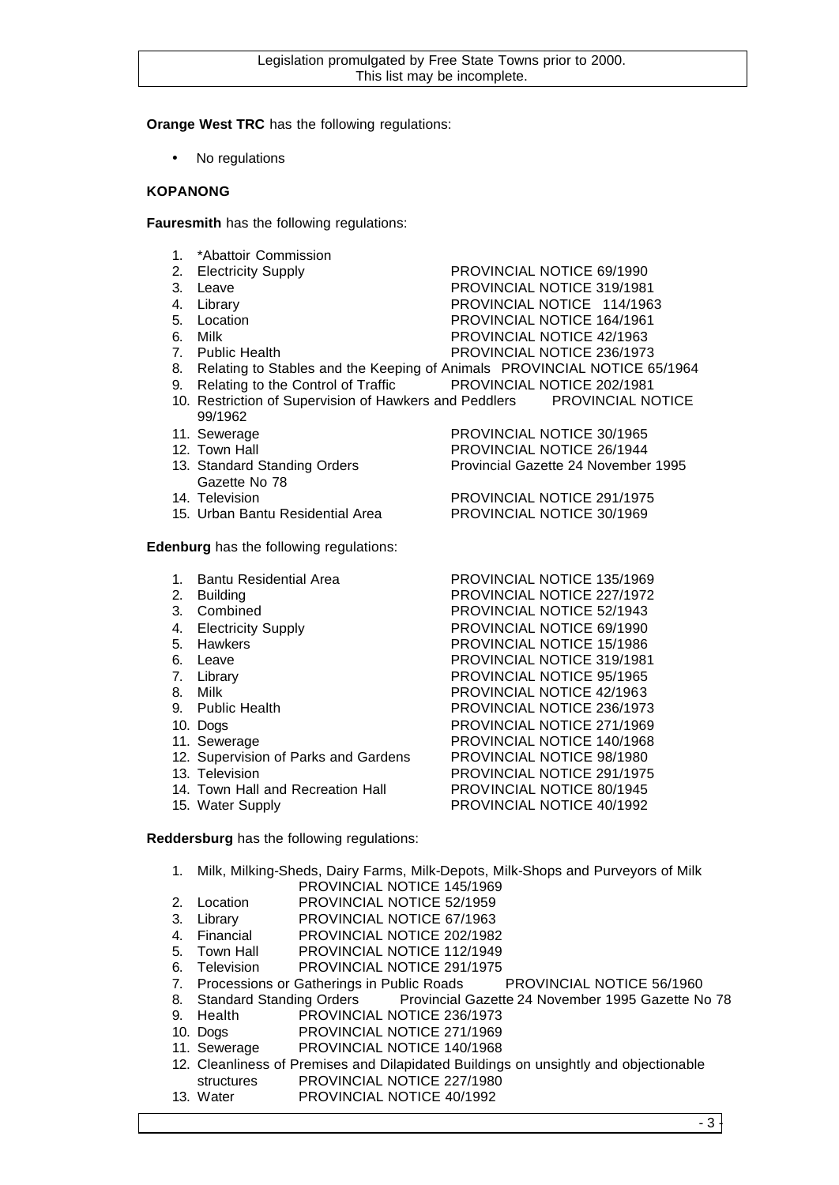**Orange West TRC** has the following regulations:

No regulations

## **KOPANONG**

**Fauresmith** has the following regulations:

1. \*Abattoir Commission

| <b>1. AVAILUIL VUITIITIISSIUIT</b>                                          |                                   |
|-----------------------------------------------------------------------------|-----------------------------------|
| 2. Electricity Supply                                                       | PROVINCIAL NOTICE 69/1990         |
| 3. Leave                                                                    | <b>PROVINCIAL NOTICE 319/1981</b> |
| 4. Library                                                                  | PROVINCIAL NOTICE 114/1963        |
| 5. Location                                                                 | <b>PROVINCIAL NOTICE 164/1961</b> |
| 6. Milk                                                                     | PROVINCIAL NOTICE 42/1963         |
| 7. Public Health                                                            | PROVINCIAL NOTICE 236/1973        |
| 8. Relating to Stables and the Keeping of Animals PROVINCIAL NOTICE 65/1964 |                                   |
| 9. Relating to the Control of Traffic PROVINCIAL NOTICE 202/1981            |                                   |
| 10. Restriction of Supervision of Hawkers and Peddlers PROVINCIAL NOTICE    |                                   |
| 99/1962                                                                     |                                   |
| 11. Sewerage                                                                | PROVINCIAL NOTICE 30/1965         |
| 12. Town Hall                                                               | PROVINCIAL NOTICE 26/1944         |
|                                                                             |                                   |

- 13. Standard Standing Orders Provincial Gazette 24 November 1995 Gazette No 78
- 14. Television PROVINCIAL NOTICE 291/1975
- 15. Urban Bantu Residential Area PROVINCIAL NOTICE 30/1969

**Edenburg** has the following regulations:

- 1. Bantu Residential Area PROVINCIAL NOTICE 135/1969
- 2. Building **PROVINCIAL NOTICE 227/1972**
- 3. Combined PROVINCIAL NOTICE 52/1943
- 
- 
- 
- 
- 
- 
- 
- 
- 12. Supervision of Parks and Gardens PROVINCIAL NOTICE 98/1980
- 
- 14. Town Hall and Recreation Hall PROVINCIAL NOTICE 80/1945
- 

4. Electricity Supply PROVINCIAL NOTICE 69/1990 5. Hawkers PROVINCIAL NOTICE 15/1986 6. Leave PROVINCIAL NOTICE 319/1981 7. Library PROVINCIAL NOTICE 95/1965 8. Milk **PROVINCIAL NOTICE 42/1963** 9. Public Health PROVINCIAL NOTICE 236/1973 10. Dogs PROVINCIAL NOTICE 271/1969 11. Sewerage **PROVINCIAL NOTICE 140/1968** 13. Television PROVINCIAL NOTICE 291/1975 15. Water Supply PROVINCIAL NOTICE 40/1992

**Reddersburg** has the following regulations:

- 1. Milk, Milking-Sheds, Dairy Farms, Milk-Depots, Milk-Shops and Purveyors of Milk PROVINCIAL NOTICE 145/1969
- 2. Location PROVINCIAL NOTICE 52/1959
- 3. Library PROVINCIAL NOTICE 67/1963
- 4. Financial PROVINCIAL NOTICE 202/1982
- 5. Town Hall PROVINCIAL NOTICE 112/1949
- 6. Television PROVINCIAL NOTICE 291/1975
- 7. Processions or Gatherings in Public Roads PROVINCIAL NOTICE 56/1960
- 8. Standard Standing Orders Provincial Gazette 24 November 1995 Gazette No 78
- 9. Health PROVINCIAL NOTICE 236/1973
- 10. Dogs PROVINCIAL NOTICE 271/1969
- 11. Sewerage PROVINCIAL NOTICE 140/1968
- 12. Cleanliness of Premises and Dilapidated Buildings on unsightly and objectionable structures PROVINCIAL NOTICE 227/1980
- 13. Water PROVINCIAL NOTICE 40/1992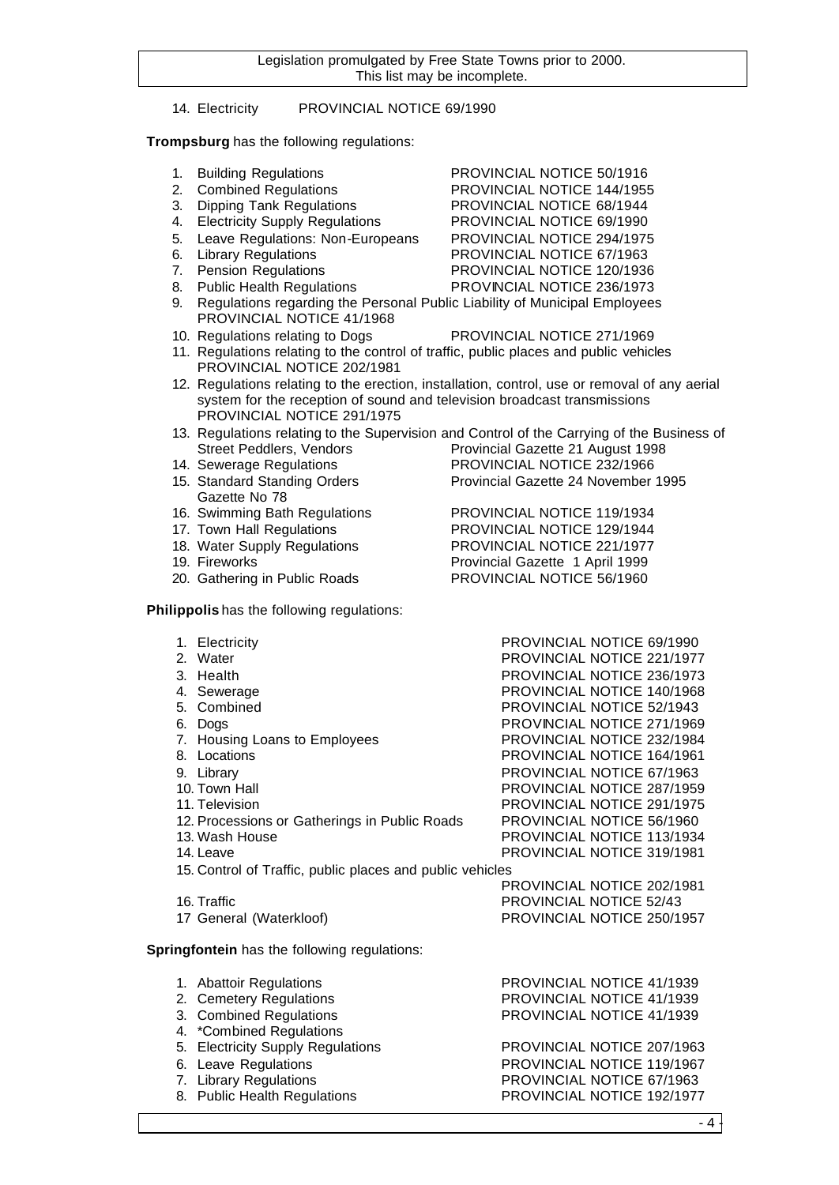## 14. Electricity PROVINCIAL NOTICE 69/1990

## **Trompsburg** has the following regulations:

- 
- 1. Building Regulations **PROVINCIAL NOTICE 50/1916**<br>2. Combined Regulations **PROVINCIAL NOTICE 144/195**
- 3. Dipping Tank Regulations PROVINCIAL NOTICE 68/1944
- 4. Electricity Supply Regulations PROVINCIAL NOTICE 69/1990
- 5. Leave Regulations: Non-Europeans PROVINCIAL NOTICE 294/1975<br>6. Library Regulations PROVINCIAL NOTICE 67/1963
- 
- 7. Pension Regulations **PROVINCIAL NOTICE 120/1936**
- 8. Public Health Regulations PROVINCIAL NOTICE 236/1973
- 9. Regulations regarding the Personal Public Liability of Municipal Employees PROVINCIAL NOTICE 41/1968
- 10. Regulations relating to Dogs PROVINCIAL NOTICE 271/1969
	-

PROVINCIAL NOTICE 144/1955

PROVINCIAL NOTICE 67/1963

- 11. Regulations relating to the control of traffic, public places and public vehicles PROVINCIAL NOTICE 202/1981
- 12. Regulations relating to the erection, installation, control, use or removal of any aerial system for the reception of sound and television broadcast transmissions PROVINCIAL NOTICE 291/1975
- 13. Regulations relating to the Supervision and Control of the Carrying of the Business of Street Peddlers, Vendors **Provincial Gazette 21 August 1998** 14. Sewerage Regulations PROVINCIAL NOTICE 232/1966
- 15. Standard Standing Orders Provincial Gazette 24 November 1995
- Gazette No 78
- 16. Swimming Bath Regulations PROVINCIAL NOTICE 119/1934
- 17. Town Hall Regulations **PROVINCIAL NOTICE 129/1944**
- 18. Water Supply Regulations PROVINCIAL NOTICE 221/1977
- 19. Fireworks Provincial Gazette 1 April 1999
- 20. Gathering in Public Roads PROVINCIAL NOTICE 56/1960

**Philippolis** has the following regulations:

- 1. Electricity PROVINCIAL NOTICE 69/1990 2. Water **PROVINCIAL NOTICE 221/1977** 3. Health PROVINCIAL NOTICE 236/1973 4. Sewerage PROVINCIAL NOTICE 140/1968 5. Combined PROVINCIAL NOTICE 52/1943 6. Dogs PROVINCIAL NOTICE 271/1969 7. Housing Loans to Employees PROVINCIAL NOTICE 232/1984<br>8. Locations PROVINCIAL NOTICE 164/1961 PROVINCIAL NOTICE 164/1961 9. Library PROVINCIAL NOTICE 67/1963<br>10. Town Hall 10. Town Hall 10. Town Hall PROVINCIAL NOTICE 287/1959 11. Television PROVINCIAL NOTICE 291/1975 12. Processions or Gatherings in Public Roads PROVINCIAL NOTICE 56/1960 13. Wash House PROVINCIAL NOTICE 113/1934 14. Leave PROVINCIAL NOTICE 319/1981 15. Control of Traffic, public places and public vehicles PROVINCIAL NOTICE 202/1981 16. Traffic **PROVINCIAL NOTICE 52/43** 17 General (Waterkloof) PROVINCIAL NOTICE 250/1957 **Springfontein** has the following regulations: 1. Abattoir Regulations PROVINCIAL NOTICE 41/1939 2. Cemetery Regulations PROVINCIAL NOTICE 41/1939
	-
	- 4. \*Combined Regulations
	- 5. Electricity Supply Regulations PROVINCIAL NOTICE 207/1963
	-
	-
	-

3. Combined Regulations PROVINCIAL NOTICE 41/1939

6. Leave Regulations **PROVINCIAL NOTICE 119/1967** 7. Library Regulations PROVINCIAL NOTICE 67/1963 8. Public Health Regulations **PROVINCIAL NOTICE 192/1977** 

 $-4$ .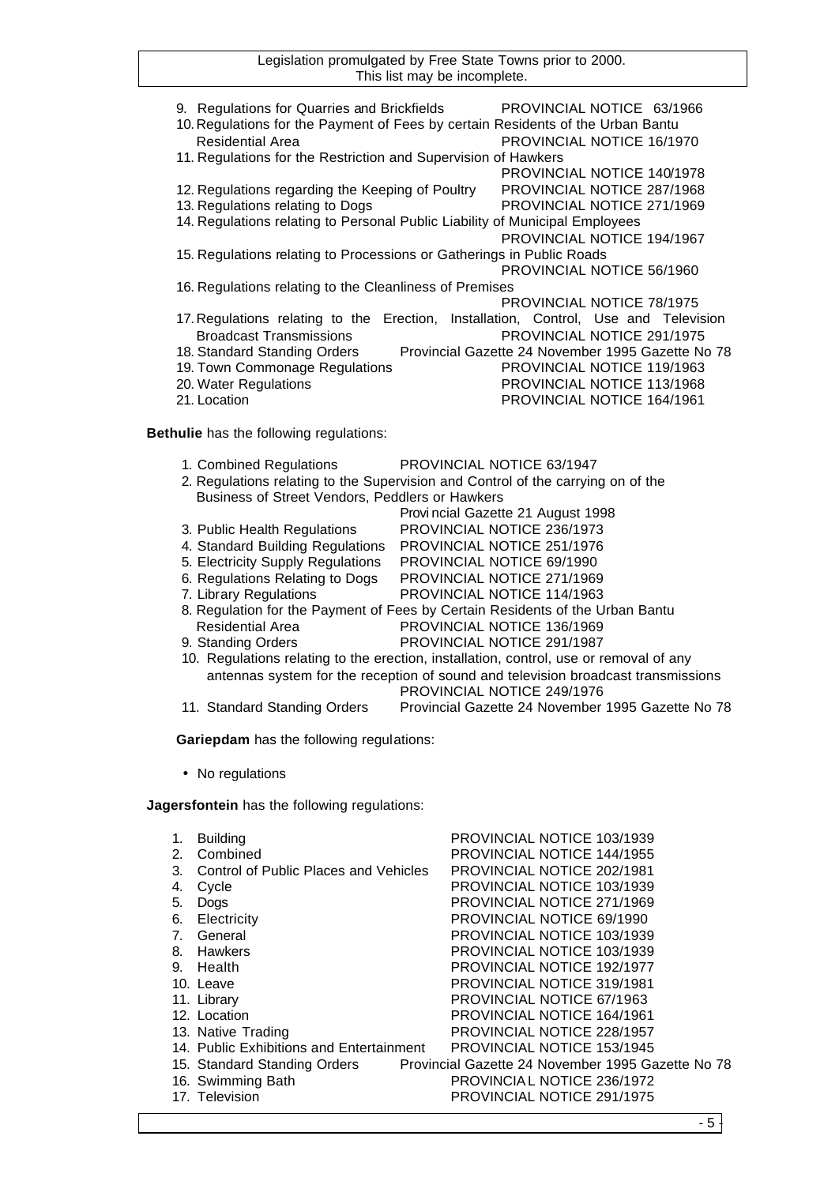| 9. Regulations for Quarries and Brickfields<br>10. Regulations for the Payment of Fees by certain Residents of the Urban Bantu<br><b>Residential Area</b>                                                                        |                           | PROVINCIAL NOTICE 63/1966<br>PROVINCIAL NOTICE 16/1970                                                                                                                                                 |  |
|----------------------------------------------------------------------------------------------------------------------------------------------------------------------------------------------------------------------------------|---------------------------|--------------------------------------------------------------------------------------------------------------------------------------------------------------------------------------------------------|--|
| 11. Regulations for the Restriction and Supervision of Hawkers                                                                                                                                                                   |                           | PROVINCIAL NOTICE 140/1978                                                                                                                                                                             |  |
| 12. Regulations regarding the Keeping of Poultry<br>13. Regulations relating to Dogs<br>14. Regulations relating to Personal Public Liability of Municipal Employees                                                             |                           | PROVINCIAL NOTICE 287/1968<br>PROVINCIAL NOTICE 271/1969<br>PROVINCIAL NOTICE 194/1967                                                                                                                 |  |
| 15. Regulations relating to Processions or Gatherings in Public Roads                                                                                                                                                            |                           | PROVINCIAL NOTICE 56/1960                                                                                                                                                                              |  |
| 16. Regulations relating to the Cleanliness of Premises                                                                                                                                                                          |                           |                                                                                                                                                                                                        |  |
| 17. Regulations relating to the Erection, Installation, Control, Use and Television<br><b>Broadcast Transmissions</b><br>18. Standard Standing Orders<br>19. Town Commonage Regulations<br>20. Water Regulations<br>21. Location |                           | PROVINCIAL NOTICE 78/1975<br>PROVINCIAL NOTICE 291/1975<br>Provincial Gazette 24 November 1995 Gazette No 78<br>PROVINCIAL NOTICE 119/1963<br>PROVINCIAL NOTICE 113/1968<br>PROVINCIAL NOTICE 164/1961 |  |
| Bethulie has the following regulations:                                                                                                                                                                                          |                           |                                                                                                                                                                                                        |  |
| 1. Combined Regulations<br>2. Regulations relating to the Supervision and Control of the carrying on of the<br>Business of Street Vendors, Peddlers or Hawkers                                                                   | PROVINCIAL NOTICE 63/1947 | Provi ncial Gazette 21 August 1998                                                                                                                                                                     |  |
| 3. Public Health Regulations                                                                                                                                                                                                     |                           | PROVINCIAL NOTICE 236/1973                                                                                                                                                                             |  |
| 4. Standard Building Regulations                                                                                                                                                                                                 |                           | PROVINCIAL NOTICE 251/1976                                                                                                                                                                             |  |
| 5. Electricity Supply Regulations<br>6. Regulations Relating to Dogs                                                                                                                                                             |                           | PROVINCIAL NOTICE 69/1990<br>PROVINCIAL NOTICE 271/1969                                                                                                                                                |  |
| 7. Library Regulations                                                                                                                                                                                                           |                           | PROVINCIAL NOTICE 114/1963                                                                                                                                                                             |  |
| 8. Regulation for the Payment of Fees by Certain Residents of the Urban Bantu                                                                                                                                                    |                           |                                                                                                                                                                                                        |  |
| <b>Residential Area</b>                                                                                                                                                                                                          |                           | PROVINCIAL NOTICE 136/1969                                                                                                                                                                             |  |
| 9. Standing Orders                                                                                                                                                                                                               |                           | PROVINCIAL NOTICE 291/1987                                                                                                                                                                             |  |
| 10. Regulations relating to the erection, installation, control, use or removal of any<br>antennas system for the reception of sound and television broadcast transmissions                                                      |                           | PROVINCIAL NOTICE 249/1976                                                                                                                                                                             |  |
| 11. Standard Standing Orders                                                                                                                                                                                                     |                           | Provincial Gazette 24 November 1995 Gazette No 78                                                                                                                                                      |  |
| Gariepdam has the following regulations:                                                                                                                                                                                         |                           |                                                                                                                                                                                                        |  |

• No regulations

**Jagersfontein** has the following regulations:

| 1.<br>2.<br>3.                 | <b>Building</b><br>Combined<br>Control of Public Places and Vehicles | PROVINCIAL NOTICE 103/1939<br>PROVINCIAL NOTICE 144/1955<br>PROVINCIAL NOTICE 202/1981 |
|--------------------------------|----------------------------------------------------------------------|----------------------------------------------------------------------------------------|
| 4.                             | Cycle                                                                | PROVINCIAL NOTICE 103/1939                                                             |
| 5.                             | Dogs                                                                 | PROVINCIAL NOTICE 271/1969                                                             |
| 6.                             | Electricity                                                          | PROVINCIAL NOTICE 69/1990                                                              |
| $7_{\scriptscriptstyle{\sim}}$ | General                                                              | PROVINCIAL NOTICE 103/1939                                                             |
| 8.                             | Hawkers                                                              | PROVINCIAL NOTICE 103/1939                                                             |
| 9.                             | Health                                                               | PROVINCIAL NOTICE 192/1977                                                             |
|                                | 10. Leave                                                            | <b>PROVINCIAL NOTICE 319/1981</b>                                                      |
|                                | 11. Library                                                          | PROVINCIAL NOTICE 67/1963                                                              |
|                                | 12. Location                                                         | <b>PROVINCIAL NOTICE 164/1961</b>                                                      |
|                                | 13. Native Trading                                                   | PROVINCIAL NOTICE 228/1957                                                             |
|                                | 14. Public Exhibitions and Entertainment                             | PROVINCIAL NOTICE 153/1945                                                             |
|                                | 15. Standard Standing Orders                                         | Provincial Gazette 24 November 1995 Gazette No 78                                      |
|                                | 16. Swimming Bath                                                    | PROVINCIAL NOTICE 236/1972                                                             |
|                                | 17. Television                                                       | PROVINCIAL NOTICE 291/1975                                                             |
|                                |                                                                      |                                                                                        |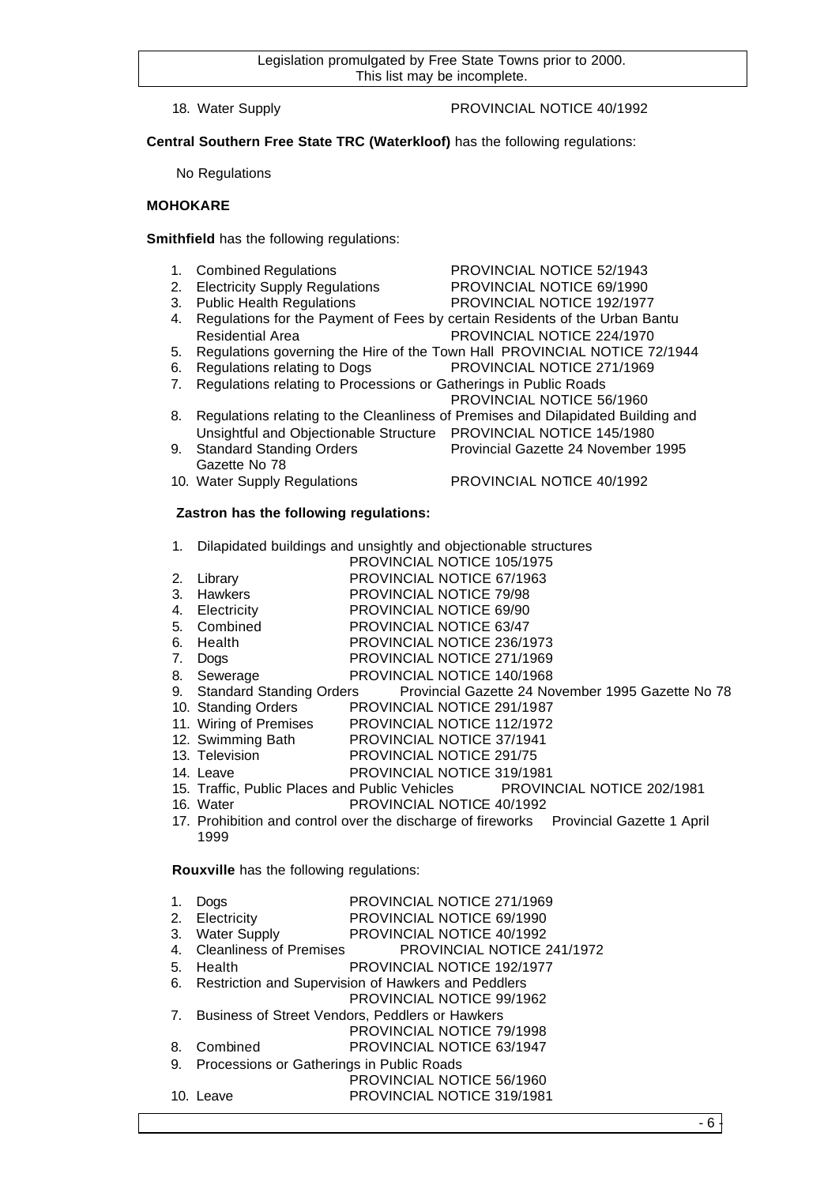## 18. Water Supply PROVINCIAL NOTICE 40/1992

**Central Southern Free State TRC (Waterkloof)** has the following regulations:

No Regulations

## **MOHOKARE**

**Smithfield** has the following regulations:

- 1. Combined Regulations PROVINCIAL NOTICE 52/1943
- 2. Electricity Supply Regulations PROVINCIAL NOTICE 69/1990
- 3. Public Health Regulations PROVINCIAL NOTICE 192/1977
- 
- 4. Regulations for the Payment of Fees by certain Residents of the Urban Bantu Residential Area PROVINCIAL NOTICE 224/1970
- 5. Regulations governing the Hire of the Town Hall PROVINCIAL NOTICE 72/1944
- 6. Regulations relating to Dogs PROVINCIAL NOTICE 271/1969
- 7. Regulations relating to Processions or Gatherings in Public Roads
- PROVINCIAL NOTICE 56/1960 8. Regulations relating to the Cleanliness of Premises and Dilapidated Building and
- Unsightful and Objectionable Structure PROVINCIAL NOTICE 145/1980
- 9. Standard Standing Orders Provincial Gazette 24 November 1995 Gazette No 78
- 
- 10. Water Supply Regulations **PROVINCIAL NOTICE 40/1992**

## **Zastron has the following regulations:**

- 1. Dilapidated buildings and unsightly and objectionable structures
	- PROVINCIAL NOTICE 105/1975
- 2. Library PROVINCIAL NOTICE 67/1963<br>
3. Hawkers PROVINCIAL NOTICE 79/98
- PROVINCIAL NOTICE 79/98
- 4. Electricity PROVINCIAL NOTICE 69/90
- 5. Combined PROVINCIAL NOTICE 63/47
- 6. Health PROVINCIAL NOTICE 236/1973
- 7. Dogs PROVINCIAL NOTICE 271/1969
- 8. Sewerage PROVINCIAL NOTICE 140/1968
- 9. Standard Standing Orders Provincial Gazette 24 November 1995 Gazette No 78
- 10. Standing Orders PROVINCIAL NOTICE 291/1987
- 11. Wiring of Premises PROVINCIAL NOTICE 112/1972
- 12. Swimming Bath PROVINCIAL NOTICE 37/1941
- 13. Television PROVINCIAL NOTICE 291/75
- 14. Leave PROVINCIAL NOTICE 319/1981
- 15. Traffic, Public Places and Public Vehicles PROVINCIAL NOTICE 202/1981
- 16. Water PROVINCIAL NOTICE 40/1992
- 17. Prohibition and control over the discharge of fireworks Provincial Gazette 1 April 1999

#### **Rouxville** has the following regulations:

- 1. Dogs PROVINCIAL NOTICE 271/1969
- 
- 2. Electricity PROVINCIAL NOTICE 69/1990<br>3. Water Supply PROVINCIAL NOTICE 40/1992 PROVINCIAL NOTICE 40/1992
- 4. Cleanliness of Premises PROVINCIAL NOTICE 241/1972
- 5. Health PROVINCIAL NOTICE 192/1977
- 6. Restriction and Supervision of Hawkers and Peddlers
	- PROVINCIAL NOTICE 99/1962
- 7. Business of Street Vendors, Peddlers or Hawkers PROVINCIAL NOTICE 79/1998
- 8. Combined PROVINCIAL NOTICE 63/1947
- 9. Processions or Gatherings in Public Roads
- PROVINCIAL NOTICE 56/1960 10. Leave PROVINCIAL NOTICE 319/1981
-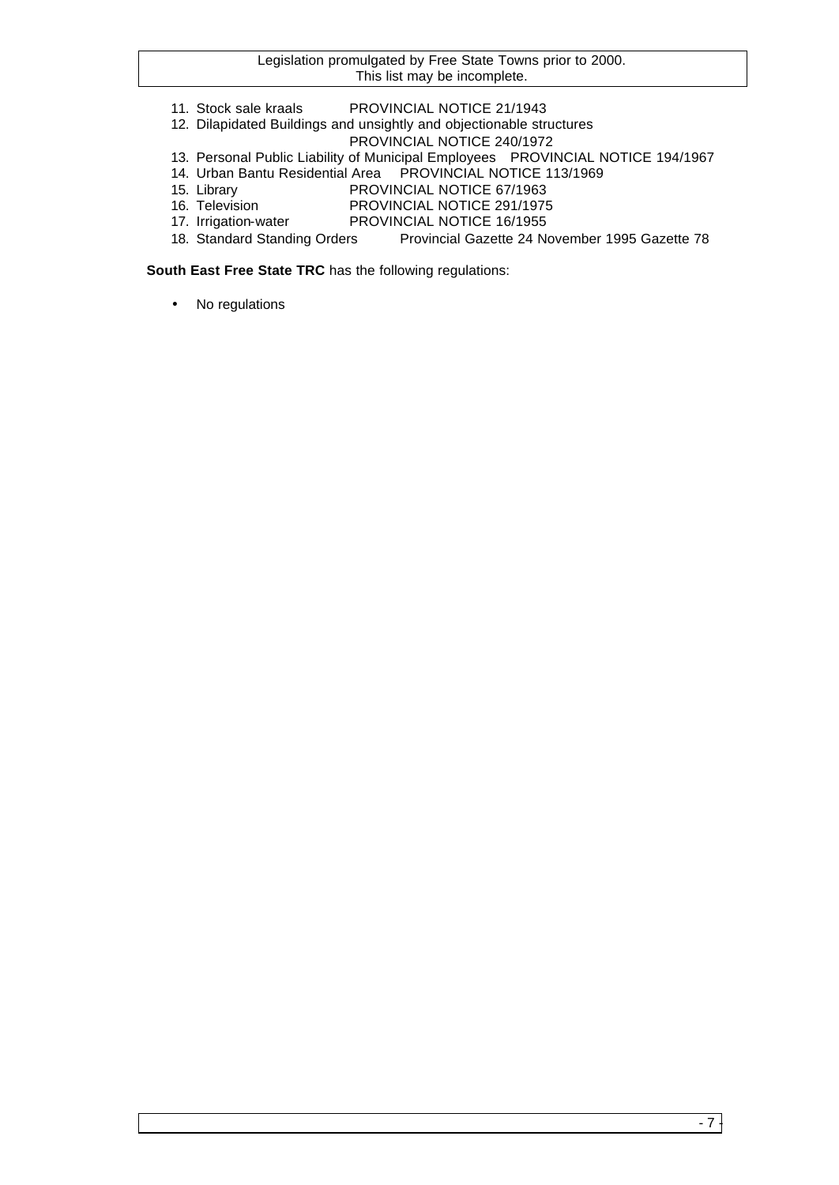- 11. Stock sale kraals PROVINCIAL NOTICE 21/1943
- 12. Dilapidated Buildings and unsightly and objectionable structures
	- PROVINCIAL NOTICE 240/1972
- 13. Personal Public Liability of Municipal Employees PROVINCIAL NOTICE 194/1967
- 14. Urban Bantu Residential Area PROVINCIAL NOTICE 113/1969
- 15. Library PROVINCIAL NOTICE 67/1963
- 16. Television PROVINCIAL NOTICE 291/1975
- 17. Irrigation-water PROVINCIAL NOTICE 16/1955
- 18. Standard Standing Orders Provincial Gazette 24 November 1995 Gazette 78

**South East Free State TRC** has the following regulations:

• No regulations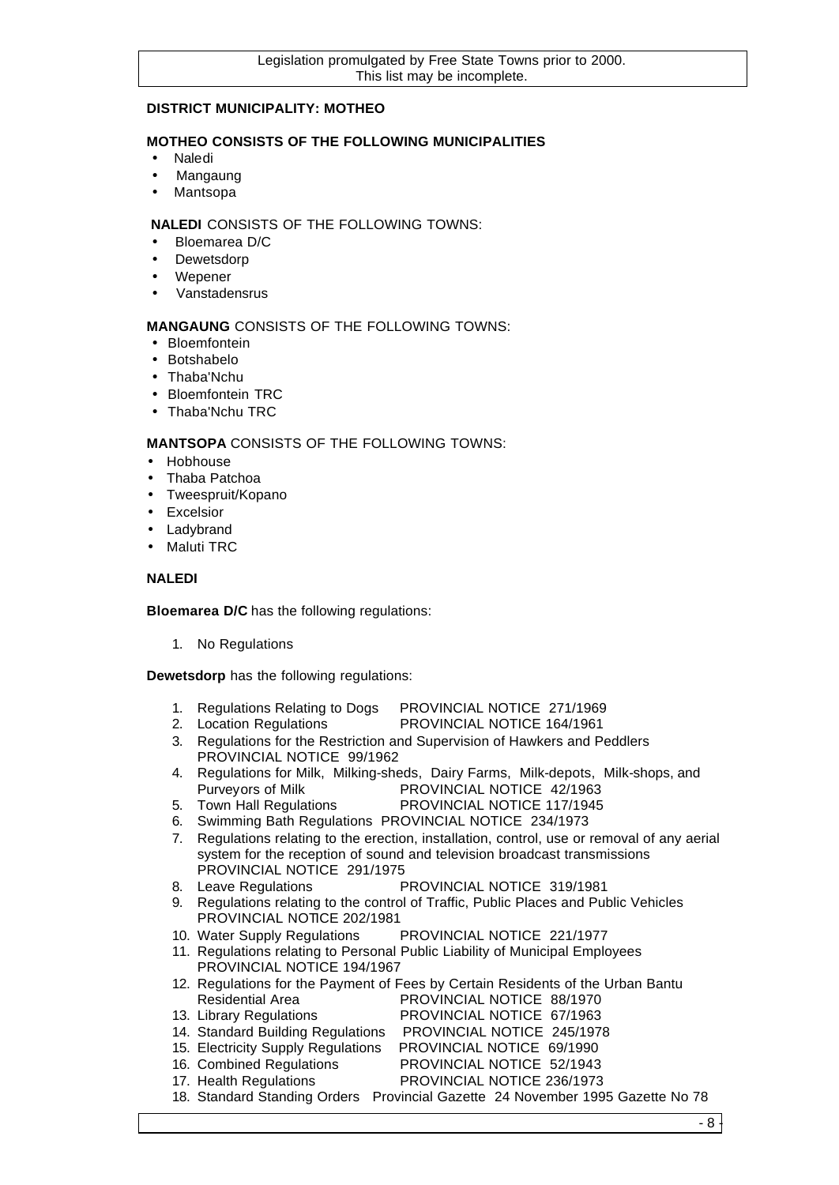## **DISTRICT MUNICIPALITY: MOTHEO**

## **MOTHEO CONSISTS OF THE FOLLOWING MUNICIPALITIES**

- Naledi
- Mangaung
- Mantsopa

## **NALEDI** CONSISTS OF THE FOLLOWING TOWNS:

- Bloemarea D/C
- **Dewetsdorp**
- Wepener
- Vanstadensrus

## **MANGAUNG** CONSISTS OF THE FOLLOWING TOWNS:

- Bloemfontein
- Botshabelo
- Thaba'Nchu
- Bloemfontein TRC
- Thaba'Nchu TRC

## **MANTSOPA** CONSISTS OF THE FOLLOWING TOWNS:

- Hobhouse
- Thaba Patchoa
- Tweespruit/Kopano
- Excelsior
- Ladybrand
- Maluti TRC

## **NALEDI**

**Bloemarea D/C** has the following regulations:

1. No Regulations

**Dewetsdorp** has the following regulations:

- 1. Regulations Relating to Dogs PROVINCIAL NOTICE 271/1969
- 2. Location Regulations PROVINCIAL NOTICE 164/1961
- 3. Regulations for the Restriction and Supervision of Hawkers and Peddlers PROVINCIAL NOTICE 99/1962
- 4. Regulations for Milk, Milking-sheds, Dairy Farms, Milk-depots, Milk-shops, and Purveyors of Milk PROVINCIAL NOTICE 42/1963
- 5. Town Hall Regulations PROVINCIAL NOTICE 117/1945
- 6. Swimming Bath Regulations PROVINCIAL NOTICE 234/1973
- 7. Regulations relating to the erection, installation, control, use or removal of any aerial system for the reception of sound and television broadcast transmissions PROVINCIAL NOTICE 291/1975
- 8. Leave Regulations PROVINCIAL NOTICE 319/1981
- 9. Regulations relating to the control of Traffic, Public Places and Public Vehicles PROVINCIAL NOTICE 202/1981
- 10. Water Supply Regulations PROVINCIAL NOTICE 221/1977
- 11. Regulations relating to Personal Public Liability of Municipal Employees PROVINCIAL NOTICE 194/1967
- 12. Regulations for the Payment of Fees by Certain Residents of the Urban Bantu Residential Area PROVINCIAL NOTICE 88/1970
- 13. Library Regulations PROVINCIAL NOTICE 67/1963
- 14. Standard Building Regulations PROVINCIAL NOTICE 245/1978
- 15. Electricity Supply Regulations PROVINCIAL NOTICE 69/1990
- 16. Combined Regulations PROVINCIAL NOTICE 52/1943
- 17. Health Regulations PROVINCIAL NOTICE 236/1973
- 18. Standard Standing Orders Provincial Gazette 24 November 1995 Gazette No 78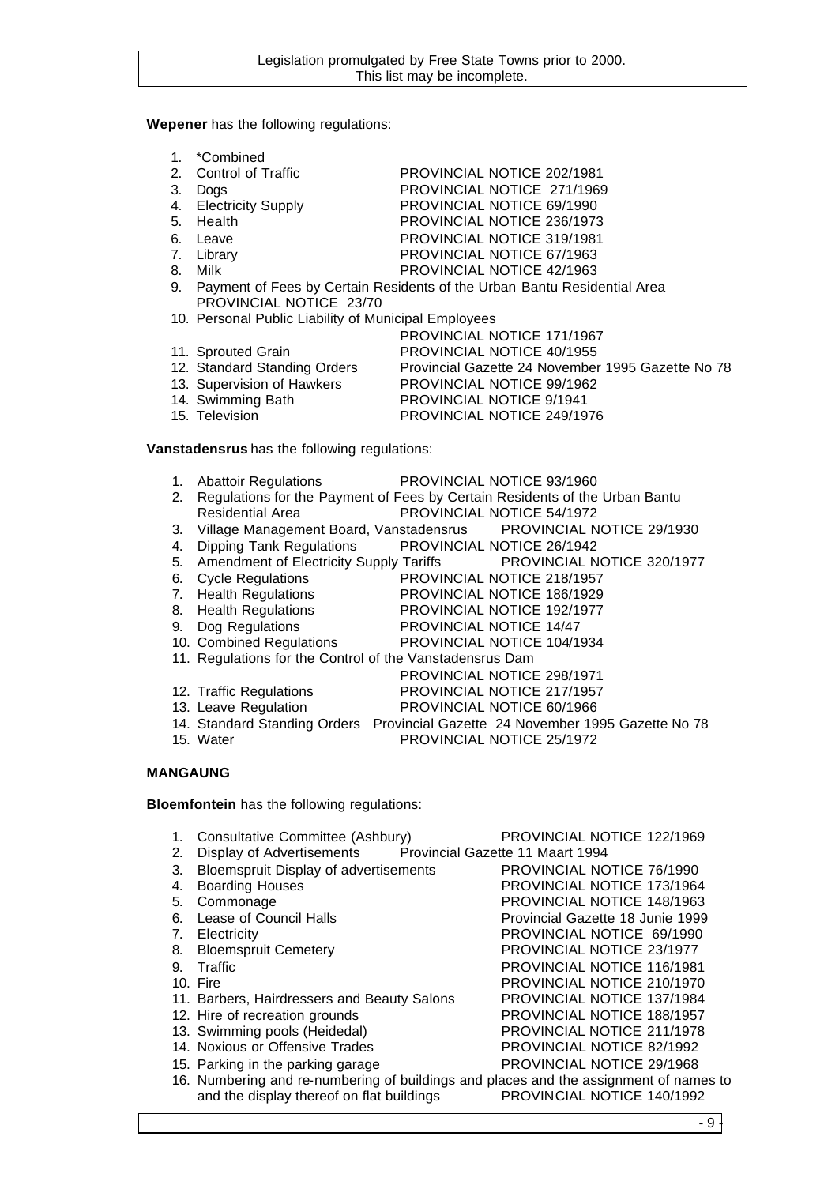#### **Wepener** has the following regulations:

| *Combined |  |
|-----------|--|
|-----------|--|

2. Control of Traffic PROVINCIAL NOTICE 202/1981

| 3. Dogs | PROVINCIAL NOTICE 271/1969 |  |
|---------|----------------------------|--|

- 4. Electricity Supply PROVINCIAL NOTICE 69/1990<br>5. Health PROVINCIAL NOTICE 236/1973
- 5. Health PROVINCIAL NOTICE 236/1973<br>6. Leave PROVINCIAL NOTICE 319/1981
- 
- 6. Leave PROVINCIAL NOTICE 319/1981<br>
7. Library Christian PROVINCIAL NOTICE 67/1963
- 
- 7. Library PROVINCIAL NOTICE 67/1963<br>8. Milk PROVINCIAL NOTICE 42/1963 PROVINCIAL NOTICE 42/1963 9. Payment of Fees by Certain Residents of the Urban Bantu Residential Area PROVINCIAL NOTICE 23/70
- 10. Personal Public Liability of Municipal Employees

|                              | PROVINCIAL NOTICE 171/1967                        |
|------------------------------|---------------------------------------------------|
| 11. Sprouted Grain           | <b>PROVINCIAL NOTICE 40/1955</b>                  |
| 12. Standard Standing Orders | Provincial Gazette 24 November 1995 Gazette No 78 |
| 13. Supervision of Hawkers   | PROVINCIAL NOTICE 99/1962                         |
| 14. Swimming Bath            | <b>PROVINCIAL NOTICE 9/1941</b>                   |
| 15. Television               | PROVINCIAL NOTICE 249/1976                        |
|                              |                                                   |

**Vanstadensrus** has the following regulations:

| 1. |                                                          | Abattoir Regulations <b>PROVINCIAL NOTICE 93/1960</b>                          |
|----|----------------------------------------------------------|--------------------------------------------------------------------------------|
| 2. |                                                          | Regulations for the Payment of Fees by Certain Residents of the Urban Bantu    |
|    | <b>Residential Area</b>                                  | <b>PROVINCIAL NOTICE 54/1972</b>                                               |
| 3. |                                                          | Village Management Board, Vanstadensrus PROVINCIAL NOTICE 29/1930              |
| 4. |                                                          | Dipping Tank Regulations PROVINCIAL NOTICE 26/1942                             |
| 5. |                                                          | Amendment of Electricity Supply Tariffs PROVINCIAL NOTICE 320/1977             |
| 6. | <b>Cycle Regulations</b>                                 | PROVINCIAL NOTICE 218/1957                                                     |
|    | 7. Health Regulations                                    | PROVINCIAL NOTICE 186/1929                                                     |
|    | 8. Health Regulations                                    | PROVINCIAL NOTICE 192/1977                                                     |
| 9. | Dog Regulations                                          | PROVINCIAL NOTICE 14/47                                                        |
|    |                                                          | 10. Combined Regulations PROVINCIAL NOTICE 104/1934                            |
|    | 11. Regulations for the Control of the Vanstadensrus Dam |                                                                                |
|    |                                                          | PROVINCIAL NOTICE 298/1971                                                     |
|    | 12. Traffic Regulations                                  | PROVINCIAL NOTICE 217/1957                                                     |
|    | 13. Leave Regulation                                     | PROVINCIAL NOTICE 60/1966                                                      |
|    |                                                          | 14. Standard Standing Orders Provincial Gazette 24 November 1995 Gazette No 78 |
|    | 15. Water                                                | <b>PROVINCIAL NOTICE 25/1972</b>                                               |

## **MANGAUNG**

**Bloemfontein** has the following regulations:

| 1.<br>2. | Consultative Committee (Ashbury)<br>Display of Advertisements Provincial Gazette 11 Maart 1994 | PROVINCIAL NOTICE 122/1969        |
|----------|------------------------------------------------------------------------------------------------|-----------------------------------|
| 3.       | <b>Bloemspruit Display of advertisements</b>                                                   | PROVINCIAL NOTICE 76/1990         |
| 4.       | <b>Boarding Houses</b>                                                                         | PROVINCIAL NOTICE 173/1964        |
| 5.       | Commonage                                                                                      | PROVINCIAL NOTICE 148/1963        |
| 6.       | Lease of Council Halls                                                                         | Provincial Gazette 18 Junie 1999  |
| 7.       | Electricity                                                                                    | PROVINCIAL NOTICE 69/1990         |
| 8.       | <b>Bloemspruit Cemetery</b>                                                                    | PROVINCIAL NOTICE 23/1977         |
| 9.       | Traffic                                                                                        | <b>PROVINCIAL NOTICE 116/1981</b> |
|          | 10. Fire                                                                                       | PROVINCIAL NOTICE 210/1970        |
|          | 11. Barbers, Hairdressers and Beauty Salons                                                    | <b>PROVINCIAL NOTICE 137/1984</b> |
|          | 12. Hire of recreation grounds                                                                 | PROVINCIAL NOTICE 188/1957        |
|          | 13. Swimming pools (Heidedal)                                                                  | PROVINCIAL NOTICE 211/1978        |
|          | 14. Noxious or Offensive Trades                                                                | <b>PROVINCIAL NOTICE 82/1992</b>  |
|          | 15. Parking in the parking garage                                                              | PROVINCIAL NOTICE 29/1968         |
|          | 16. Numbering and re-numbering of buildings and places and the assignment of names to          |                                   |
|          | and the display thereof on flat buildings                                                      | PROVINCIAL NOTICE 140/1992        |

- 9 -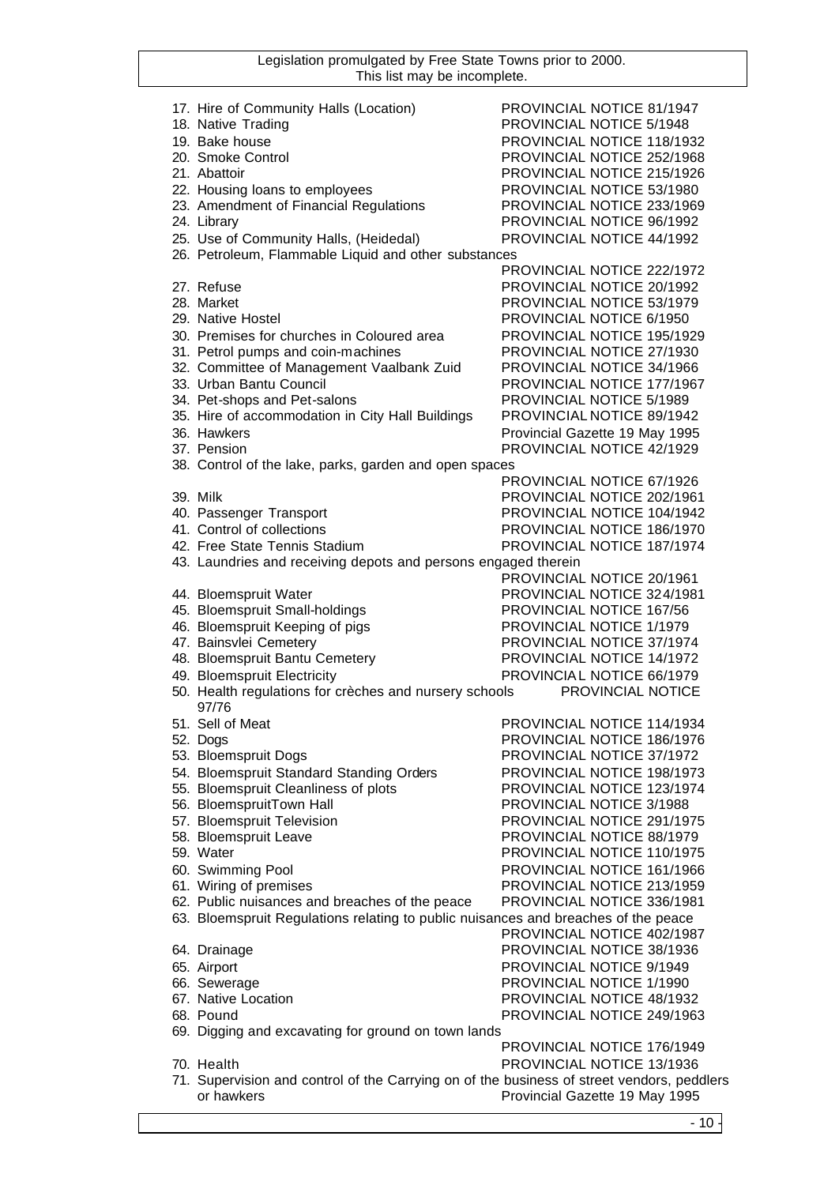| 17. Hire of Community Halls (Location)                                                     | PROVINCIAL NOTICE 81/1947       |
|--------------------------------------------------------------------------------------------|---------------------------------|
| 18. Native Trading                                                                         | PROVINCIAL NOTICE 5/1948        |
| 19. Bake house                                                                             | PROVINCIAL NOTICE 118/1932      |
| 20. Smoke Control                                                                          | PROVINCIAL NOTICE 252/1968      |
| 21. Abattoir                                                                               | PROVINCIAL NOTICE 215/1926      |
| 22. Housing loans to employees                                                             | PROVINCIAL NOTICE 53/1980       |
| 23. Amendment of Financial Regulations                                                     | PROVINCIAL NOTICE 233/1969      |
| 24. Library                                                                                | PROVINCIAL NOTICE 96/1992       |
|                                                                                            |                                 |
| 25. Use of Community Halls, (Heidedal)                                                     | PROVINCIAL NOTICE 44/1992       |
| 26. Petroleum, Flammable Liquid and other substances                                       |                                 |
|                                                                                            | PROVINCIAL NOTICE 222/1972      |
| 27. Refuse                                                                                 | PROVINCIAL NOTICE 20/1992       |
| 28. Market                                                                                 | PROVINCIAL NOTICE 53/1979       |
| 29. Native Hostel                                                                          | PROVINCIAL NOTICE 6/1950        |
| 30. Premises for churches in Coloured area                                                 | PROVINCIAL NOTICE 195/1929      |
| 31. Petrol pumps and coin-machines                                                         | PROVINCIAL NOTICE 27/1930       |
| 32. Committee of Management Vaalbank Zuid                                                  | PROVINCIAL NOTICE 34/1966       |
| 33. Urban Bantu Council                                                                    | PROVINCIAL NOTICE 177/1967      |
|                                                                                            |                                 |
| 34. Pet-shops and Pet-salons                                                               | PROVINCIAL NOTICE 5/1989        |
| 35. Hire of accommodation in City Hall Buildings                                           | PROVINCIAL NOTICE 89/1942       |
| 36. Hawkers                                                                                | Provincial Gazette 19 May 1995  |
| 37. Pension                                                                                | PROVINCIAL NOTICE 42/1929       |
| 38. Control of the lake, parks, garden and open spaces                                     |                                 |
|                                                                                            | PROVINCIAL NOTICE 67/1926       |
| 39. Milk                                                                                   | PROVINCIAL NOTICE 202/1961      |
| 40. Passenger Transport                                                                    | PROVINCIAL NOTICE 104/1942      |
| 41. Control of collections                                                                 | PROVINCIAL NOTICE 186/1970      |
| 42. Free State Tennis Stadium                                                              | PROVINCIAL NOTICE 187/1974      |
| 43. Laundries and receiving depots and persons engaged therein                             |                                 |
|                                                                                            | PROVINCIAL NOTICE 20/1961       |
|                                                                                            | PROVINCIAL NOTICE 324/1981      |
| 44. Bloemspruit Water                                                                      |                                 |
| 45. Bloemspruit Small-holdings                                                             | PROVINCIAL NOTICE 167/56        |
| 46. Bloemspruit Keeping of pigs                                                            | <b>PROVINCIAL NOTICE 1/1979</b> |
| 47. Bainsvlei Cemetery                                                                     | PROVINCIAL NOTICE 37/1974       |
| 48. Bloemspruit Bantu Cemetery                                                             | PROVINCIAL NOTICE 14/1972       |
| 49. Bloemspruit Electricity                                                                | PROVINCIAL NOTICE 66/1979       |
| 50. Health regulations for crèches and nursery schools                                     | PROVINCIAL NOTICE               |
| 97/76                                                                                      |                                 |
| 51. Sell of Meat                                                                           | PROVINCIAL NOTICE 114/1934      |
| 52. Dogs                                                                                   | PROVINCIAL NOTICE 186/1976      |
| 53. Bloemspruit Dogs                                                                       | PROVINCIAL NOTICE 37/1972       |
| 54. Bloemspruit Standard Standing Orders                                                   | PROVINCIAL NOTICE 198/1973      |
| 55. Bloemspruit Cleanliness of plots                                                       | PROVINCIAL NOTICE 123/1974      |
| 56. BloemspruitTown Hall                                                                   | PROVINCIAL NOTICE 3/1988        |
| 57. Bloemspruit Television                                                                 | PROVINCIAL NOTICE 291/1975      |
| 58. Bloemspruit Leave                                                                      | PROVINCIAL NOTICE 88/1979       |
| 59. Water                                                                                  | PROVINCIAL NOTICE 110/1975      |
| 60. Swimming Pool                                                                          | PROVINCIAL NOTICE 161/1966      |
|                                                                                            |                                 |
| 61. Wiring of premises                                                                     | PROVINCIAL NOTICE 213/1959      |
| 62. Public nuisances and breaches of the peace                                             | PROVINCIAL NOTICE 336/1981      |
| 63. Bloemspruit Regulations relating to public nuisances and breaches of the peace         |                                 |
|                                                                                            | PROVINCIAL NOTICE 402/1987      |
| 64. Drainage                                                                               | PROVINCIAL NOTICE 38/1936       |
| 65. Airport                                                                                | PROVINCIAL NOTICE 9/1949        |
| 66. Sewerage                                                                               | PROVINCIAL NOTICE 1/1990        |
| 67. Native Location                                                                        | PROVINCIAL NOTICE 48/1932       |
| 68. Pound                                                                                  | PROVINCIAL NOTICE 249/1963      |
| 69. Digging and excavating for ground on town lands                                        |                                 |
|                                                                                            | PROVINCIAL NOTICE 176/1949      |
| 70. Health                                                                                 | PROVINCIAL NOTICE 13/1936       |
| 71. Supervision and control of the Carrying on of the business of street vendors, peddlers |                                 |
| or hawkers                                                                                 | Provincial Gazette 19 May 1995  |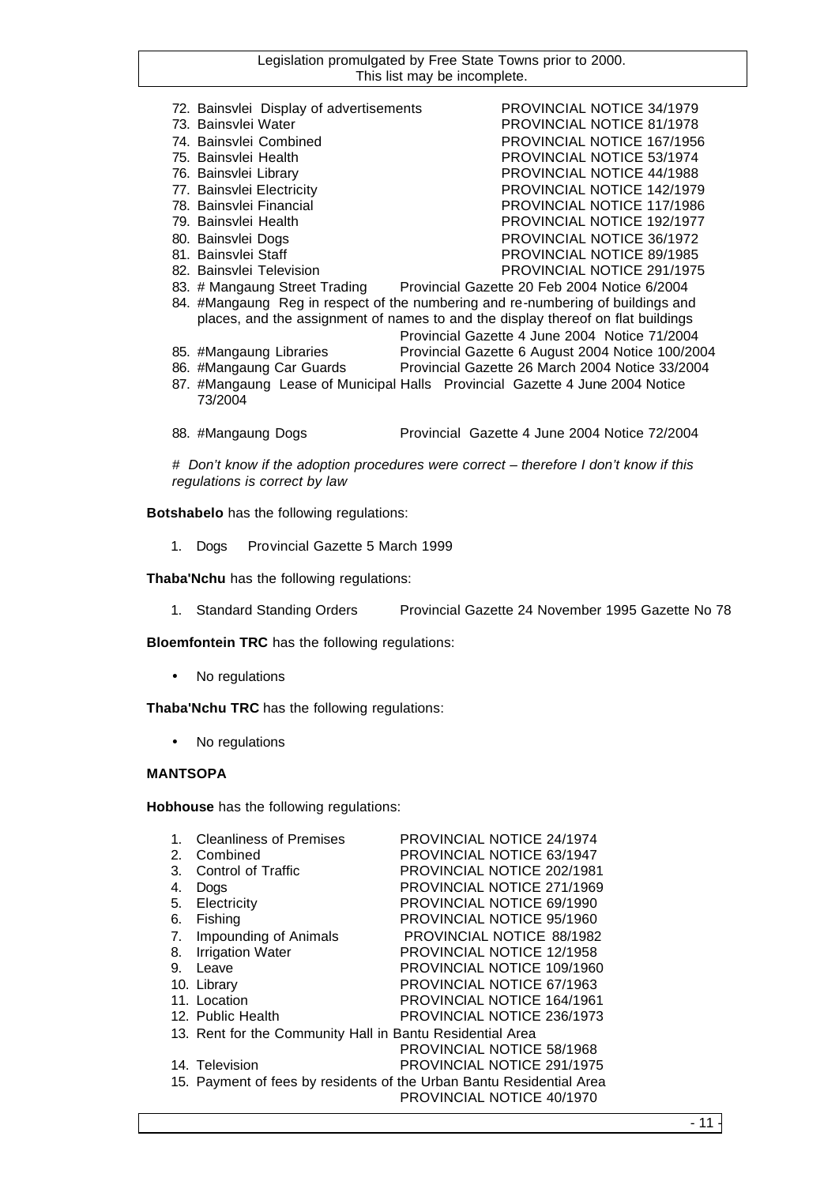| 72. Bainsvlei Display of advertisements | PROVINCIAL NOTICE 34/1979                                                        |
|-----------------------------------------|----------------------------------------------------------------------------------|
| 73. Bainsylei Water                     | <b>PROVINCIAL NOTICE 81/1978</b>                                                 |
| 74. Bainsylei Combined                  | PROVINCIAL NOTICE 167/1956                                                       |
| 75. Bainsvlei Health                    | <b>PROVINCIAL NOTICE 53/1974</b>                                                 |
| 76. Bainsvlei Library                   | <b>PROVINCIAL NOTICE 44/1988</b>                                                 |
| 77. Bainsvlei Electricity               | PROVINCIAL NOTICE 142/1979                                                       |
| 78. Bainsylei Financial                 | <b>PROVINCIAL NOTICE 117/1986</b>                                                |
| 79. Bainsvlei Health                    | <b>PROVINCIAL NOTICE 192/1977</b>                                                |
| 80. Bainsvlei Dogs                      | PROVINCIAL NOTICE 36/1972                                                        |
| 81. Bainsvlei Staff                     | <b>PROVINCIAL NOTICE 89/1985</b>                                                 |
| 82. Bainsylei Television                | PROVINCIAL NOTICE 291/1975                                                       |
| 83. # Mangaung Street Trading           | Provincial Gazette 20 Feb 2004 Notice 6/2004                                     |
|                                         | 84. #Mangaung Reg in respect of the numbering and re-numbering of buildings and  |
|                                         | places, and the assignment of names to and the display thereof on flat buildings |
|                                         | Provincial Gazette 4 June 2004 Notice 71/2004                                    |
|                                         |                                                                                  |

Provincial Gazette 26 March 2004 Notice 33/2004

- 85. #Mangaung Libraries Provincial Gazette 6 August 2004 Notice 100/2004<br>86. #Mangaung Car Guards Provincial Gazette 26 March 2004 Notice 33/2004 87. #Mangaung Lease of Municipal Halls Provincial Gazette 4 June 2004 Notice 73/2004
- 88. #Mangaung Dogs Provincial Gazette 4 June 2004 Notice 72/2004

*# Don't know if the adoption procedures were correct – therefore I don't know if this regulations is correct by law*

**Botshabelo** has the following regulations:

1. Dogs Provincial Gazette 5 March 1999

**Thaba'Nchu** has the following regulations:

1. Standard Standing Orders Provincial Gazette 24 November 1995 Gazette No 78

**Bloemfontein TRC** has the following regulations:

• No regulations

**Thaba'Nchu TRC** has the following regulations:

• No regulations

#### **MANTSOPA**

**Hobhouse** has the following regulations:

| $\mathbf{1}$ . | <b>Cleanliness of Premises</b>                            | PROVINCIAL NOTICE 24/1974                                            |
|----------------|-----------------------------------------------------------|----------------------------------------------------------------------|
| 2.             | Combined                                                  | PROVINCIAL NOTICE 63/1947                                            |
| 3.             | Control of Traffic                                        | PROVINCIAL NOTICE 202/1981                                           |
| 4.             | Dogs                                                      | PROVINCIAL NOTICE 271/1969                                           |
| 5.             | Electricity                                               | PROVINCIAL NOTICE 69/1990                                            |
| 6.             | Fishing                                                   | PROVINCIAL NOTICE 95/1960                                            |
| 7.             | Impounding of Animals                                     | PROVINCIAL NOTICE 88/1982                                            |
| 8.             | <b>Irrigation Water</b>                                   | PROVINCIAL NOTICE 12/1958                                            |
| 9.             | Leave                                                     | PROVINCIAL NOTICE 109/1960                                           |
|                | 10. Library                                               | PROVINCIAL NOTICE 67/1963                                            |
|                | 11. Location                                              | PROVINCIAL NOTICE 164/1961                                           |
|                | 12. Public Health                                         | PROVINCIAL NOTICE 236/1973                                           |
|                | 13. Rent for the Community Hall in Bantu Residential Area |                                                                      |
|                |                                                           | <b>PROVINCIAL NOTICE 58/1968</b>                                     |
|                | 14. Television                                            | PROVINCIAL NOTICE 291/1975                                           |
|                |                                                           | 15. Payment of fees by residents of the Urban Bantu Residential Area |
|                |                                                           | PROVINCIAL NOTICE 40/1970                                            |
|                |                                                           |                                                                      |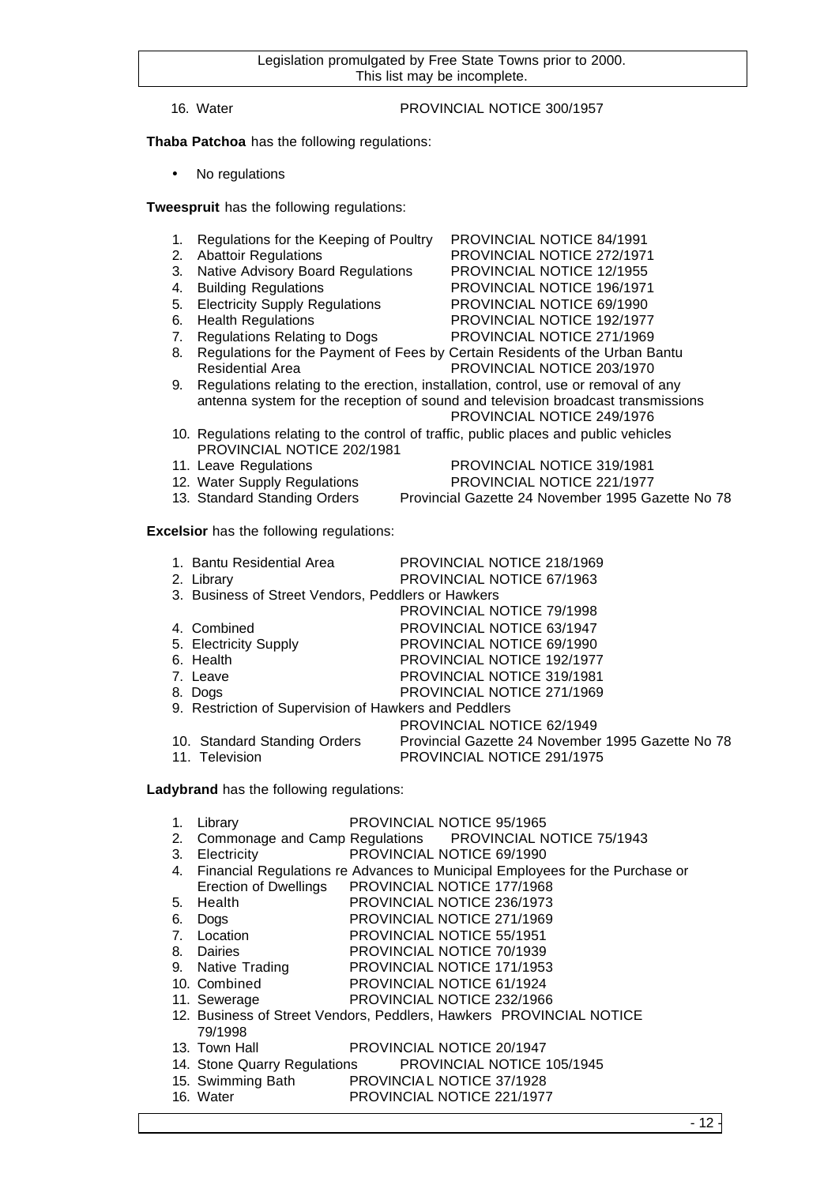## 16. Water PROVINCIAL NOTICE 300/1957

**Thaba Patchoa** has the following regulations:

• No regulations

**Tweespruit** has the following regulations:

- 1. Regulations for the Keeping of Poultry PROVINCIAL NOTICE 84/1991
- 2. Abattoir Regulations PROVINCIAL NOTICE 272/1971
- 3. Native Advisory Board Regulations PROVINCIAL NOTICE 12/1955
- 4. Building Regulations PROVINCIAL NOTICE 196/1971
- 5. Electricity Supply Regulations PROVINCIAL NOTICE 69/1990
- 6. Health Regulations PROVINCIAL NOTICE 192/1977
- 7. Regulations Relating to Dogs PROVINCIAL NOTICE 271/1969
- 8. Regulations for the Payment of Fees by Certain Residents of the Urban Bantu Residential Area **PROVINCIAL NOTICE 203/1970**
- 9. Regulations relating to the erection, installation, control, use or removal of any antenna system for the reception of sound and television broadcast transmissions
	- PROVINCIAL NOTICE 249/1976
- 10. Regulations relating to the control of traffic, public places and public vehicles PROVINCIAL NOTICE 202/1981
- 11. Leave Regulations PROVINCIAL NOTICE 319/1981
- 
- 12. Water Supply Regulations PROVINCIAL NOTICE 221/1977
- 13. Standard Standing Orders Provincial Gazette 24 November 1995 Gazette No 78

**Excelsior** has the following regulations:

| 1. Bantu Residential Area                             | PROVINCIAL NOTICE 218/1969                        |
|-------------------------------------------------------|---------------------------------------------------|
| 2. Library                                            | PROVINCIAL NOTICE 67/1963                         |
| 3. Business of Street Vendors, Peddlers or Hawkers    |                                                   |
|                                                       | <b>PROVINCIAL NOTICE 79/1998</b>                  |
| 4. Combined                                           | PROVINCIAL NOTICE 63/1947                         |
| 5. Electricity Supply                                 | PROVINCIAL NOTICE 69/1990                         |
| 6. Health                                             | PROVINCIAL NOTICE 192/1977                        |
| 7. Leave                                              | <b>PROVINCIAL NOTICE 319/1981</b>                 |
| 8. Dogs                                               | PROVINCIAL NOTICE 271/1969                        |
| 9. Restriction of Supervision of Hawkers and Peddlers |                                                   |
|                                                       | PROVINCIAL NOTICE 62/1949                         |
| 10. Standard Standing Orders                          | Provincial Gazette 24 November 1995 Gazette No 78 |
| 11. Television                                        | PROVINCIAL NOTICE 291/1975                        |

**Ladybrand** has the following regulations:

|  | 1. Library | <b>PROVINCIAL NOTICE 95/1965</b> |
|--|------------|----------------------------------|
|--|------------|----------------------------------|

- 2. Commonage and Camp Regulations PROVINCIAL NOTICE 75/1943
- 3. Electricity PROVINCIAL NOTICE 69/1990
- 4. Financial Regulations re Advances to Municipal Employees for the Purchase or
- Erection of Dwellings PROVINCIAL NOTICE 177/1968
- 5. Health PROVINCIAL NOTICE 236/1973
- 6. Dogs PROVINCIAL NOTICE 271/1969
- 7. Location PROVINCIAL NOTICE 55/1951
- 8. Dairies PROVINCIAL NOTICE 70/1939
- 9. Native Trading PROVINCIAL NOTICE 171/1953
- 10. Combined PROVINCIAL NOTICE 61/1924
- 11. Sewerage PROVINCIAL NOTICE 232/1966
- 12. Business of Street Vendors, Peddlers, Hawkers PROVINCIAL NOTICE 79/1998
- 13. Town Hall PROVINCIAL NOTICE 20/1947
- 14. Stone Quarry Regulations PROVINCIAL NOTICE 105/1945
- 15. Swimming Bath PROVINCIAL NOTICE 37/1928
- 16. Water PROVINCIAL NOTICE 221/1977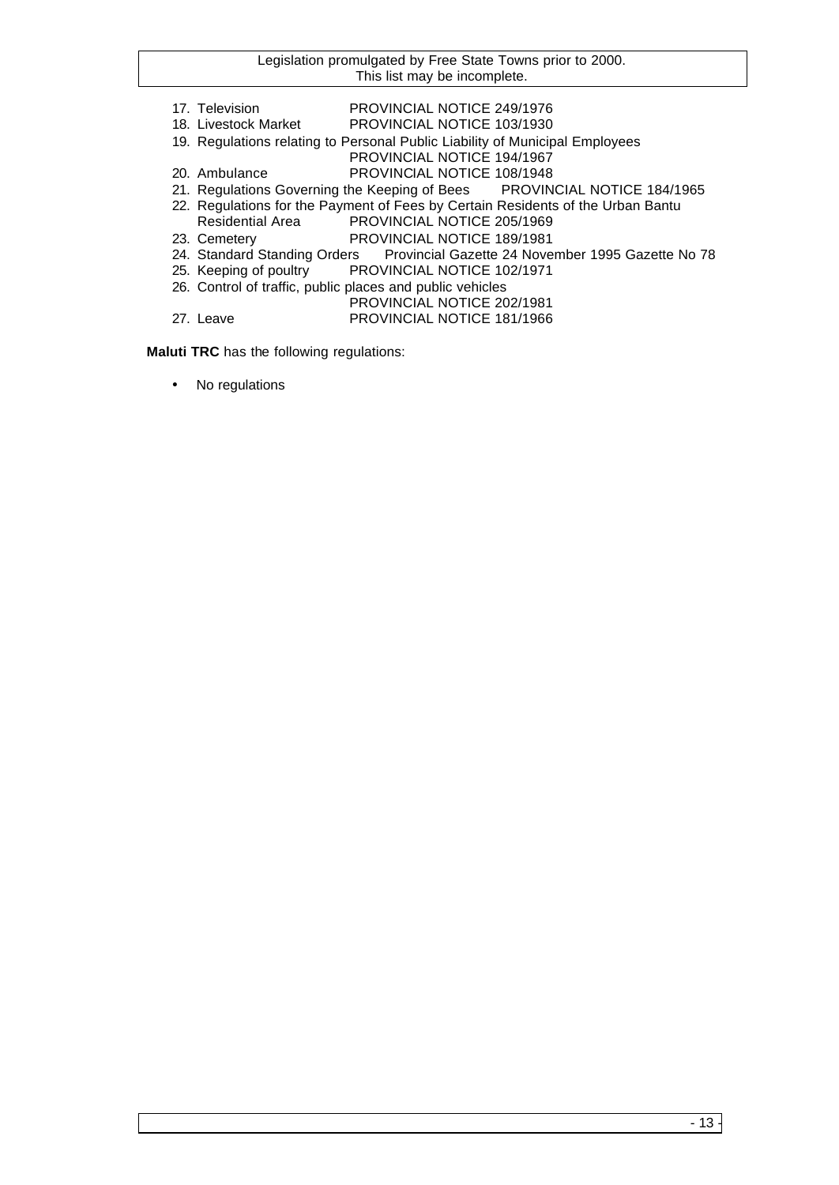- 17. Television PROVINCIAL NOTICE 249/1976
- 18. Livestock Market PROVINCIAL NOTICE 103/1930
- 19. Regulations relating to Personal Public Liability of Municipal Employees
	- PROVINCIAL NOTICE 194/1967
- 20. Ambulance PROVINCIAL NOTICE 108/1948
- 21. Regulations Governing the Keeping of Bees PROVINCIAL NOTICE 184/1965
- 22. Regulations for the Payment of Fees by Certain Residents of the Urban Bantu
- Residential Area PROVINCIAL NOTICE 205/1969
- 23. Cemetery PROVINCIAL NOTICE 189/1981<br>24. Standard Standing Orders Provincial Gazette 24 Nove
- 24. Standard Standing Orders Provincial Gazette 24 November 1995 Gazette No 78<br>25. Keeping of poultry PROVINCIAL NOTICE 102/1971
- PROVINCIAL NOTICE 102/1971
- 26. Control of traffic, public places and public vehicles
	- PROVINCIAL NOTICE 202/1981
- 27. Leave PROVINCIAL NOTICE 181/1966

**Maluti TRC** has the following regulations:

• No regulations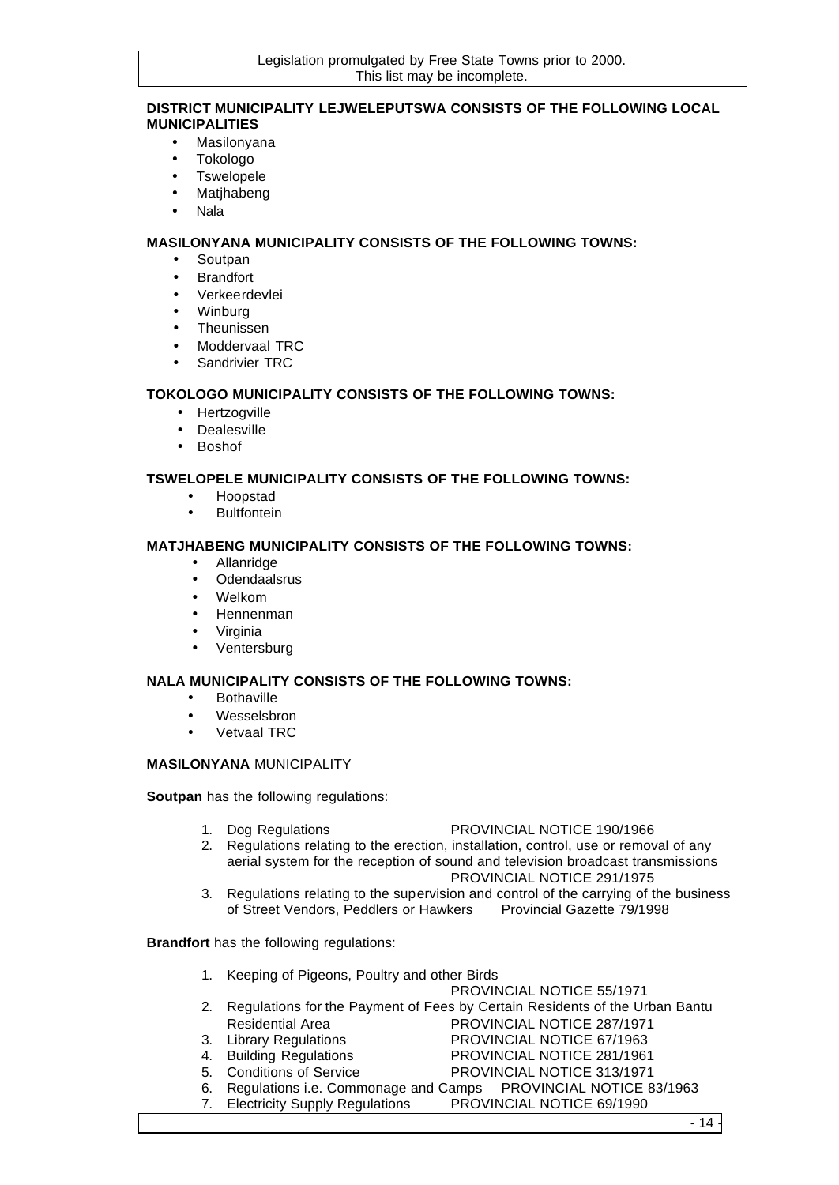## **DISTRICT MUNICIPALITY LEJWELEPUTSWA CONSISTS OF THE FOLLOWING LOCAL MUNICIPALITIES**

- Masilonyana
- Tokologo
- Tswelopele
- Matjhabeng
- Nala

**MASILONYANA MUNICIPALITY CONSISTS OF THE FOLLOWING TOWNS:**

- Soutpan
- Brandfort
- Verkeerdevlei
- Winburg
- Theunissen
- Moddervaal TRC
- Sandrivier TRC

## **TOKOLOGO MUNICIPALITY CONSISTS OF THE FOLLOWING TOWNS:**

- Hertzogville
- Dealesville
- Boshof

## **TSWELOPELE MUNICIPALITY CONSISTS OF THE FOLLOWING TOWNS:**

- Hoopstad
- Bultfontein

## **MATJHABENG MUNICIPALITY CONSISTS OF THE FOLLOWING TOWNS:**

- Allanridge
- Odendaalsrus
- Welkom
- Hennenman
- Virginia
- Ventersburg

## **NALA MUNICIPALITY CONSISTS OF THE FOLLOWING TOWNS:**

- Bothaville
- Wesselsbron
- Vetvaal TRC

## **MASILONYANA** MUNICIPALITY

**Soutpan** has the following regulations:

- 1. Dog Regulations PROVINCIAL NOTICE 190/1966
- 2. Regulations relating to the erection, installation, control, use or removal of any aerial system for the reception of sound and television broadcast transmissions

PROVINCIAL NOTICE 291/1975

3. Regulations relating to the supervision and control of the carrying of the business of Street Vendors, Peddlers or Hawkers Provincial Gazette 79/1998

**Brandfort** has the following regulations:

- 1. Keeping of Pigeons, Poultry and other Birds
	- PROVINCIAL NOTICE 55/1971
- 2. Regulations for the Payment of Fees by Certain Residents of the Urban Bantu Residential Area PROVINCIAL NOTICE 287/1971
- 3. Library Regulations PROVINCIAL NOTICE 67/1963
- 4. Building Regulations PROVINCIAL NOTICE 281/1961
- 5. Conditions of Service PROVINCIAL NOTICE 313/1971
- 
- 6. Regulations i.e. Commonage and Camps PROVINCIAL NOTICE 83/1963
- 7. Electricity Supply Regulations PROVINCIAL NOTICE 69/1990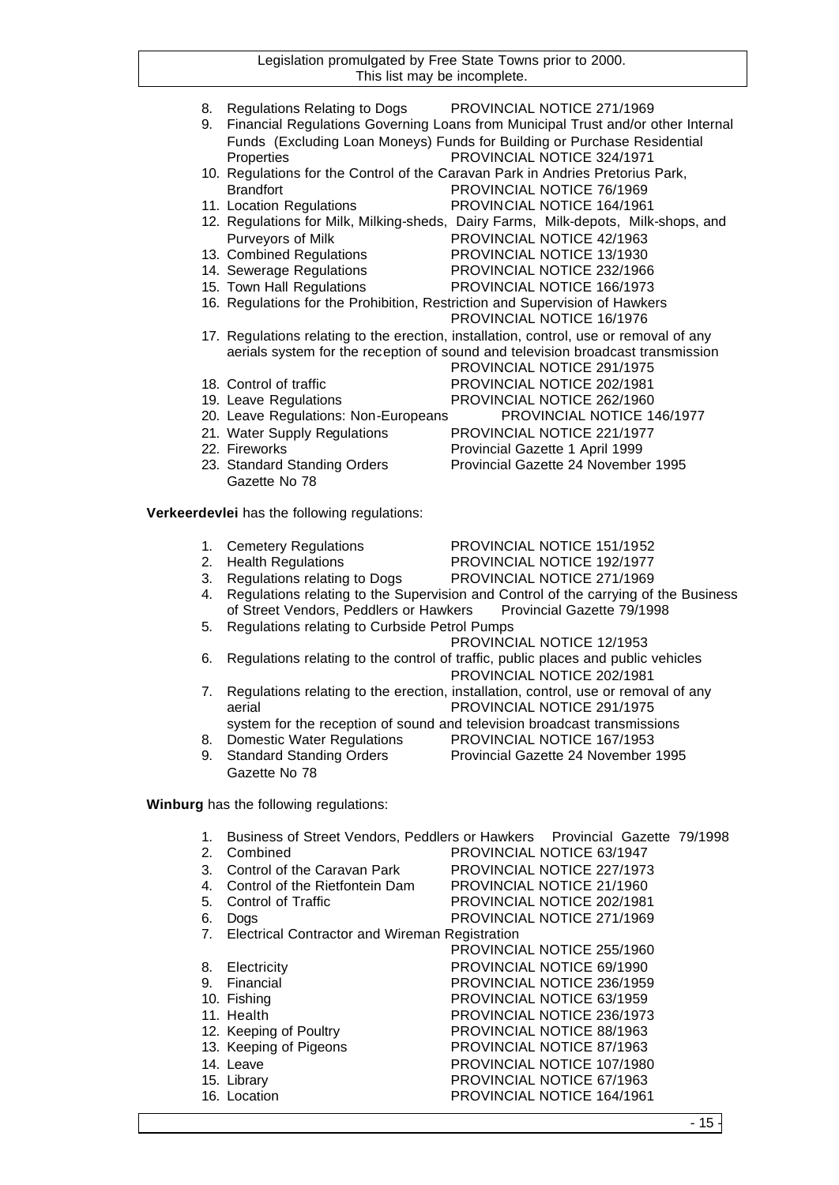- 8. Regulations Relating to Dogs PROVINCIAL NOTICE 271/1969 9. Financial Regulations Governing Loans from Municipal Trust and/or other Internal Funds (Excluding Loan Moneys) Funds for Building or Purchase Residential
- Properties ProvINCIAL NOTICE 324/1971 10. Regulations for the Control of the Caravan Park in Andries Pretorius Park, Brandfort PROVINCIAL NOTICE 76/1969
- 11. Location Regulations PROVINCIAL NOTICE 164/1961
- 12. Regulations for Milk, Milking-sheds, Dairy Farms, Milk-depots, Milk-shops, and Purveyors of Milk PROVINCIAL NOTICE 42/1963<br>13. Combined Regulations PROVINCIAL NOTICE 13/1930
- 
- 14. Sewerage Regulations PROVINCIAL NOTICE 232/1966
- 15. Town Hall Regulations PROVINCIAL NOTICE 166/1973
- 16. Regulations for the Prohibition, Restriction and Supervision of Hawkers
- PROVINCIAL NOTICE 16/1976 17. Regulations relating to the erection, installation, control, use or removal of any aerials system for the reception of sound and television broadcast transmission
- 18. Control of traffic **PROVINCIAL NOTICE 202/1981**
- 
- 19. Leave Regulations PROVINCIAL NOTICE 262/1960

PROVINCIAL NOTICE 13/1930

PROVINCIAL NOTICE 291/1975

- 20. Leave Regulations: Non-Europeans PROVINCIAL NOTICE 146/1977
- 21. Water Supply Regulations PROVINCIAL NOTICE 221/1977
- 22. Fireworks Provincial Gazette 1 April 1999
- 23. Standard Standing Orders Provincial Gazette 24 November 1995 Gazette No 78

**Verkeerdevlei** has the following regulations:

- 1. Cemetery Regulations PROVINCIAL NOTICE 151/1952
- 2. Health Regulations PROVINCIAL NOTICE 192/1977
- 3. Regulations relating to Dogs PROVINCIAL NOTICE 271/1969
- 4. Regulations relating to the Supervision and Control of the carrying of the Business of Street Vendors, Peddlers or Hawkers Provincial Gazette 79/1998
- 5. Regulations relating to Curbside Petrol Pumps

PROVINCIAL NOTICE 12/1953

6. Regulations relating to the control of traffic, public places and public vehicles

PROVINCIAL NOTICE 202/1981

- 7. Regulations relating to the erection, installation, control, use or removal of any aerial PROVINCIAL NOTICE 291/1975
	- system for the reception of sound and television broadcast transmissions
- 8. Domestic Water Regulations PROVINCIAL NOTICE 167/1953
- 9. Standard Standing Orders Provincial Gazette 24 November 1995
- Gazette No 78

**Winburg** has the following regulations:

1. Business of Street Vendors, Peddlers or Hawkers Provincial Gazette 79/1998 2. Combined PROVINCIAL NOTICE 63/1947 3. Control of the Caravan Park PROVINCIAL NOTICE 227/1973 4. Control of the Rietfontein Dam PROVINCIAL NOTICE 21/1960 5. Control of Traffic **PROVINCIAL NOTICE 202/1981** 6. Dogs PROVINCIAL NOTICE 271/1969 7. Electrical Contractor and Wireman Registration PROVINCIAL NOTICE 255/1960 8. Electricity **PROVINCIAL NOTICE 69/1990** 9. Financial PROVINCIAL NOTICE 236/1959 10. Fishing **PROVINCIAL NOTICE 63/1959** 11. Health PROVINCIAL NOTICE 236/1973 12. Keeping of Poultry PROVINCIAL NOTICE 88/1963 13. Keeping of Pigeons PROVINCIAL NOTICE 87/1963 14. Leave PROVINCIAL NOTICE 107/1980 15. Library PROVINCIAL NOTICE 67/1963 16. Location PROVINCIAL NOTICE 164/1961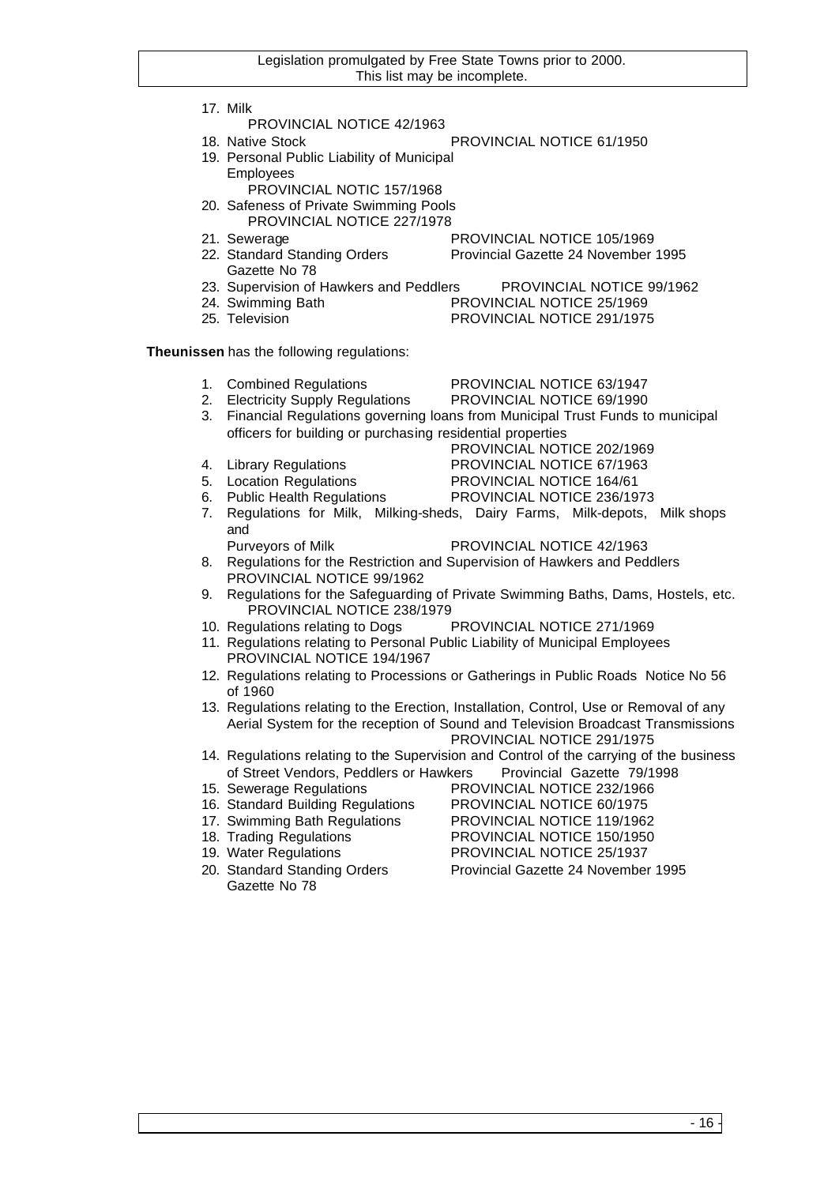17. Milk

- PROVINCIAL NOTICE 42/1963
- 18. Native Stock PROVINCIAL NOTICE 61/1950
- 19. Personal Public Liability of Municipal Employees
	- PROVINCIAL NOTIC 157/1968
- 20. Safeness of Private Swimming Pools PROVINCIAL NOTICE 227/1978
- 
- 21. Sewerage PROVINCIAL NOTICE 105/1969<br>22. Standard Standing Orders Provincial Gazette 24 November Provincial Gazette 24 November 1995
	- Gazette No 78
- 23. Supervision of Hawkers and Peddlers PROVINCIAL NOTICE 99/1962
- 24. Swimming Bath PROVINCIAL NOTICE 25/1969
- 25. Television PROVINCIAL NOTICE 291/1975
- 
- **Theunissen** has the following regulations:
	- 1. Combined Regulations PROVINCIAL NOTICE 63/1947
	- 2. Electricity Supply Regulations PROVINCIAL NOTICE 69/1990
	- 3. Financial Regulations governing loans from Municipal Trust Funds to municipal officers for building or purchasing residential properties
	-
	- PROVINCIAL NOTICE 202/1969 4. Library Regulations PROVINCIAL NOTICE 67/1963
	- 5. Location Regulations PROVINCIAL NOTICE 164/61
	- 6. Public Health Regulations PROVINCIAL NOTICE 236/1973
	- 7. Regulations for Milk, Milking-sheds, Dairy Farms, Milk-depots, Milk shops and
		- Purveyors of Milk PROVINCIAL NOTICE 42/1963
	- 8. Regulations for the Restriction and Supervision of Hawkers and Peddlers PROVINCIAL NOTICE 99/1962
	- 9. Regulations for the Safeguarding of Private Swimming Baths, Dams, Hostels, etc. PROVINCIAL NOTICE 238/1979
	- 10. Regulations relating to Dogs PROVINCIAL NOTICE 271/1969
	- 11. Regulations relating to Personal Public Liability of Municipal Employees PROVINCIAL NOTICE 194/1967
	- 12. Regulations relating to Processions or Gatherings in Public Roads Notice No 56 of 1960
	- 13. Regulations relating to the Erection, Installation, Control, Use or Removal of any Aerial System for the reception of Sound and Television Broadcast Transmissions PROVINCIAL NOTICE 291/1975
	- 14. Regulations relating to the Supervision and Control of the carrying of the business of Street Vendors, Peddlers or Hawkers Provincial Gazette 79/1998
	- 15. Sewerage Regulations PROVINCIAL NOTICE 232/1966
	- 16. Standard Building Regulations PROVINCIAL NOTICE 60/1975
	- 17. Swimming Bath Regulations PROVINCIAL NOTICE 119/1962
	-
	-
	- Gazette No 78

- 18. Trading Regulations PROVINCIAL NOTICE 150/1950
- 19. Water Regulations PROVINCIAL NOTICE 25/1937
- 20. Standard Standing Orders Provincial Gazette 24 November 1995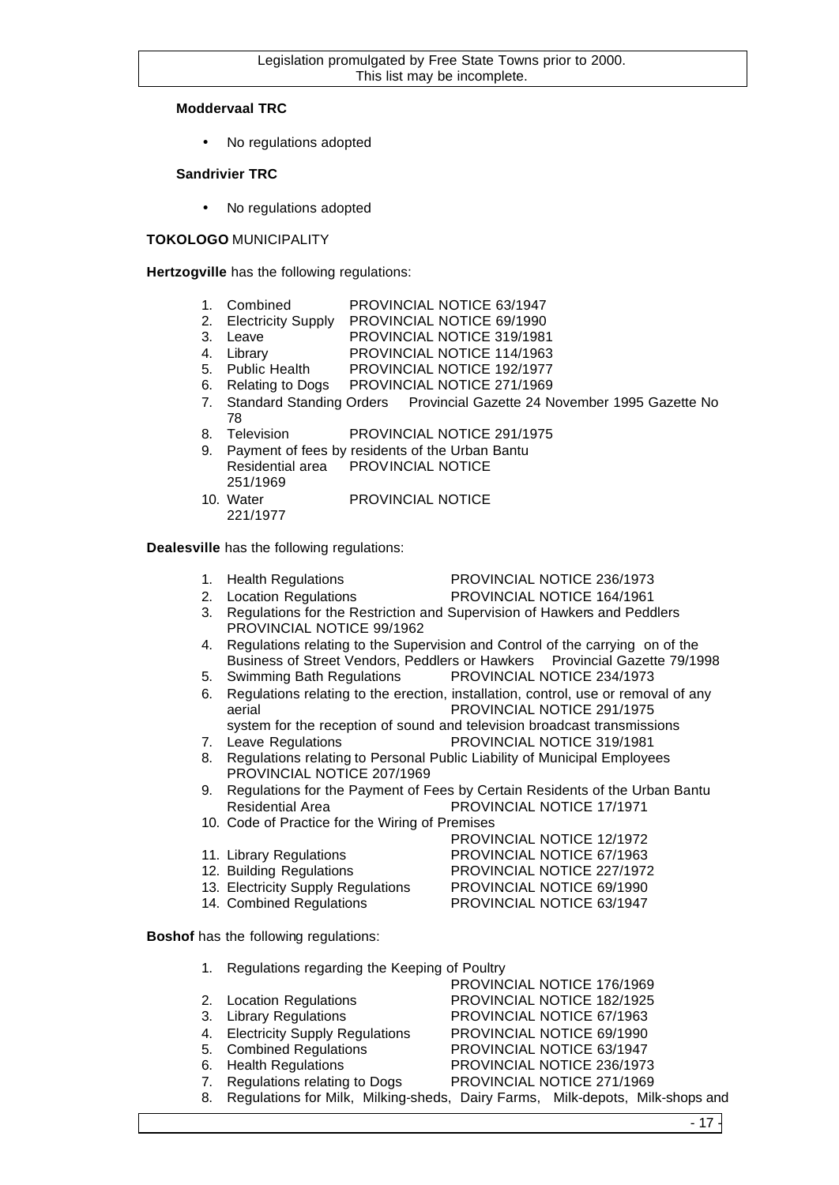## **Moddervaal TRC**

No regulations adopted

## **Sandrivier TRC**

No regulations adopted

## **TOKOLOGO** MUNICIPALITY

**Hertzogville** has the following regulations:

- 1. Combined PROVINCIAL NOTICE 63/1947
- 2. Electricity Supply PROVINCIAL NOTICE 69/1990
- 3. Leave PROVINCIAL NOTICE 319/1981
- 4. Library PROVINCIAL NOTICE 114/1963
- 5. Public Health PROVINCIAL NOTICE 192/1977
- 6. Relating to Dogs PROVINCIAL NOTICE 271/1969
- 7. Standard Standing Orders Provincial Gazette 24 November 1995 Gazette No 78
- 8. Television PROVINCIAL NOTICE 291/1975
- 9. Payment of fees by residents of the Urban Bantu Residential area PROVINCIAL NOTICE 251/1969
- 10. Water PROVINCIAL NOTICE 221/1977

**Dealesville** has the following regulations:

- 1. Health Regulations PROVINCIAL NOTICE 236/1973
- 
- 2. Location Regulations PROVINCIAL NOTICE 164/1961
- 3. Regulations for the Restriction and Supervision of Hawkers and Peddlers PROVINCIAL NOTICE 99/1962
- 4. Regulations relating to the Supervision and Control of the carrying on of the Business of Street Vendors, Peddlers or Hawkers Provincial Gazette 79/1998
- 5. Swimming Bath Regulations PROVINCIAL NOTICE 234/1973
- 6. Regulations relating to the erection, installation, control, use or removal of any aerial PROVINCIAL NOTICE 291/1975 system for the reception of sound and television broadcast transmissions
- 7. Leave Regulations PROVINCIAL NOTICE 319/1981
- 8. Regulations relating to Personal Public Liability of Municipal Employees PROVINCIAL NOTICE 207/1969
- 9. Regulations for the Payment of Fees by Certain Residents of the Urban Bantu Residential Area PROVINCIAL NOTICE 17/1971
- 10. Code of Practice for the Wiring of Premises
- PROVINCIAL NOTICE 12/1972 11. Library Regulations PROVINCIAL NOTICE 67/1963 12. Building Regulations PROVINCIAL NOTICE 227/1972 13. Electricity Supply Regulations PROVINCIAL NOTICE 69/1990
- 14. Combined Regulations PROVINCIAL NOTICE 63/1947

**Boshof** has the following regulations:

| 1. Regulations regarding the Keeping of Poultry |                                                                                  |
|-------------------------------------------------|----------------------------------------------------------------------------------|
|                                                 | PROVINCIAL NOTICE 176/1969                                                       |
| 2. Location Regulations                         | PROVINCIAL NOTICE 182/1925                                                       |
| 3. Library Regulations                          | PROVINCIAL NOTICE 67/1963                                                        |
| 4. Electricity Supply Regulations               | PROVINCIAL NOTICE 69/1990                                                        |
| 5. Combined Regulations                         | PROVINCIAL NOTICE 63/1947                                                        |
| 6. Health Regulations                           | PROVINCIAL NOTICE 236/1973                                                       |
| 7. Regulations relating to Dogs                 | PROVINCIAL NOTICE 271/1969                                                       |
|                                                 | 8. Regulations for Milk, Milking-sheds, Dairy Farms, Milk-depots, Milk-shops and |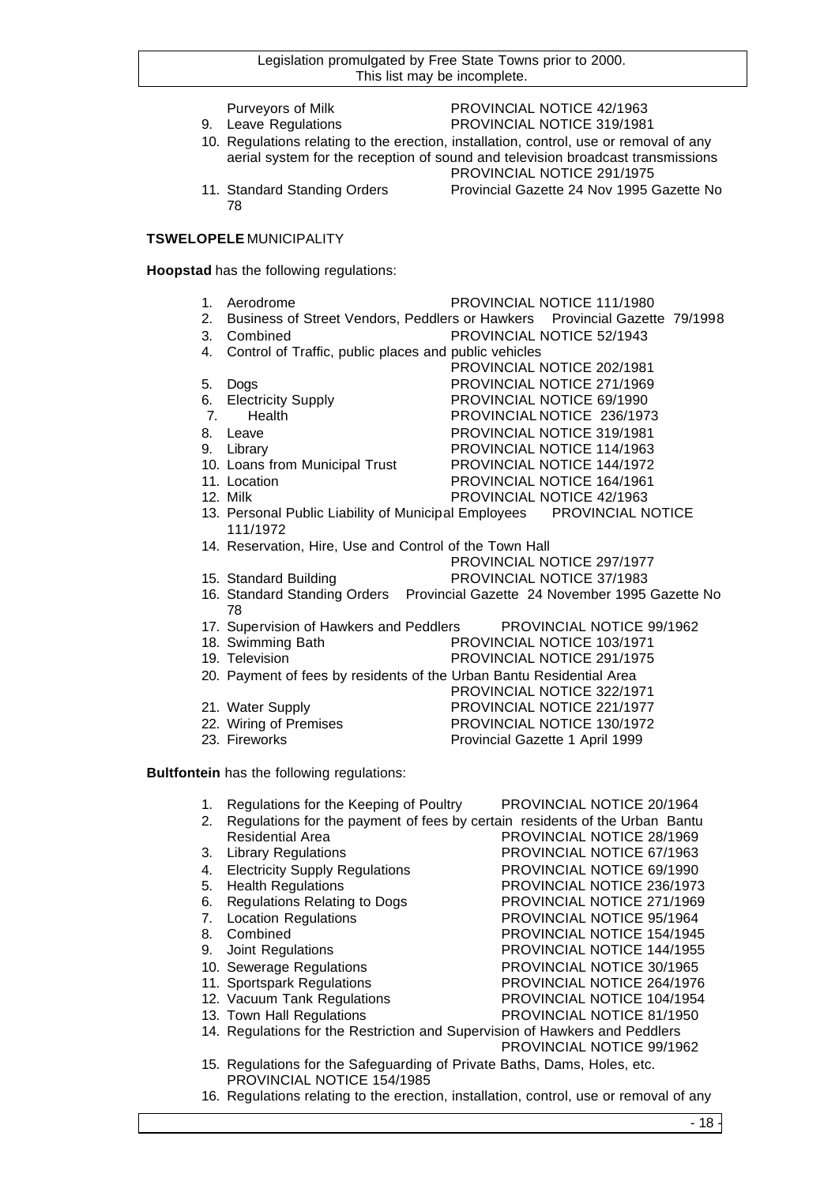- 
- Purveyors of Milk PROVINCIAL NOTICE 42/1963 9. Leave Regulations **PROVINCIAL NOTICE 319/1981**
- 10. Regulations relating to the erection, installation, control, use or removal of any aerial system for the reception of sound and television broadcast transmissions
- 78
- PROVINCIAL NOTICE 291/1975 11. Standard Standing Orders Provincial Gazette 24 Nov 1995 Gazette No

## **TSWELOPELE** MUNICIPALITY

**Hoopstad** has the following regulations:

- 
- 1. Aerodrome PROVINCIAL NOTICE 111/1980
- 2. Business of Street Vendors, Peddlers or Hawkers Provincial Gazette 79/1998 3. Combined PROVINCIAL NOTICE 52/1943
- 
- 4. Control of Traffic, public places and public vehicles PROVINCIAL NOTICE 202/1981
- 5. Dogs PROVINCIAL NOTICE 271/1969
- 6. Electricity Supply PROVINCIAL NOTICE 69/1990
- 7. Health PROVINCIAL NOTICE 236/1973
- 8. Leave **PROVINCIAL NOTICE 319/1981**
- 9. Library **PROVINCIAL NOTICE 114/1963**
- 10. Loans from Municipal Trust PROVINCIAL NOTICE 144/1972
- 
- 
- 11. Location **PROVINCIAL NOTICE 164/1961** 12. Milk PROVINCIAL NOTICE 42/1963
- 13. Personal Public Liability of Municipal Employees PROVINCIAL NOTICE 111/1972
- 14. Reservation, Hire, Use and Control of the Town Hall
	- PROVINCIAL NOTICE 297/1977
- 15. Standard Building PROVINCIAL NOTICE 37/1983

PROVINCIAL NOTICE 322/1971

PROVINCIAL NOTICE 67/1963

PROVINCIAL NOTICE 236/1973

PROVINCIAL NOTICE 154/1945

- 16. Standard Standing Orders Provincial Gazette 24 November 1995 Gazette No 78
- 17. Supervision of Hawkers and Peddlers PROVINCIAL NOTICE 99/1962
- 18. Swimming Bath PROVINCIAL NOTICE 103/1971
- 19. Television PROVINCIAL NOTICE 291/1975
- 20. Payment of fees by residents of the Urban Bantu Residential Area
- 21. Water Supply **PROVINCIAL NOTICE 221/1977**
- 22. Wiring of Premises PROVINCIAL NOTICE 130/1972
- 23. Fireworks **Provincial Gazette 1 April 1999**
- **Bultfontein** has the following regulations:
	- 1. Regulations for the Keeping of Poultry PROVINCIAL NOTICE 20/1964 2. Regulations for the payment of fees by certain residents of the Urban Bantu
	- Residential Area PROVINCIAL NOTICE 28/1969<br>3. Library Regulations PROVINCIAL NOTICE 67/1963
	-
	- 4. Electricity Supply Regulations **PROVINCIAL NOTICE 69/1990**<br>5. Health Regulations **PROVINCIAL NOTICE 236/1973**
	-
	- 6. Regulations Relating to Dogs PROVINCIAL NOTICE 271/1969
	- 7. Location Regulations PROVINCIAL NOTICE 95/1964<br>8. Combined PROVINCIAL NOTICE 154/1949
	-
	- 9. Joint Regulations PROVINCIAL NOTICE 144/1955
	- 10. Sewerage Regulations **PROVINCIAL NOTICE 30/1965**
	- 11. Sportspark Regulations PROVINCIAL NOTICE 264/1976
	- 12. Vacuum Tank Regulations PROVINCIAL NOTICE 104/1954
	- 13. Town Hall Regulations PROVINCIAL NOTICE 81/1950
	- 14. Regulations for the Restriction and Supervision of Hawkers and Peddlers PROVINCIAL NOTICE 99/1962
	- 15. Regulations for the Safeguarding of Private Baths, Dams, Holes, etc. PROVINCIAL NOTICE 154/1985
	- 16. Regulations relating to the erection, installation, control, use or removal of any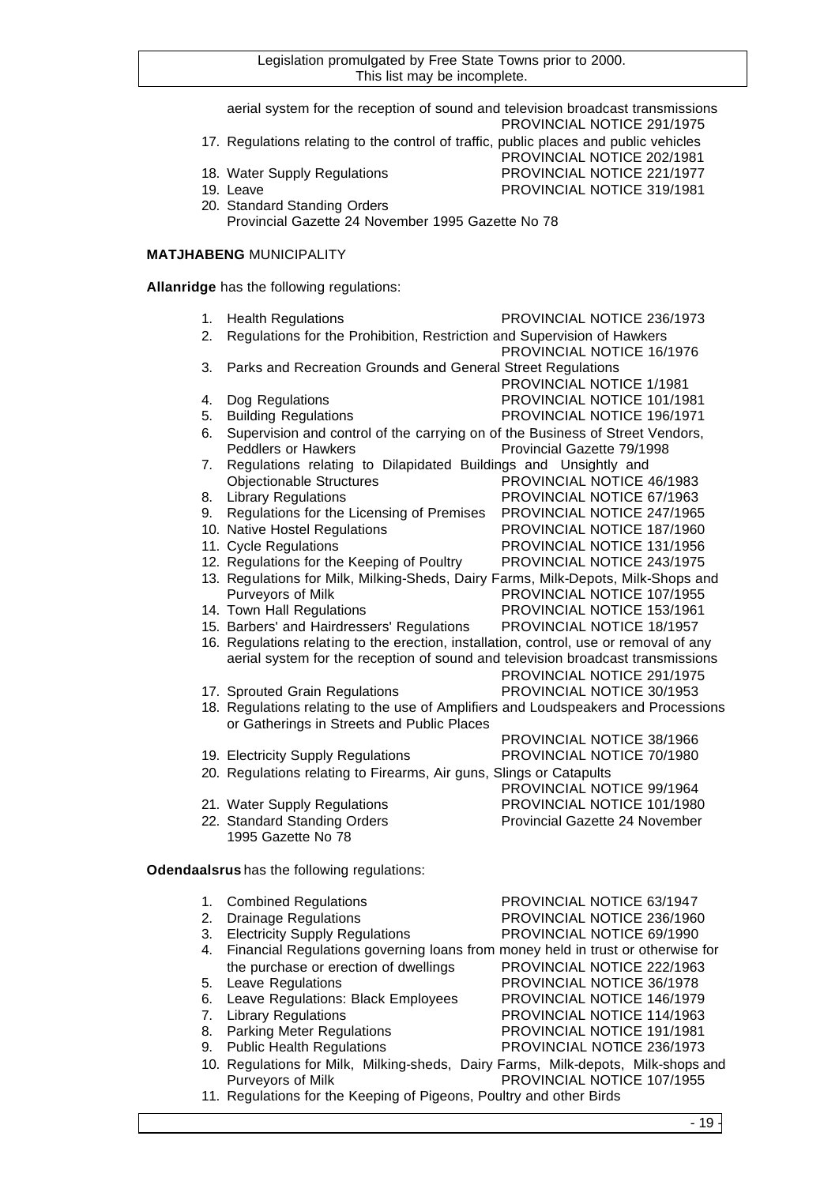|          | aerial system for the reception of sound and television broadcast transmissions                             | PROVINCIAL NOTICE 291/1975                               |
|----------|-------------------------------------------------------------------------------------------------------------|----------------------------------------------------------|
|          | 17. Regulations relating to the control of traffic, public places and public vehicles                       | PROVINCIAL NOTICE 202/1981                               |
|          | 18. Water Supply Regulations<br>19. Leave                                                                   | PROVINCIAL NOTICE 221/1977<br>PROVINCIAL NOTICE 319/1981 |
|          | 20. Standard Standing Orders<br>Provincial Gazette 24 November 1995 Gazette No 78                           |                                                          |
|          | <b>MATJHABENG MUNICIPALITY</b>                                                                              |                                                          |
|          | Allanridge has the following regulations:                                                                   |                                                          |
| 1.       | <b>Health Regulations</b>                                                                                   | PROVINCIAL NOTICE 236/1973                               |
| 2.       | Regulations for the Prohibition, Restriction and Supervision of Hawkers                                     | PROVINCIAL NOTICE 16/1976                                |
| 3.       | Parks and Recreation Grounds and General Street Regulations                                                 |                                                          |
|          |                                                                                                             | PROVINCIAL NOTICE 1/1981                                 |
| 4.<br>5. | Dog Regulations<br><b>Building Regulations</b>                                                              | PROVINCIAL NOTICE 101/1981<br>PROVINCIAL NOTICE 196/1971 |
| 6.       | Supervision and control of the carrying on of the Business of Street Vendors,<br><b>Peddlers or Hawkers</b> | Provincial Gazette 79/1998                               |
| 7.       | Regulations relating to Dilapidated Buildings and Unsightly and                                             |                                                          |
|          | <b>Objectionable Structures</b>                                                                             | PROVINCIAL NOTICE 46/1983                                |
| 8.       | <b>Library Regulations</b>                                                                                  | PROVINCIAL NOTICE 67/1963                                |
| 9.       | Regulations for the Licensing of Premises                                                                   | PROVINCIAL NOTICE 247/1965                               |
|          | 10. Native Hostel Regulations                                                                               | PROVINCIAL NOTICE 187/1960                               |
|          | 11. Cycle Regulations                                                                                       | PROVINCIAL NOTICE 131/1956                               |
|          | 12. Regulations for the Keeping of Poultry                                                                  | PROVINCIAL NOTICE 243/1975                               |
|          | 13. Regulations for Milk, Milking-Sheds, Dairy Farms, Milk-Depots, Milk-Shops and                           |                                                          |
|          | Purveyors of Milk                                                                                           | PROVINCIAL NOTICE 107/1955                               |
|          | 14. Town Hall Regulations                                                                                   | PROVINCIAL NOTICE 153/1961                               |
|          | 15. Barbers' and Hairdressers' Regulations                                                                  | PROVINCIAL NOTICE 18/1957                                |
|          | 16. Regulations relating to the erection, installation, control, use or removal of any                      |                                                          |
|          | aerial system for the reception of sound and television broadcast transmissions                             |                                                          |
|          |                                                                                                             | PROVINCIAL NOTICE 291/1975                               |
|          | 17. Sprouted Grain Regulations                                                                              | PROVINCIAL NOTICE 30/1953                                |
|          | 18. Regulations relating to the use of Amplifiers and Loudspeakers and Processions                          |                                                          |
|          | or Gatherings in Streets and Public Places                                                                  |                                                          |
|          |                                                                                                             | PROVINCIAL NOTICE 38/1966                                |
|          | 19. Electricity Supply Regulations                                                                          | PROVINCIAL NOTICE 70/1980                                |
|          | 20. Regulations relating to Firearms, Air guns, Slings or Catapults                                         |                                                          |
|          |                                                                                                             | PROVINCIAL NOTICE 99/1964                                |
|          | 21. Water Supply Regulations                                                                                | PROVINCIAL NOTICE 101/1980                               |
|          | 22. Standard Standing Orders<br>1995 Gazette No 78                                                          | Provincial Gazette 24 November                           |
|          | Odendaalsrus has the following regulations:                                                                 |                                                          |
| 1.       | <b>Combined Regulations</b>                                                                                 | PROVINCIAL NOTICE 63/1947                                |
| 2.       | <b>Drainage Regulations</b>                                                                                 | PROVINCIAL NOTICE 236/1960                               |
| 3.       | <b>Electricity Supply Regulations</b>                                                                       | PROVINCIAL NOTICE 69/1990                                |
| 4.       | Financial Regulations governing loans from money held in trust or otherwise for                             |                                                          |
|          | the purchase or erection of dwellings                                                                       | PROVINCIAL NOTICE 222/1963                               |
| 5.       | <b>Leave Regulations</b>                                                                                    | PROVINCIAL NOTICE 36/1978                                |
| 6.       | Leave Regulations: Black Employees                                                                          | PROVINCIAL NOTICE 146/1979                               |
| 7.       | <b>Library Regulations</b>                                                                                  | PROVINCIAL NOTICE 114/1963                               |
| 8.       | <b>Parking Meter Regulations</b>                                                                            | PROVINCIAL NOTICE 191/1981                               |
| 9.       | <b>Public Health Regulations</b>                                                                            | PROVINCIAL NOTICE 236/1973                               |
|          | 10. Regulations for Milk, Milking-sheds, Dairy Farms, Milk-depots, Milk-shops and                           |                                                          |
|          |                                                                                                             |                                                          |

- Purveyors of Milk **PROVINCIAL NOTICE 107/1955** 11. Regulations for the Keeping of Pigeons, Poultry and other Birds
	- $-19-$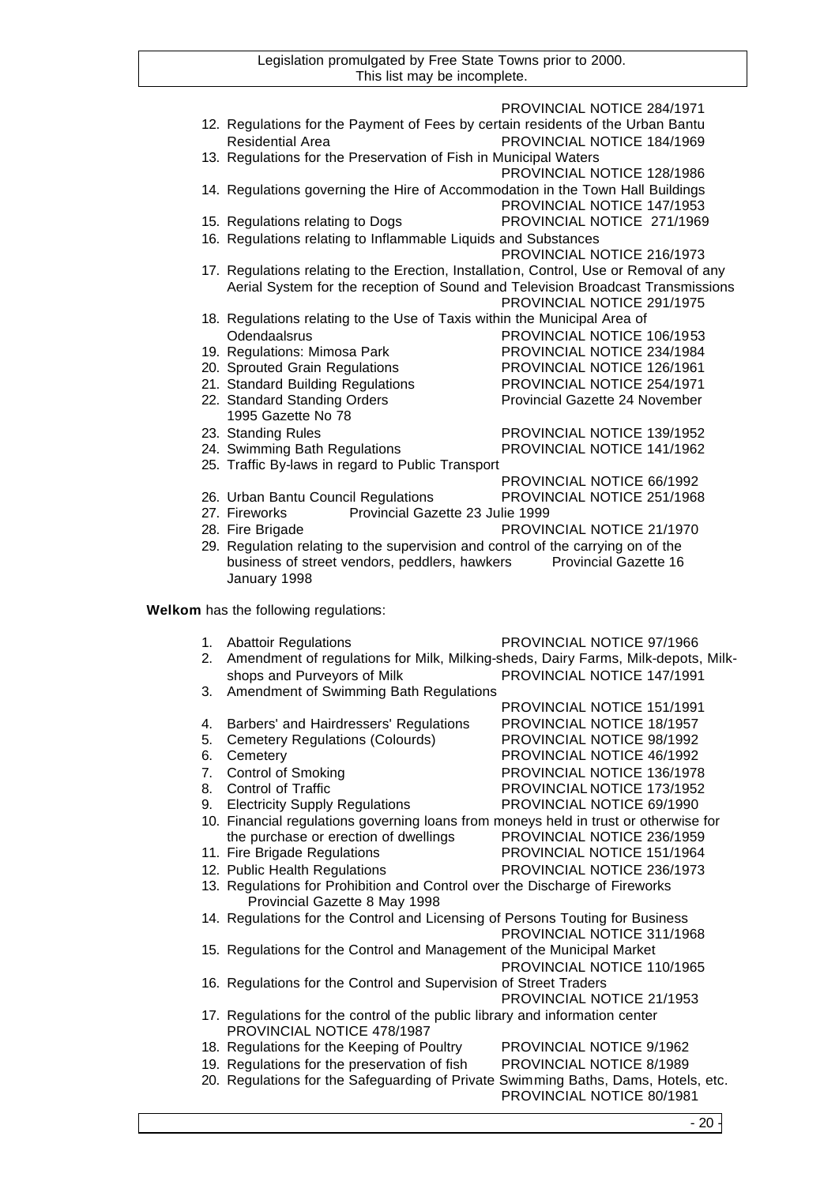|    | 12. Regulations for the Payment of Fees by certain residents of the Urban Bantu                                                    | PROVINCIAL NOTICE 284/1971                               |
|----|------------------------------------------------------------------------------------------------------------------------------------|----------------------------------------------------------|
|    | <b>Residential Area</b>                                                                                                            | PROVINCIAL NOTICE 184/1969                               |
|    | 13. Regulations for the Preservation of Fish in Municipal Waters                                                                   |                                                          |
|    |                                                                                                                                    | PROVINCIAL NOTICE 128/1986                               |
|    | 14. Regulations governing the Hire of Accommodation in the Town Hall Buildings                                                     |                                                          |
|    |                                                                                                                                    | PROVINCIAL NOTICE 147/1953                               |
|    | 15. Regulations relating to Dogs                                                                                                   | PROVINCIAL NOTICE 271/1969                               |
|    | 16. Regulations relating to Inflammable Liquids and Substances                                                                     |                                                          |
|    |                                                                                                                                    | PROVINCIAL NOTICE 216/1973                               |
|    | 17. Regulations relating to the Erection, Installation, Control, Use or Removal of any                                             |                                                          |
|    | Aerial System for the reception of Sound and Television Broadcast Transmissions                                                    |                                                          |
|    |                                                                                                                                    | PROVINCIAL NOTICE 291/1975                               |
|    | 18. Regulations relating to the Use of Taxis within the Municipal Area of                                                          |                                                          |
|    | Odendaalsrus                                                                                                                       | PROVINCIAL NOTICE 106/1953                               |
|    | 19. Regulations: Mimosa Park<br>20. Sprouted Grain Regulations                                                                     | PROVINCIAL NOTICE 234/1984<br>PROVINCIAL NOTICE 126/1961 |
|    | 21. Standard Building Regulations                                                                                                  | PROVINCIAL NOTICE 254/1971                               |
|    | 22. Standard Standing Orders                                                                                                       | Provincial Gazette 24 November                           |
|    | 1995 Gazette No 78                                                                                                                 |                                                          |
|    | 23. Standing Rules                                                                                                                 | PROVINCIAL NOTICE 139/1952                               |
|    | 24. Swimming Bath Regulations                                                                                                      | PROVINCIAL NOTICE 141/1962                               |
|    | 25. Traffic By-laws in regard to Public Transport                                                                                  |                                                          |
|    |                                                                                                                                    | PROVINCIAL NOTICE 66/1992                                |
|    | 26. Urban Bantu Council Regulations                                                                                                | PROVINCIAL NOTICE 251/1968                               |
|    | Provincial Gazette 23 Julie 1999<br>27. Fireworks                                                                                  |                                                          |
|    | 28. Fire Brigade                                                                                                                   | PROVINCIAL NOTICE 21/1970                                |
|    | 29. Regulation relating to the supervision and control of the carrying on of the                                                   |                                                          |
|    | business of street vendors, peddlers, hawkers Provincial Gazette 16<br>January 1998                                                |                                                          |
|    |                                                                                                                                    |                                                          |
|    |                                                                                                                                    |                                                          |
|    |                                                                                                                                    |                                                          |
|    | Welkom has the following regulations:                                                                                              |                                                          |
|    | 1. Abattoir Regulations                                                                                                            | PROVINCIAL NOTICE 97/1966                                |
| 2. | Amendment of regulations for Milk, Milking-sheds, Dairy Farms, Milk-depots, Milk-                                                  |                                                          |
|    | shops and Purveyors of Milk                                                                                                        | PROVINCIAL NOTICE 147/1991                               |
|    | 3. Amendment of Swimming Bath Regulations                                                                                          |                                                          |
|    |                                                                                                                                    | PROVINCIAL NOTICE 151/1991                               |
| 4. | Barbers' and Hairdressers' Regulations                                                                                             | PROVINCIAL NOTICE 18/1957                                |
| 5. | <b>Cemetery Regulations (Colourds)</b>                                                                                             | PROVINCIAL NOTICE 98/1992                                |
| 6. | Cemetery                                                                                                                           | PROVINCIAL NOTICE 46/1992                                |
| 7. | <b>Control of Smoking</b>                                                                                                          | PROVINCIAL NOTICE 136/1978                               |
| 8. | Control of Traffic                                                                                                                 | PROVINCIAL NOTICE 173/1952                               |
| 9. | <b>Electricity Supply Regulations</b>                                                                                              | PROVINCIAL NOTICE 69/1990                                |
|    | 10. Financial regulations governing loans from moneys held in trust or otherwise for<br>the purchase or erection of dwellings      | PROVINCIAL NOTICE 236/1959                               |
|    | 11. Fire Brigade Regulations                                                                                                       | PROVINCIAL NOTICE 151/1964                               |
|    | 12. Public Health Regulations                                                                                                      | PROVINCIAL NOTICE 236/1973                               |
|    | 13. Regulations for Prohibition and Control over the Discharge of Fireworks                                                        |                                                          |
|    | Provincial Gazette 8 May 1998                                                                                                      |                                                          |
|    | 14. Regulations for the Control and Licensing of Persons Touting for Business                                                      |                                                          |
|    |                                                                                                                                    | PROVINCIAL NOTICE 311/1968                               |
|    | 15. Regulations for the Control and Management of the Municipal Market                                                             |                                                          |
|    |                                                                                                                                    | PROVINCIAL NOTICE 110/1965                               |
|    | 16. Regulations for the Control and Supervision of Street Traders                                                                  |                                                          |
|    |                                                                                                                                    | PROVINCIAL NOTICE 21/1953                                |
|    | 17. Regulations for the control of the public library and information center                                                       |                                                          |
|    | PROVINCIAL NOTICE 478/1987                                                                                                         |                                                          |
|    | 18. Regulations for the Keeping of Poultry                                                                                         | PROVINCIAL NOTICE 9/1962                                 |
|    | 19. Regulations for the preservation of fish<br>20. Regulations for the Safeguarding of Private Swimming Baths, Dams, Hotels, etc. | PROVINCIAL NOTICE 8/1989                                 |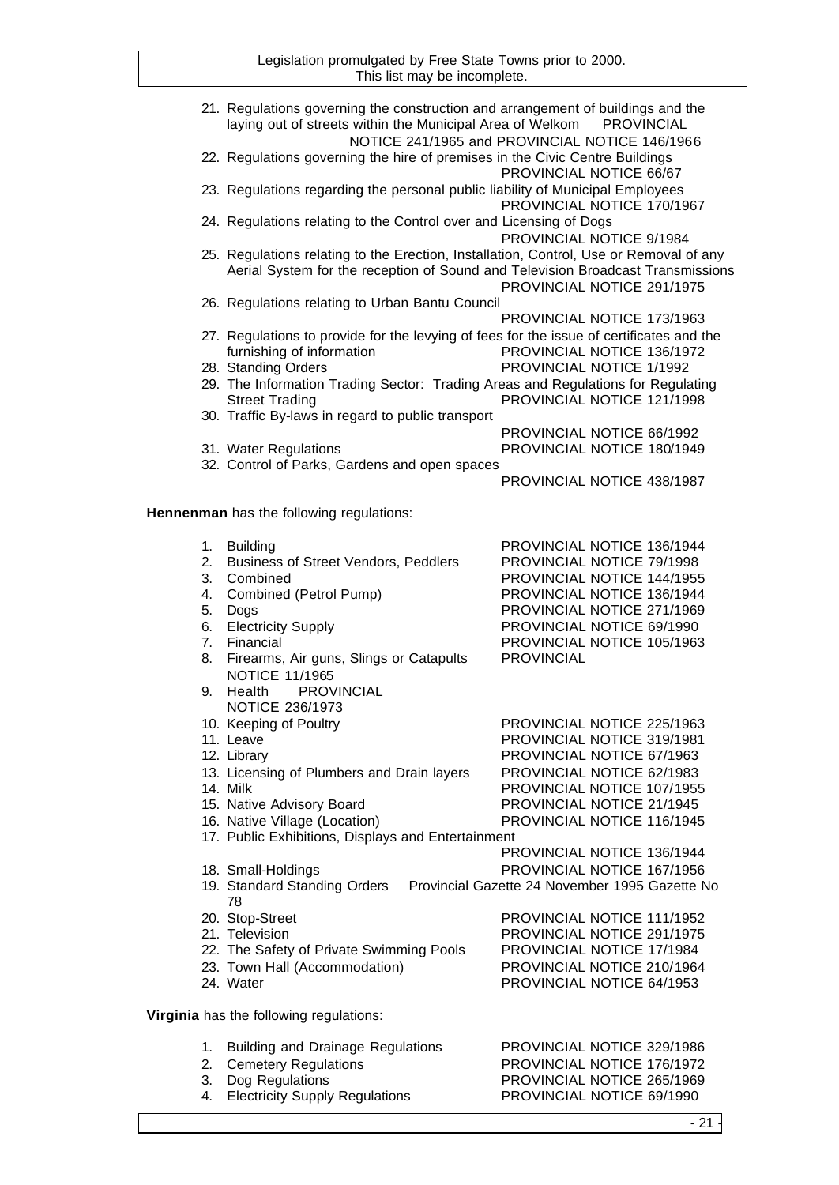|                | 21. Regulations governing the construction and arrangement of buildings and the<br>laying out of streets within the Municipal Area of Welkom                              | <b>PROVINCIAL</b><br>NOTICE 241/1965 and PROVINCIAL NOTICE 146/1966          |
|----------------|---------------------------------------------------------------------------------------------------------------------------------------------------------------------------|------------------------------------------------------------------------------|
|                | 22. Regulations governing the hire of premises in the Civic Centre Buildings                                                                                              | PROVINCIAL NOTICE 66/67                                                      |
|                | 23. Regulations regarding the personal public liability of Municipal Employees                                                                                            | PROVINCIAL NOTICE 170/1967                                                   |
|                | 24. Regulations relating to the Control over and Licensing of Dogs                                                                                                        | PROVINCIAL NOTICE 9/1984                                                     |
|                | 25. Regulations relating to the Erection, Installation, Control, Use or Removal of any<br>Aerial System for the reception of Sound and Television Broadcast Transmissions | PROVINCIAL NOTICE 291/1975                                                   |
|                | 26. Regulations relating to Urban Bantu Council                                                                                                                           | PROVINCIAL NOTICE 173/1963                                                   |
|                | 27. Regulations to provide for the levying of fees for the issue of certificates and the<br>furnishing of information                                                     | PROVINCIAL NOTICE 136/1972                                                   |
|                | 28. Standing Orders                                                                                                                                                       | PROVINCIAL NOTICE 1/1992                                                     |
|                | 29. The Information Trading Sector: Trading Areas and Regulations for Regulating<br><b>Street Trading</b>                                                                 | PROVINCIAL NOTICE 121/1998                                                   |
|                | 30. Traffic By-laws in regard to public transport                                                                                                                         |                                                                              |
|                |                                                                                                                                                                           | PROVINCIAL NOTICE 66/1992                                                    |
|                | 31. Water Regulations                                                                                                                                                     | PROVINCIAL NOTICE 180/1949                                                   |
|                | 32. Control of Parks, Gardens and open spaces                                                                                                                             |                                                                              |
|                |                                                                                                                                                                           | PROVINCIAL NOTICE 438/1987                                                   |
|                | Hennenman has the following regulations:                                                                                                                                  |                                                                              |
| 1.             | <b>Building</b>                                                                                                                                                           | PROVINCIAL NOTICE 136/1944                                                   |
| 2.             | <b>Business of Street Vendors, Peddlers</b>                                                                                                                               | PROVINCIAL NOTICE 79/1998                                                    |
| 3.             | Combined                                                                                                                                                                  | PROVINCIAL NOTICE 144/1955                                                   |
| 4.             | Combined (Petrol Pump)                                                                                                                                                    | PROVINCIAL NOTICE 136/1944                                                   |
| 5.             | Dogs                                                                                                                                                                      | PROVINCIAL NOTICE 271/1969                                                   |
| 6.             | <b>Electricity Supply</b>                                                                                                                                                 | PROVINCIAL NOTICE 69/1990                                                    |
| 7 <sub>1</sub> | Financial                                                                                                                                                                 | PROVINCIAL NOTICE 105/1963                                                   |
| 8.             | Firearms, Air guns, Slings or Catapults<br>NOTICE 11/1965                                                                                                                 | <b>PROVINCIAL</b>                                                            |
| 9.             | Health<br><b>PROVINCIAL</b><br><b>NOTICE 236/1973</b>                                                                                                                     |                                                                              |
|                | 10. Keeping of Poultry                                                                                                                                                    | PROVINCIAL NOTICE 225/1963                                                   |
|                | 11. Leave                                                                                                                                                                 | PROVINCIAL NOTICE 319/1981                                                   |
|                | 12. Library                                                                                                                                                               | PROVINCIAL NOTICE 67/1963                                                    |
|                | 13. Licensing of Plumbers and Drain layers                                                                                                                                | PROVINCIAL NOTICE 62/1983                                                    |
|                | 14. Milk                                                                                                                                                                  | PROVINCIAL NOTICE 107/1955                                                   |
|                | 15. Native Advisory Board                                                                                                                                                 | PROVINCIAL NOTICE 21/1945                                                    |
|                | 16. Native Village (Location)                                                                                                                                             | PROVINCIAL NOTICE 116/1945                                                   |
|                | 17. Public Exhibitions, Displays and Entertainment                                                                                                                        |                                                                              |
|                |                                                                                                                                                                           | PROVINCIAL NOTICE 136/1944                                                   |
|                | 18. Small-Holdings<br>19. Standard Standing Orders<br>78                                                                                                                  | PROVINCIAL NOTICE 167/1956<br>Provincial Gazette 24 November 1995 Gazette No |
|                | 20. Stop-Street                                                                                                                                                           | PROVINCIAL NOTICE 111/1952                                                   |
|                | 21. Television                                                                                                                                                            | PROVINCIAL NOTICE 291/1975                                                   |
|                | 22. The Safety of Private Swimming Pools                                                                                                                                  | PROVINCIAL NOTICE 17/1984                                                    |
|                | 23. Town Hall (Accommodation)                                                                                                                                             | PROVINCIAL NOTICE 210/1964                                                   |
|                | 24. Water                                                                                                                                                                 | PROVINCIAL NOTICE 64/1953                                                    |
|                | Virginia has the following regulations:                                                                                                                                   |                                                                              |
| 1.             | <b>Building and Drainage Regulations</b>                                                                                                                                  | PROVINCIAL NOTICE 329/1986                                                   |
| 2.             | <b>Cemetery Regulations</b>                                                                                                                                               | PROVINCIAL NOTICE 176/1972                                                   |
| 3.             | Dog Regulations                                                                                                                                                           | PROVINCIAL NOTICE 265/1969                                                   |
| 4.             | <b>Electricity Supply Regulations</b>                                                                                                                                     | PROVINCIAL NOTICE 69/1990                                                    |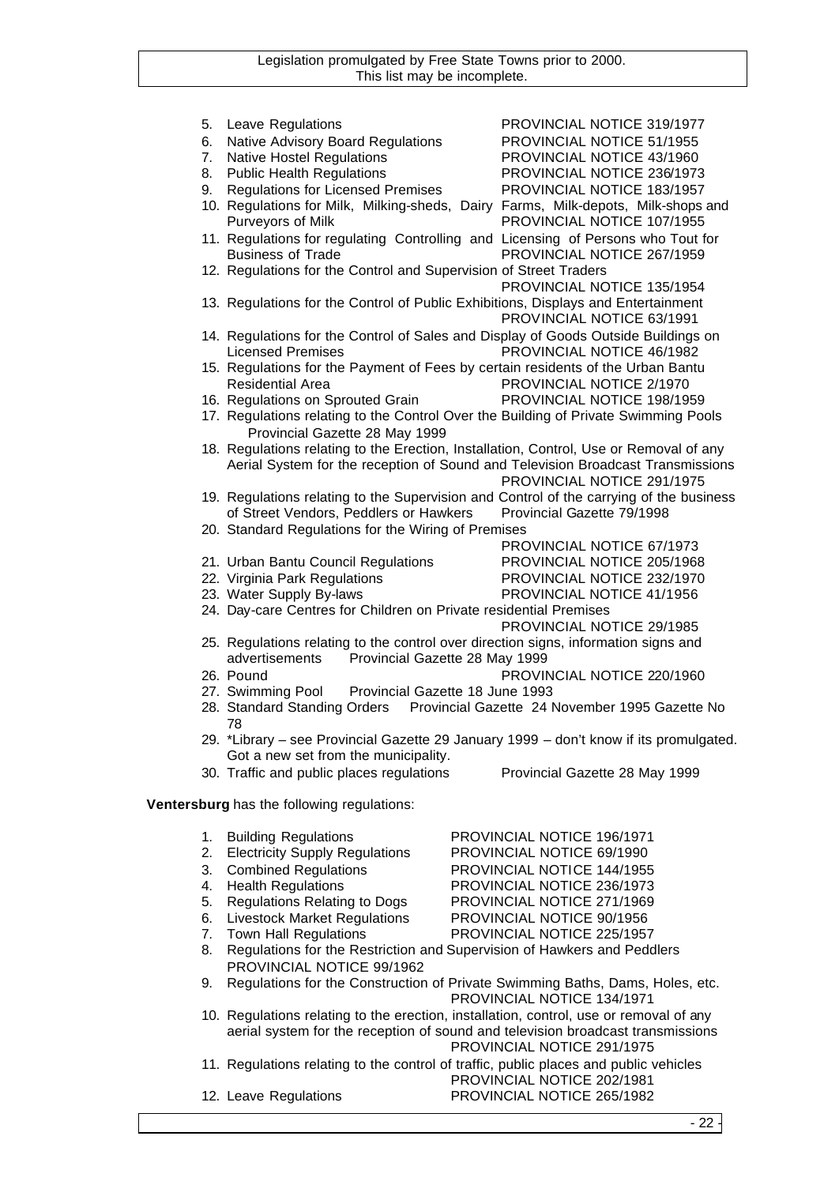|    | 5. Leave Regulations                                                                   | PROVINCIAL NOTICE 319/1977                                                              |
|----|----------------------------------------------------------------------------------------|-----------------------------------------------------------------------------------------|
|    |                                                                                        |                                                                                         |
| 6. | Native Advisory Board Regulations                                                      | PROVINCIAL NOTICE 51/1955                                                               |
| 7. | <b>Native Hostel Regulations</b>                                                       | PROVINCIAL NOTICE 43/1960                                                               |
| 8. | <b>Public Health Regulations</b>                                                       | PROVINCIAL NOTICE 236/1973                                                              |
| 9. | <b>Regulations for Licensed Premises</b>                                               | PROVINCIAL NOTICE 183/1957                                                              |
|    |                                                                                        | 10. Regulations for Milk, Milking-sheds, Dairy Farms, Milk-depots, Milk-shops and       |
|    | Purveyors of Milk                                                                      | PROVINCIAL NOTICE 107/1955                                                              |
|    | 11. Regulations for regulating Controlling and Licensing of Persons who Tout for       |                                                                                         |
|    | <b>Business of Trade</b>                                                               | PROVINCIAL NOTICE 267/1959                                                              |
|    | 12. Regulations for the Control and Supervision of Street Traders                      |                                                                                         |
|    |                                                                                        | PROVINCIAL NOTICE 135/1954                                                              |
|    |                                                                                        |                                                                                         |
|    | 13. Regulations for the Control of Public Exhibitions, Displays and Entertainment      |                                                                                         |
|    |                                                                                        | PROVINCIAL NOTICE 63/1991                                                               |
|    | 14. Regulations for the Control of Sales and Display of Goods Outside Buildings on     |                                                                                         |
|    | <b>Licensed Premises</b>                                                               | PROVINCIAL NOTICE 46/1982                                                               |
|    | 15. Regulations for the Payment of Fees by certain residents of the Urban Bantu        |                                                                                         |
|    | <b>Residential Area</b>                                                                | PROVINCIAL NOTICE 2/1970                                                                |
|    | 16. Regulations on Sprouted Grain                                                      | PROVINCIAL NOTICE 198/1959                                                              |
|    |                                                                                        | 17. Regulations relating to the Control Over the Building of Private Swimming Pools     |
|    | Provincial Gazette 28 May 1999                                                         |                                                                                         |
|    |                                                                                        | 18. Regulations relating to the Erection, Installation, Control, Use or Removal of any  |
|    |                                                                                        | Aerial System for the reception of Sound and Television Broadcast Transmissions         |
|    |                                                                                        | PROVINCIAL NOTICE 291/1975                                                              |
|    |                                                                                        | 19. Regulations relating to the Supervision and Control of the carrying of the business |
|    | of Street Vendors, Peddlers or Hawkers                                                 | Provincial Gazette 79/1998                                                              |
|    | 20. Standard Regulations for the Wiring of Premises                                    |                                                                                         |
|    |                                                                                        | PROVINCIAL NOTICE 67/1973                                                               |
|    | 21. Urban Bantu Council Regulations                                                    | PROVINCIAL NOTICE 205/1968                                                              |
|    |                                                                                        |                                                                                         |
|    | 22. Virginia Park Regulations                                                          | PROVINCIAL NOTICE 232/1970                                                              |
|    | 23. Water Supply By-laws                                                               | PROVINCIAL NOTICE 41/1956                                                               |
|    | 24. Day-care Centres for Children on Private residential Premises                      |                                                                                         |
|    |                                                                                        | PROVINCIAL NOTICE 29/1985                                                               |
|    | 25. Regulations relating to the control over direction signs, information signs and    |                                                                                         |
|    | advertisements<br>Provincial Gazette 28 May 1999                                       |                                                                                         |
|    | 26. Pound                                                                              | PROVINCIAL NOTICE 220/1960                                                              |
|    | 27. Swimming Pool Provincial Gazette 18 June 1993                                      |                                                                                         |
|    |                                                                                        | 28. Standard Standing Orders  Provincial Gazette 24 November 1995 Gazette No            |
|    | 78                                                                                     |                                                                                         |
|    |                                                                                        | 29. *Library - see Provincial Gazette 29 January 1999 - don't know if its promulgated.  |
|    | Got a new set from the municipality.                                                   |                                                                                         |
|    | 30. Traffic and public places regulations                                              | Provincial Gazette 28 May 1999                                                          |
|    |                                                                                        |                                                                                         |
|    | Ventersburg has the following regulations:                                             |                                                                                         |
|    |                                                                                        |                                                                                         |
| 1. | <b>Building Regulations</b>                                                            | PROVINCIAL NOTICE 196/1971                                                              |
| 2. | <b>Electricity Supply Regulations</b>                                                  | PROVINCIAL NOTICE 69/1990                                                               |
| 3. | <b>Combined Regulations</b>                                                            | PROVINCIAL NOTICE 144/1955                                                              |
| 4. | <b>Health Regulations</b>                                                              | PROVINCIAL NOTICE 236/1973                                                              |
| 5. | <b>Regulations Relating to Dogs</b>                                                    | PROVINCIAL NOTICE 271/1969                                                              |
| 6. | <b>Livestock Market Regulations</b>                                                    | PROVINCIAL NOTICE 90/1956                                                               |
| 7. | <b>Town Hall Regulations</b>                                                           | PROVINCIAL NOTICE 225/1957                                                              |
| 8. | Regulations for the Restriction and Supervision of Hawkers and Peddlers                |                                                                                         |
|    | PROVINCIAL NOTICE 99/1962                                                              |                                                                                         |
| 9. | Regulations for the Construction of Private Swimming Baths, Dams, Holes, etc.          |                                                                                         |
|    |                                                                                        |                                                                                         |
|    |                                                                                        | PROVINCIAL NOTICE 134/1971                                                              |
|    | 10. Regulations relating to the erection, installation, control, use or removal of any |                                                                                         |
|    | aerial system for the reception of sound and television broadcast transmissions        |                                                                                         |
|    |                                                                                        | PROVINCIAL NOTICE 291/1975                                                              |
|    | 11. Regulations relating to the control of traffic, public places and public vehicles  |                                                                                         |
|    |                                                                                        | PROVINCIAL NOTICE 202/1981                                                              |

12. Leave Regulations PROVINCIAL NOTICE 265/1982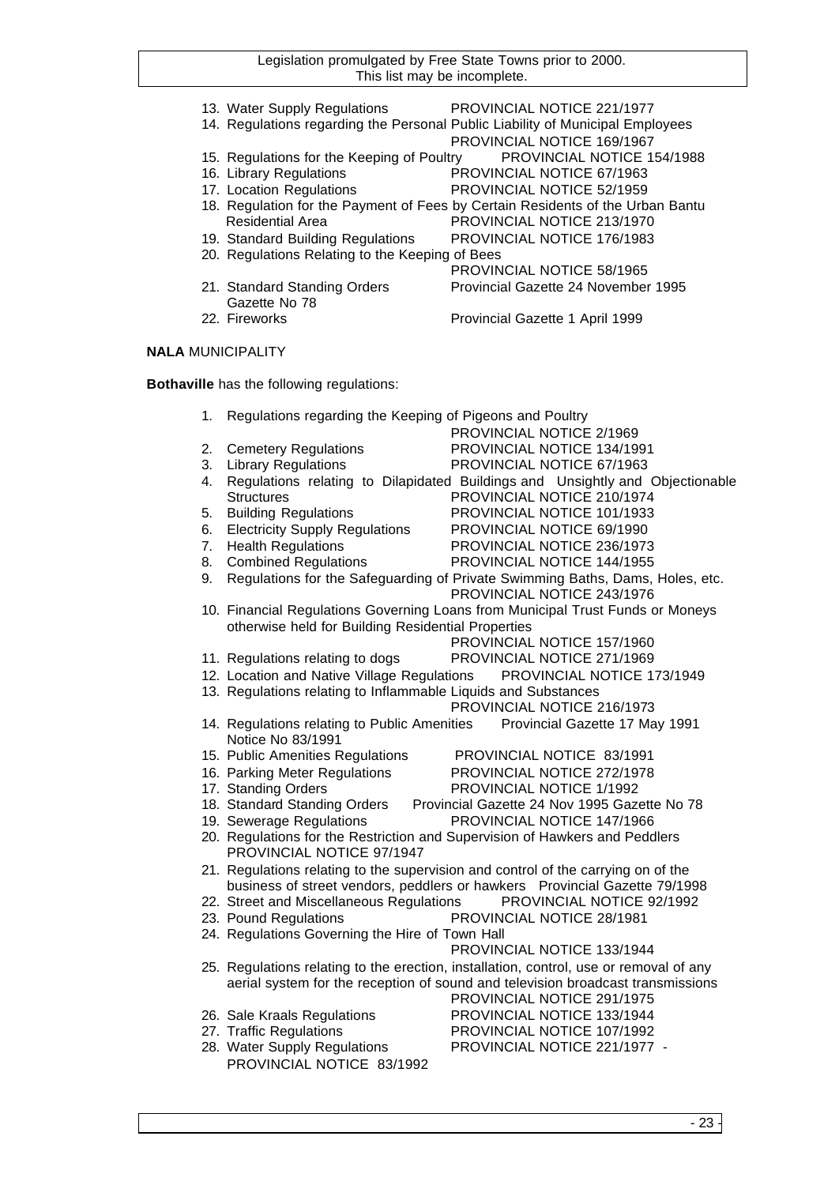13. Water Supply Regulations PROVINCIAL NOTICE 221/1977 14. Regulations regarding the Personal Public Liability of Municipal Employees PROVINCIAL NOTICE 169/1967 15. Regulations for the Keeping of Poultry PROVINCIAL NOTICE 154/1988 16. Library Regulations PROVINCIAL NOTICE 67/1963 17. Location Regulations **PROVINCIAL NOTICE 52/1959** 18. Regulation for the Payment of Fees by Certain Residents of the Urban Bantu Residential Area **PROVINCIAL NOTICE 213/1970** 19. Standard Building Regulations PROVINCIAL NOTICE 176/1983 20. Regulations Relating to the Keeping of Bees PROVINCIAL NOTICE 58/1965 21. Standard Standing Orders Provincial Gazette 24 November 1995 Gazette No 78 22. Fireworks **Provincial Gazette 1 April 1999 NALA** MUNICIPALITY

**Bothaville** has the following regulations:

| 1. | Regulations regarding the Keeping of Pigeons and Poultry       |                                                                                                             |
|----|----------------------------------------------------------------|-------------------------------------------------------------------------------------------------------------|
|    |                                                                | PROVINCIAL NOTICE 2/1969                                                                                    |
| 2. | <b>Cemetery Regulations</b>                                    | PROVINCIAL NOTICE 134/1991                                                                                  |
| 3. | <b>Library Regulations</b>                                     | PROVINCIAL NOTICE 67/1963                                                                                   |
| 4. |                                                                | Regulations relating to Dilapidated Buildings and Unsightly and Objectionable                               |
|    | <b>Structures</b>                                              | PROVINCIAL NOTICE 210/1974                                                                                  |
| 5. | <b>Building Regulations</b>                                    | PROVINCIAL NOTICE 101/1933                                                                                  |
| 6. | <b>Electricity Supply Regulations</b>                          | PROVINCIAL NOTICE 69/1990                                                                                   |
| 7. | <b>Health Regulations</b>                                      | PROVINCIAL NOTICE 236/1973                                                                                  |
| 8. | <b>Combined Regulations</b>                                    | PROVINCIAL NOTICE 144/1955                                                                                  |
| 9. |                                                                | Regulations for the Safeguarding of Private Swimming Baths, Dams, Holes, etc.<br>PROVINCIAL NOTICE 243/1976 |
|    |                                                                | 10. Financial Regulations Governing Loans from Municipal Trust Funds or Moneys                              |
|    | otherwise held for Building Residential Properties             |                                                                                                             |
|    |                                                                | PROVINCIAL NOTICE 157/1960                                                                                  |
|    | 11. Regulations relating to dogs                               | PROVINCIAL NOTICE 271/1969                                                                                  |
|    |                                                                | 12. Location and Native Village Regulations  PROVINCIAL NOTICE 173/1949                                     |
|    | 13. Regulations relating to Inflammable Liquids and Substances |                                                                                                             |
|    |                                                                | PROVINCIAL NOTICE 216/1973                                                                                  |
|    | Notice No 83/1991                                              | 14. Regulations relating to Public Amenities Provincial Gazette 17 May 1991                                 |
|    | 15. Public Amenities Regulations                               | PROVINCIAL NOTICE 83/1991                                                                                   |
|    | 16. Parking Meter Regulations                                  | PROVINCIAL NOTICE 272/1978                                                                                  |
|    | 17. Standing Orders                                            | PROVINCIAL NOTICE 1/1992                                                                                    |
|    | 18. Standard Standing Orders                                   | Provincial Gazette 24 Nov 1995 Gazette No 78                                                                |
|    | 19. Sewerage Regulations                                       | PROVINCIAL NOTICE 147/1966                                                                                  |
|    | PROVINCIAL NOTICE 97/1947                                      | 20. Regulations for the Restriction and Supervision of Hawkers and Peddlers                                 |
|    |                                                                | 21. Regulations relating to the supervision and control of the carrying on of the                           |
|    |                                                                | business of street vendors, peddlers or hawkers Provincial Gazette 79/1998                                  |
|    | 22. Street and Miscellaneous Regulations                       | PROVINCIAL NOTICE 92/1992                                                                                   |
|    | 23. Pound Regulations                                          | PROVINCIAL NOTICE 28/1981                                                                                   |
|    | 24. Regulations Governing the Hire of Town Hall                |                                                                                                             |
|    |                                                                | PROVINCIAL NOTICE 133/1944                                                                                  |
|    |                                                                | 25. Regulations relating to the erection, installation, control, use or removal of any                      |
|    |                                                                | aerial system for the reception of sound and television broadcast transmissions                             |
|    |                                                                | PROVINCIAL NOTICE 291/1975                                                                                  |
|    | 26. Sale Kraals Regulations                                    | PROVINCIAL NOTICE 133/1944                                                                                  |
|    | 27. Traffic Regulations                                        | PROVINCIAL NOTICE 107/1992                                                                                  |
|    | 28. Water Supply Regulations                                   | PROVINCIAL NOTICE 221/1977 -                                                                                |
|    | PROVINCIAL NOTICE 83/1992                                      |                                                                                                             |
|    |                                                                |                                                                                                             |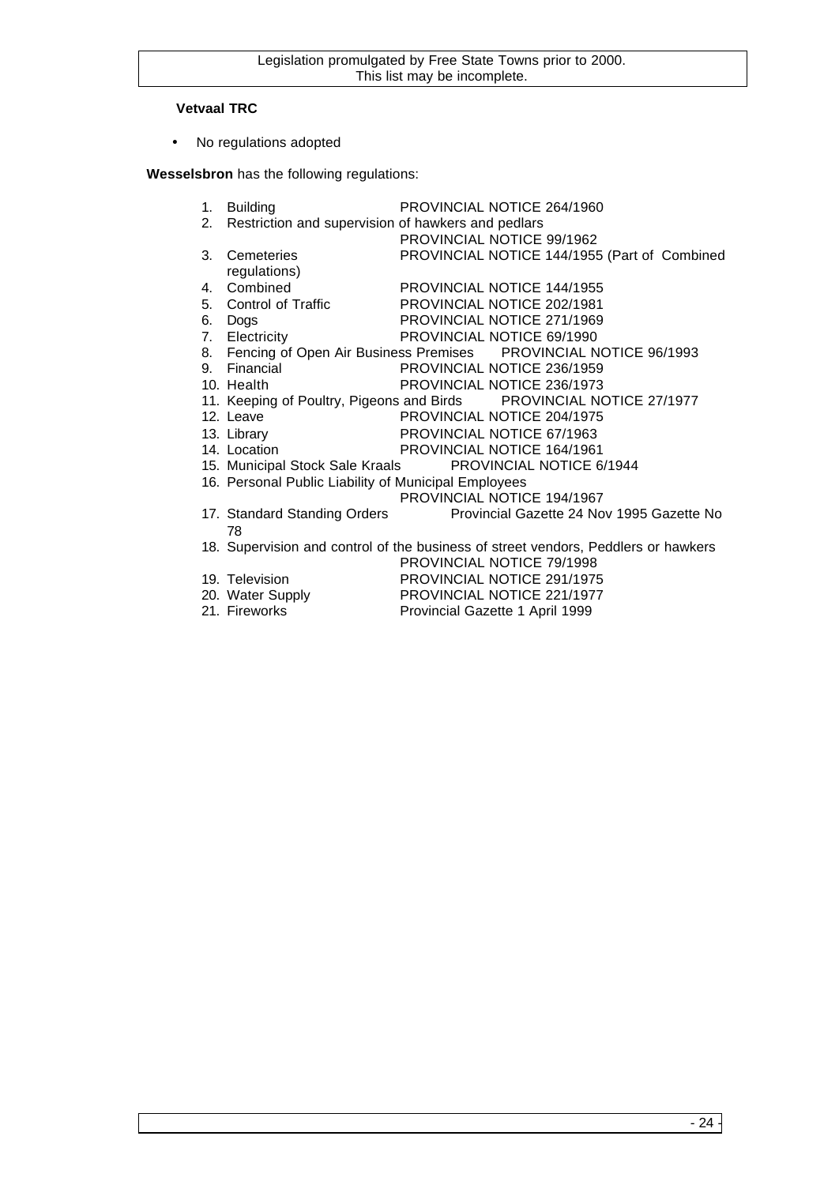## **Vetvaal TRC**

• No regulations adopted

**Wesselsbron** has the following regulations:

|    | 1. Building                                           | PROVINCIAL NOTICE 264/1960                                                                 |
|----|-------------------------------------------------------|--------------------------------------------------------------------------------------------|
|    | 2. Restriction and supervision of hawkers and pedlars |                                                                                            |
|    |                                                       | PROVINCIAL NOTICE 99/1962                                                                  |
| 3. | Cemeteries                                            | PROVINCIAL NOTICE 144/1955 (Part of Combined                                               |
|    | regulations)                                          |                                                                                            |
|    |                                                       |                                                                                            |
|    |                                                       | 4. Combined PROVINCIAL NOTICE 144/1955<br>5. Control of Traffic PROVINCIAL NOTICE 202/1981 |
| 6. | Dogs                                                  | PROVINCIAL NOTICE 271/1969                                                                 |
|    | 7. Electricity                                        | PROVINCIAL NOTICE 69/1990                                                                  |
|    |                                                       | 8. Fencing of Open Air Business Premises PROVINCIAL NOTICE 96/1993                         |
|    | 9. Financial                                          | PROVINCIAL NOTICE 236/1959                                                                 |
|    | 10. Health                                            | PROVINCIAL NOTICE 236/1973                                                                 |
|    |                                                       | 11. Keeping of Poultry, Pigeons and Birds PROVINCIAL NOTICE 27/1977                        |
|    | 12. Leave                                             | PROVINCIAL NOTICE 204/1975                                                                 |
|    | 13. Library                                           | PROVINCIAL NUTILE 07/1300<br>PROVINCIAL NOTICE 164/1961<br>CONSIDERED ANOTICE 6            |
|    | 14. Location                                          |                                                                                            |
|    |                                                       | 15. Municipal Stock Sale Kraals PROVINCIAL NOTICE 6/1944                                   |
|    | 16. Personal Public Liability of Municipal Employees  |                                                                                            |
|    |                                                       | PROVINCIAL NOTICE 194/1967                                                                 |
|    |                                                       | 17. Standard Standing Orders <b>Provincial Gazette 24 Nov 1995 Gazette No</b>              |
|    | 78                                                    |                                                                                            |
|    |                                                       | 18. Supervision and control of the business of street vendors, Peddlers or hawkers         |
|    |                                                       | PROVINCIAL NOTICE 79/1998                                                                  |

- 
- 

19. Television PROVINCIAL NOTICE 291/1975<br>20. Water Supply PROVINCIAL NOTICE 221/1977 20. Water Supply PROVINCIAL NOTICE 221/1977<br>21. Fireworks Provincial Gazette 1 April 1999 Provincial Gazette 1 April 1999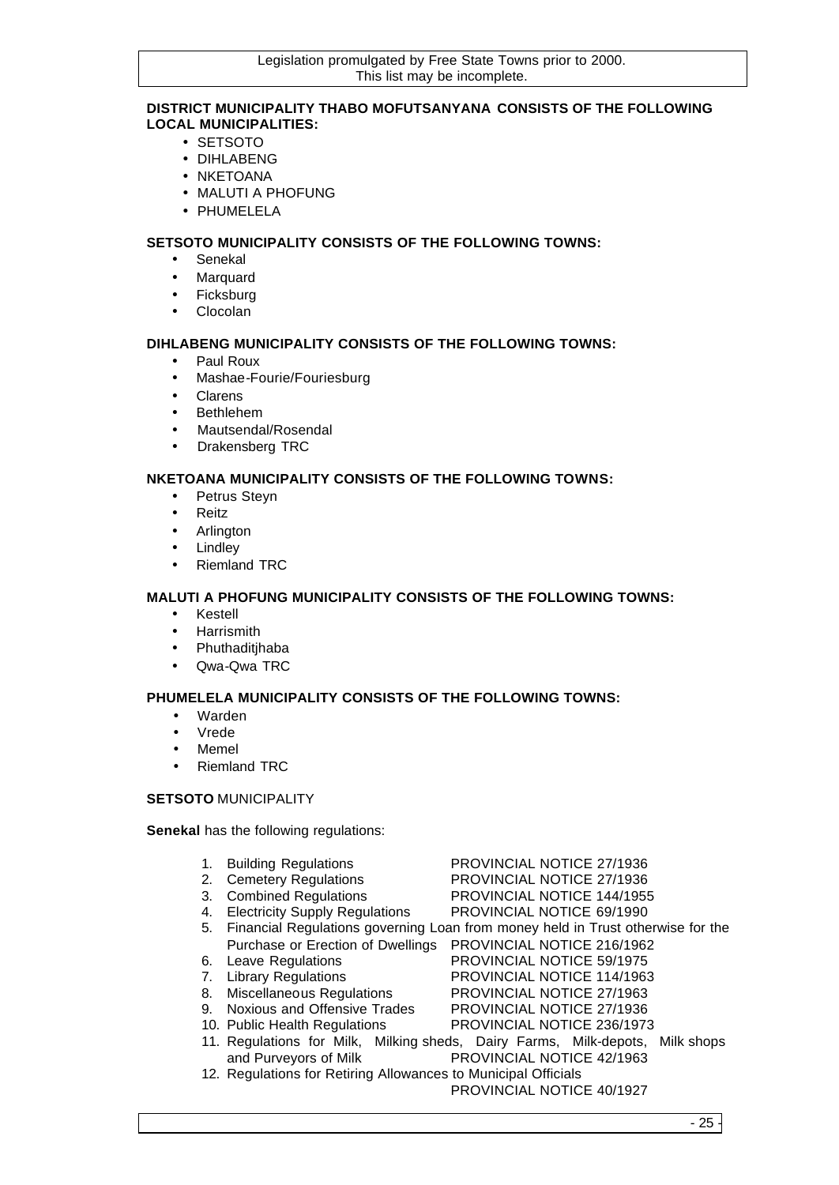## **DISTRICT MUNICIPALITY THABO MOFUTSANYANA CONSISTS OF THE FOLLOWING LOCAL MUNICIPALITIES:**

- SETSOTO
- DIHLABENG
- NKETOANA
- MALUTI A PHOFUNG
- PHUMELELA

## **SETSOTO MUNICIPALITY CONSISTS OF THE FOLLOWING TOWNS:**

- Senekal
- Marquard
- Ficksburg
- Clocolan

## **DIHLABENG MUNICIPALITY CONSISTS OF THE FOLLOWING TOWNS:**

- Paul Roux
- Mashae-Fourie/Fouriesburg
- Clarens
- **Bethlehem**
- Mautsendal/Rosendal
- Drakensberg TRC

## **NKETOANA MUNICIPALITY CONSISTS OF THE FOLLOWING TOWNS:**

- Petrus Steyn
- Reitz
- Arlington
- **Lindley**
- Riemland TRC

## **MALUTI A PHOFUNG MUNICIPALITY CONSISTS OF THE FOLLOWING TOWNS:**

- Kestell
- **Harrismith**
- Phuthaditjhaba
- Qwa-Qwa TRC

## **PHUMELELA MUNICIPALITY CONSISTS OF THE FOLLOWING TOWNS:**

- Warden
- Vrede
- Memel
- Riemland TRC

## **SETSOTO** MUNICIPALITY

**Senekal** has the following regulations:

- 1. Building Regulations **PROVINCIAL NOTICE 27/1936**
- 
- 3. Combined Regulations PROVINCIAL NOTICE 144/1955
- 2. Cemetery Regulations PROVINCIAL NOTICE 27/1936
	-
- 4. Electricity Supply Regulations PROVINCIAL NOTICE 69/1990 5. Financial Regulations governing Loan from money held in Trust otherwise for the Purchase or Erection of Dwellings PROVINCIAL NOTICE 216/1962
- 6. Leave Regulations PROVINCIAL NOTICE 59/1975
- 7. Library Regulations PROVINCIAL NOTICE 114/1963
- 
- 8. Miscellaneous Regulations PROVINCIAL NOTICE 27/1963<br>9. Noxious and Offensive Trades PROVINCIAL NOTICE 27/1936 9. Noxious and Offensive Trades
- 10. Public Health Regulations PROVINCIAL NOTICE 236/1973
- 11. Regulations for Milk, Milking sheds, Dairy Farms, Milk-depots, Milk shops and Purveyors of Milk PROVINCIAL NOTICE 42/1963
- 12. Regulations for Retiring Allowances to Municipal Officials

PROVINCIAL NOTICE 40/1927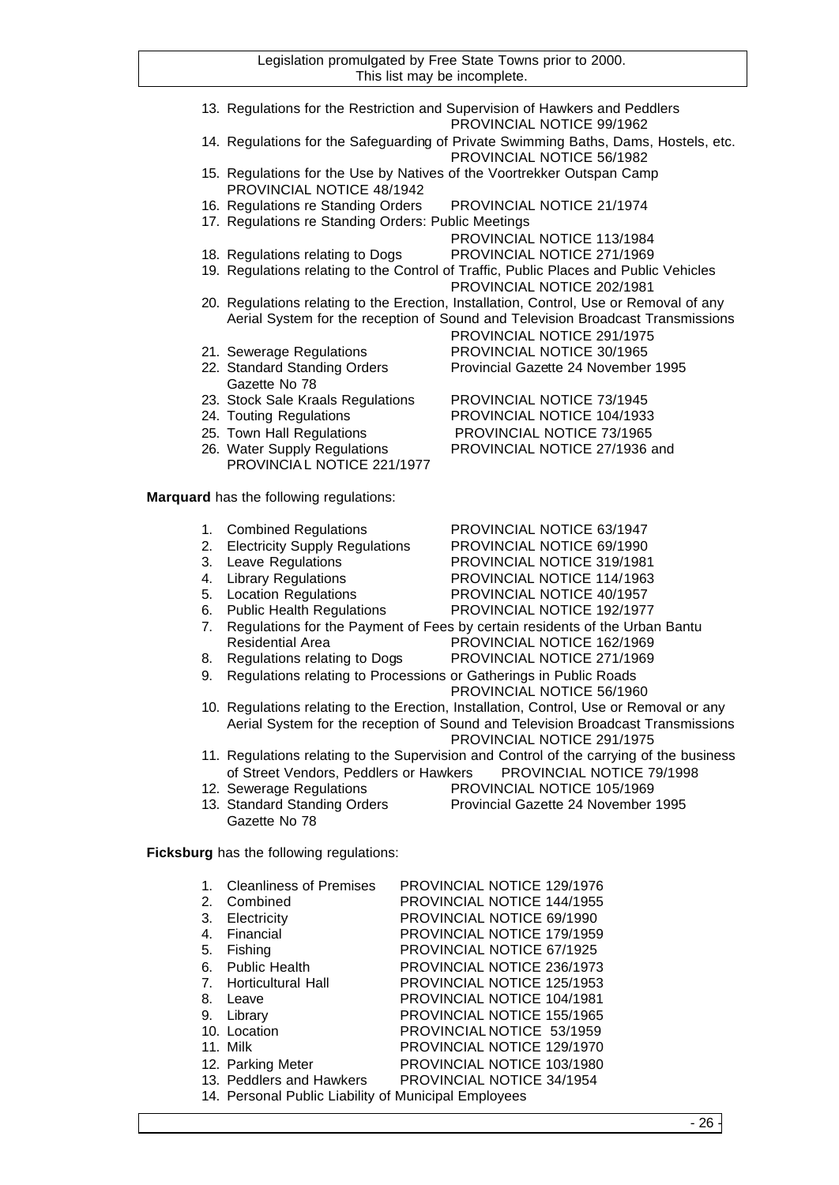|                                                                        | 13. Regulations for the Restriction and Supervision of Hawkers and Peddlers<br>PROVINCIAL NOTICE 99/1962 |
|------------------------------------------------------------------------|----------------------------------------------------------------------------------------------------------|
|                                                                        |                                                                                                          |
|                                                                        | 14. Regulations for the Safeguarding of Private Swimming Baths, Dams, Hostels, etc.                      |
|                                                                        | PROVINCIAL NOTICE 56/1982                                                                                |
| 15. Regulations for the Use by Natives of the Voortrekker Outspan Camp |                                                                                                          |
| PROVINCIAL NOTICE 48/1942                                              |                                                                                                          |
|                                                                        |                                                                                                          |
| 16. Regulations re Standing Orders                                     | <b>PROVINCIAL NOTICE 21/1974</b>                                                                         |
| 17. Regulations re Standing Orders: Public Meetings                    |                                                                                                          |
|                                                                        | PROVINCIAL NOTICE 113/1984                                                                               |
| 18. Regulations relating to Dogs                                       | PROVINCIAL NOTICE 271/1969                                                                               |
|                                                                        | 19. Regulations relating to the Control of Traffic, Public Places and Public Vehicles                    |
|                                                                        |                                                                                                          |
|                                                                        | PROVINCIAL NOTICE 202/1981                                                                               |
|                                                                        | 20. Regulations relating to the Erection, Installation, Control, Use or Removal of any                   |
|                                                                        | Aerial System for the reception of Sound and Television Broadcast Transmissions                          |
|                                                                        | PROVINCIAL NOTICE 291/1975                                                                               |
| 21. Sewerage Regulations                                               | PROVINCIAL NOTICE 30/1965                                                                                |
|                                                                        |                                                                                                          |
| 22. Standard Standing Orders                                           | Provincial Gazette 24 November 1995                                                                      |
| Gazette No 78                                                          |                                                                                                          |
| 23. Stock Sale Kraals Regulations                                      | <b>PROVINCIAL NOTICE 73/1945</b>                                                                         |
| 24. Touting Regulations                                                | PROVINCIAL NOTICE 104/1933                                                                               |
| 25. Town Hall Regulations                                              | <b>PROVINCIAL NOTICE 73/1965</b>                                                                         |
|                                                                        |                                                                                                          |
| 26. Water Supply Regulations                                           | PROVINCIAL NOTICE 27/1936 and                                                                            |
| PROVINCIAL NOTICE 221/1977                                             |                                                                                                          |
|                                                                        |                                                                                                          |

**Marquard** has the following regulations:

|  |  | <b>Combined Regulations</b> | PROVINCIAL NOTICE 63/1947 |
|--|--|-----------------------------|---------------------------|
|--|--|-----------------------------|---------------------------|

- 2. Electricity Supply Regulations<br>
2. Leave Regulations<br>
PROVINCIAL NOTICE 319/1981 PROVINCIAL NOTICE 319/1981
- 
- 4. Library Regulations<br>
5. Location Regulations<br>
PROVINCIAL NOTICE 40/1957
- 
- 6. Public Health Regulations PROVINCIAL NOTICE 192/1977
- 7. Regulations for the Payment of Fees by certain residents of the Urban Bantu Residential Area PROVINCIAL NOTICE 162/1969
- 8. Regulations relating to Dogs PROVINCIAL NOTICE 271/1969
- 9. Regulations relating to Processions or Gatherings in Public Roads
	- PROVINCIAL NOTICE 56/1960

PROVINCIAL NOTICE 40/1957

- 10. Regulations relating to the Erection, Installation, Control, Use or Removal or any Aerial System for the reception of Sound and Television Broadcast Transmissions PROVINCIAL NOTICE 291/1975
- 11. Regulations relating to the Supervision and Control of the carrying of the business of Street Vendors, Peddlers or Hawkers PROVINCIAL NOTICE 79/1998
- 12. Sewerage Regulations PROVINCIAL NOTICE 105/1969
- Gazette No 78
- 13. Standard Standing Orders Provincial Gazette 24 November 1995

**Ficksburg** has the following regulations:

| 1. | <b>Cleanliness of Premises</b>                       | PROVINCIAL NOTICE 129/1976        |
|----|------------------------------------------------------|-----------------------------------|
| 2. | Combined                                             | PROVINCIAL NOTICE 144/1955        |
| 3. | Electricity                                          | PROVINCIAL NOTICE 69/1990         |
| 4. | Financial                                            | <b>PROVINCIAL NOTICE 179/1959</b> |
| 5. | Fishing                                              | <b>PROVINCIAL NOTICE 67/1925</b>  |
| 6. | <b>Public Health</b>                                 | PROVINCIAL NOTICE 236/1973        |
| 7. | <b>Horticultural Hall</b>                            | <b>PROVINCIAL NOTICE 125/1953</b> |
| 8. | Leave                                                | PROVINCIAL NOTICE 104/1981        |
| 9. | Library                                              | PROVINCIAL NOTICE 155/1965        |
|    | 10. Location                                         | PROVINCIAL NOTICE 53/1959         |
|    | 11. Milk                                             | <b>PROVINCIAL NOTICE 129/1970</b> |
|    | 12. Parking Meter                                    | PROVINCIAL NOTICE 103/1980        |
|    | 13. Peddlers and Hawkers                             | PROVINCIAL NOTICE 34/1954         |
|    | 14. Personal Public Liability of Municipal Employees |                                   |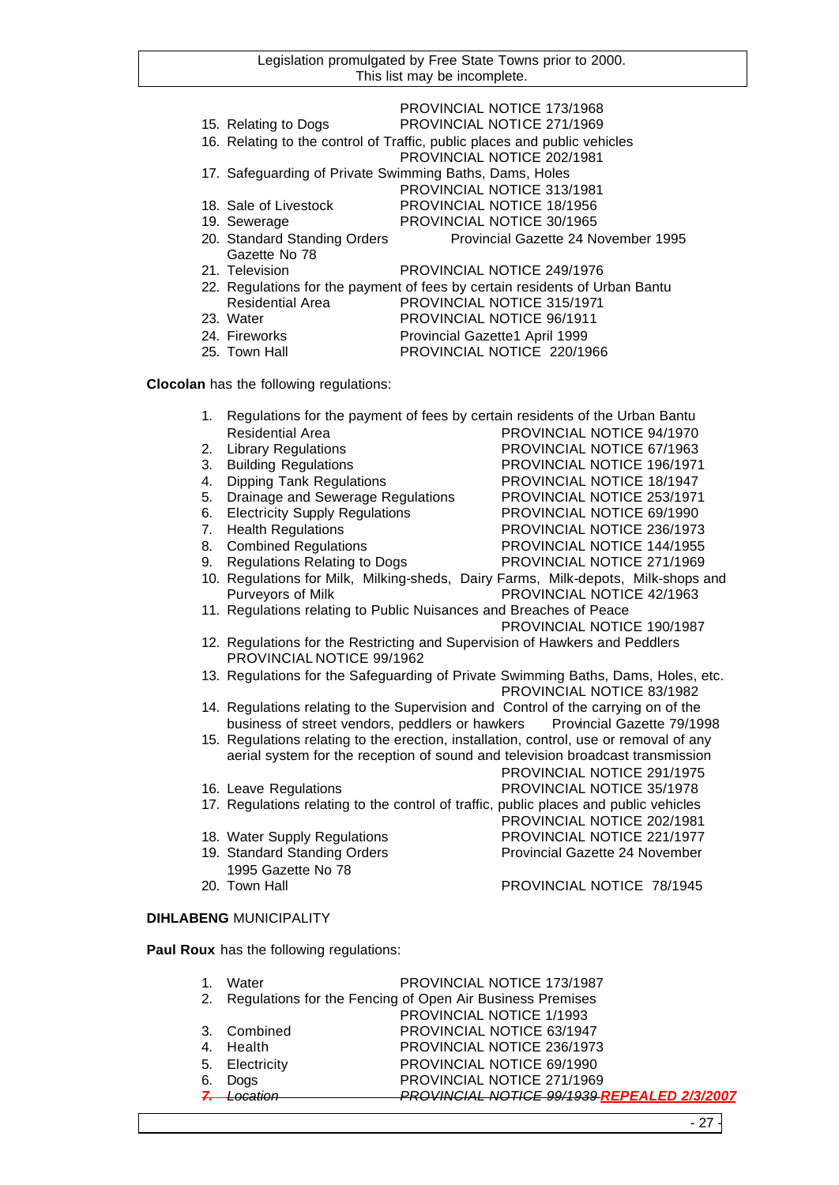|                                                         | PROVINCIAL NOTICE 173/1968                                                  |
|---------------------------------------------------------|-----------------------------------------------------------------------------|
| 15. Relating to Dogs                                    | PROVINCIAL NOTICE 271/1969                                                  |
|                                                         | 16. Relating to the control of Traffic, public places and public vehicles   |
|                                                         | PROVINCIAL NOTICE 202/1981                                                  |
| 17. Safeguarding of Private Swimming Baths, Dams, Holes |                                                                             |
|                                                         | PROVINCIAL NOTICE 313/1981                                                  |
| 18. Sale of Livestock                                   | PROVINCIAL NOTICE 18/1956                                                   |
| 19. Sewerage                                            | PROVINCIAL NOTICE 30/1965                                                   |
|                                                         |                                                                             |
| 20. Standard Standing Orders                            | Provincial Gazette 24 November 1995                                         |
| Gazette No 78                                           |                                                                             |
| 21. Television                                          | PROVINCIAL NOTICE 249/1976                                                  |
|                                                         | 22. Regulations for the payment of fees by certain residents of Urban Bantu |
| <b>Residential Area</b>                                 | PROVINCIAL NOTICE 315/1971                                                  |
| 23. Water                                               | PROVINCIAL NOTICE 96/1911                                                   |
| 24. Fireworks                                           | Provincial Gazette1 April 1999<br>PROVINCIAL NOTICE 220/1966                |

**Clocolan** has the following regulations:

| 1. |                                                                    |  | Regulations for the payment of fees by certain residents of the Urban Bantu            |
|----|--------------------------------------------------------------------|--|----------------------------------------------------------------------------------------|
|    | <b>Residential Area</b>                                            |  | PROVINCIAL NOTICE 94/1970                                                              |
| 2. | <b>Library Regulations</b>                                         |  | PROVINCIAL NOTICE 67/1963                                                              |
| 3. | <b>Building Regulations</b>                                        |  | PROVINCIAL NOTICE 196/1971                                                             |
| 4. | <b>Dipping Tank Regulations</b>                                    |  | PROVINCIAL NOTICE 18/1947                                                              |
| 5. | Drainage and Sewerage Regulations                                  |  | PROVINCIAL NOTICE 253/1971                                                             |
| 6. | <b>Electricity Supply Regulations</b>                              |  | PROVINCIAL NOTICE 69/1990                                                              |
| 7. | <b>Health Regulations</b>                                          |  | PROVINCIAL NOTICE 236/1973                                                             |
| 8. | <b>Combined Regulations</b>                                        |  | PROVINCIAL NOTICE 144/1955                                                             |
| 9. | <b>Regulations Relating to Dogs</b>                                |  | PROVINCIAL NOTICE 271/1969                                                             |
|    |                                                                    |  | 10. Regulations for Milk, Milking-sheds, Dairy Farms, Milk-depots, Milk-shops and      |
|    | Purveyors of Milk                                                  |  | PROVINCIAL NOTICE 42/1963                                                              |
|    | 11. Regulations relating to Public Nuisances and Breaches of Peace |  |                                                                                        |
|    |                                                                    |  |                                                                                        |
|    |                                                                    |  | PROVINCIAL NOTICE 190/1987                                                             |
|    |                                                                    |  | 12. Regulations for the Restricting and Supervision of Hawkers and Peddlers            |
|    | PROVINCIAL NOTICE 99/1962                                          |  |                                                                                        |
|    |                                                                    |  | 13. Regulations for the Safeguarding of Private Swimming Baths, Dams, Holes, etc.      |
|    |                                                                    |  | PROVINCIAL NOTICE 83/1982                                                              |
|    |                                                                    |  | 14. Regulations relating to the Supervision and Control of the carrying on of the      |
|    |                                                                    |  | business of street vendors, peddlers or hawkers Provincial Gazette 79/1998             |
|    |                                                                    |  | 15. Regulations relating to the erection, installation, control, use or removal of any |
|    |                                                                    |  | aerial system for the reception of sound and television broadcast transmission         |
|    |                                                                    |  | PROVINCIAL NOTICE 291/1975                                                             |
|    | 16. Leave Regulations                                              |  | PROVINCIAL NOTICE 35/1978                                                              |
|    |                                                                    |  | 17. Regulations relating to the control of traffic, public places and public vehicles  |
|    |                                                                    |  | PROVINCIAL NOTICE 202/1981                                                             |
|    | 18. Water Supply Regulations                                       |  | PROVINCIAL NOTICE 221/1977                                                             |
|    | 19. Standard Standing Orders                                       |  | Provincial Gazette 24 November                                                         |
|    | 1995 Gazette No 78                                                 |  |                                                                                        |
|    | 20. Town Hall                                                      |  | PROVINCIAL NOTICE 78/1945                                                              |
|    |                                                                    |  |                                                                                        |
|    | <b>DIHLABENG MUNICIPALITY</b>                                      |  |                                                                                        |
|    |                                                                    |  |                                                                                        |
|    | Paul Roux has the following regulations:                           |  |                                                                                        |
|    |                                                                    |  |                                                                                        |
| 1. | Water                                                              |  | PROVINCIAL NOTICE 173/1987                                                             |
| 2. | Regulations for the Fencing of Open Air Business Premises          |  |                                                                                        |
|    |                                                                    |  | PROVINCIAL NOTICE 1/1993                                                               |
| 3. | Combined                                                           |  | PROVINCIAL NOTICE 63/1947                                                              |
| 4. | Health                                                             |  | PROVINCIAL NOTICE 236/1973                                                             |

5. Electricity PROVINCIAL NOTICE 69/1990

PROVINCIAL NOTICE 271/1969

*7. Location PROVINCIAL NOTICE 99/1939 REPEALED 2/3/2007*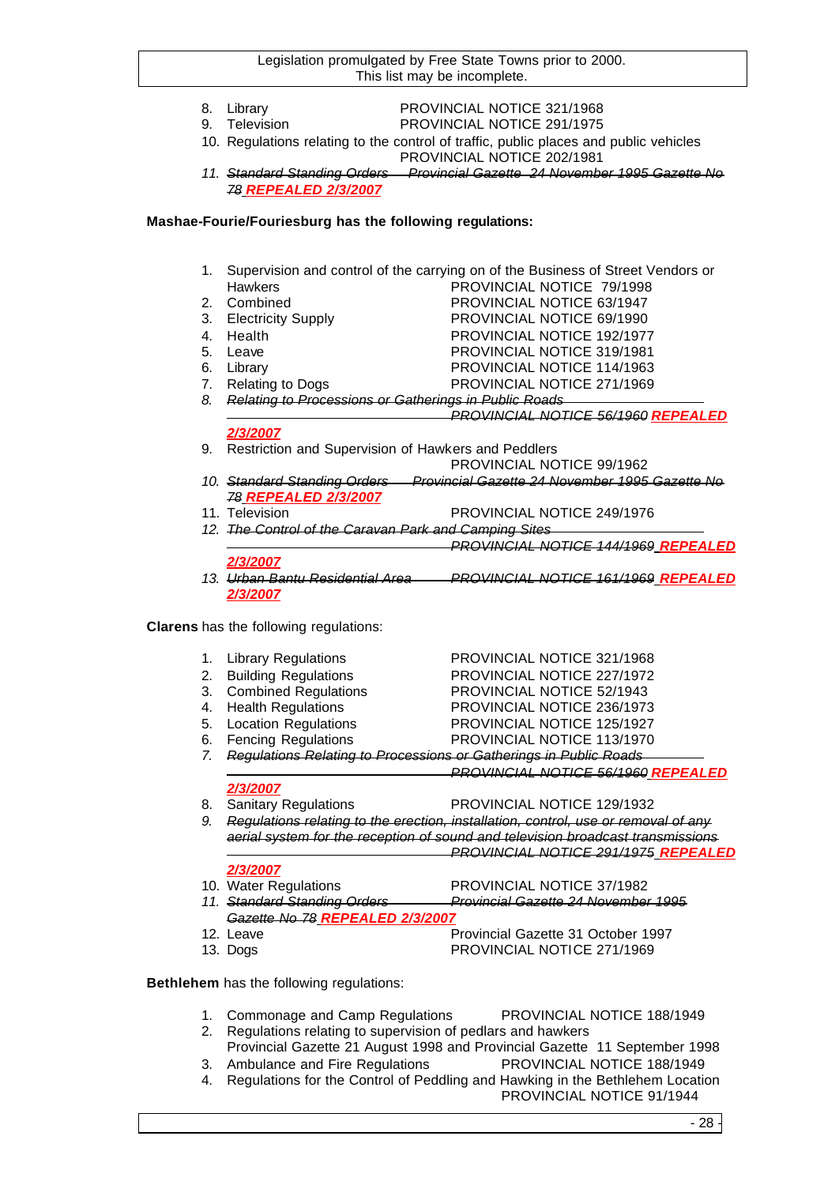- 
- 8. Library PROVINCIAL NOTICE 321/1968<br>
9. Television PROVINCIAL NOTICE 291/1975
	- Television PROVINCIAL NOTICE 291/1975
- 10. Regulations relating to the control of traffic, public places and public vehicles PROVINCIAL NOTICE 202/1981
- *11. Standard Standing Orders Provincial Gazette 24 November 1995 Gazette No 78 REPEALED 2/3/2007*

## **Mashae-Fourie/Fouriesburg has the following regulations:**

- 1. Supervision and control of the carrying on of the Business of Street Vendors or Hawkers **PROVINCIAL NOTICE 79/1998** 2. Combined PROVINCIAL NOTICE 63/1947 3. Electricity Supply PROVINCIAL NOTICE 69/1990
- 
- 4. Health PROVINCIAL NOTICE 192/1977
- 5. Leave PROVINCIAL NOTICE 319/1981
- 
- 6. Library PROVINCIAL NOTICE 114/1963 7. Relating to Dogs PROVINCIAL NOTICE 271/1969
- *8. Relating to Processions or Gatherings in Public Roads PROVINCIAL NOTICE 56/1960 REPEALED*

- *2/3/2007* 9. Restriction and Supervision of Hawkers and Peddlers
- PROVINCIAL NOTICE 99/1962 *10. Standard Standing Orders Provincial Gazette 24 November 1995 Gazette No 78 REPEALED 2/3/2007*
- 11. Television PROVINCIAL NOTICE 249/1976
- *12. The Control of the Caravan Park and Camping Sites*
- *PROVINCIAL NOTICE 144/1969 REPEALED 2/3/2007*
- *13. Urban Bantu Residential Area PROVINCIAL NOTICE 161/1969 REPEALED 2/3/2007*

**Clarens** has the following regulations:

| 1. Library Regulations  | PROVINCIAL NOTICE 321/1968 |
|-------------------------|----------------------------|
| 2. Building Regulations | PROVINCIAL NOTICE 227/1972 |
| 3. Combined Regulations | PROVINCIAL NOTICE 52/1943  |
| 4. Health Regulations   | PROVINCIAL NOTICE 236/1973 |
| 5. Location Regulations | PROVINCIAL NOTICE 125/1927 |
| 6. Fencing Regulations  | PROVINCIAL NOTICE 113/1970 |

*7. Regulations Relating to Processions or Gatherings in Public Roads*

*PROVINCIAL NOTICE 56/1960 REPEALED* 

## *2/3/2007*

8. Sanitary Regulations **PROVINCIAL NOTICE 129/1932** 

*9. Regulations relating to the erection, installation, control, use or removal of any aerial system for the reception of sound and television broadcast transmissions PROVINCIAL NOTICE 291/1975 REPEALED* 

## *2/3/2007*

- 10. Water Regulations PROVINCIAL NOTICE 37/1982
- *11. Standard Standing Orders Provincial Gazette 24 November 1995 Gazette No 78 REPEALED 2/3/2007*
- 12. Leave **Provincial Gazette 31 October 1997** 13. Dogs PROVINCIAL NOTICE 271/1969

**Bethlehem** has the following regulations:

- 1. Commonage and Camp Regulations PROVINCIAL NOTICE 188/1949
- 2. Regulations relating to supervision of pedlars and hawkers
- Provincial Gazette 21 August 1998 and Provincial Gazette 11 September 1998 3. Ambulance and Fire Regulations PROVINCIAL NOTICE 188/1949
- 4. Regulations for the Control of Peddling and Hawking in the Bethlehem Location PROVINCIAL NOTICE 91/1944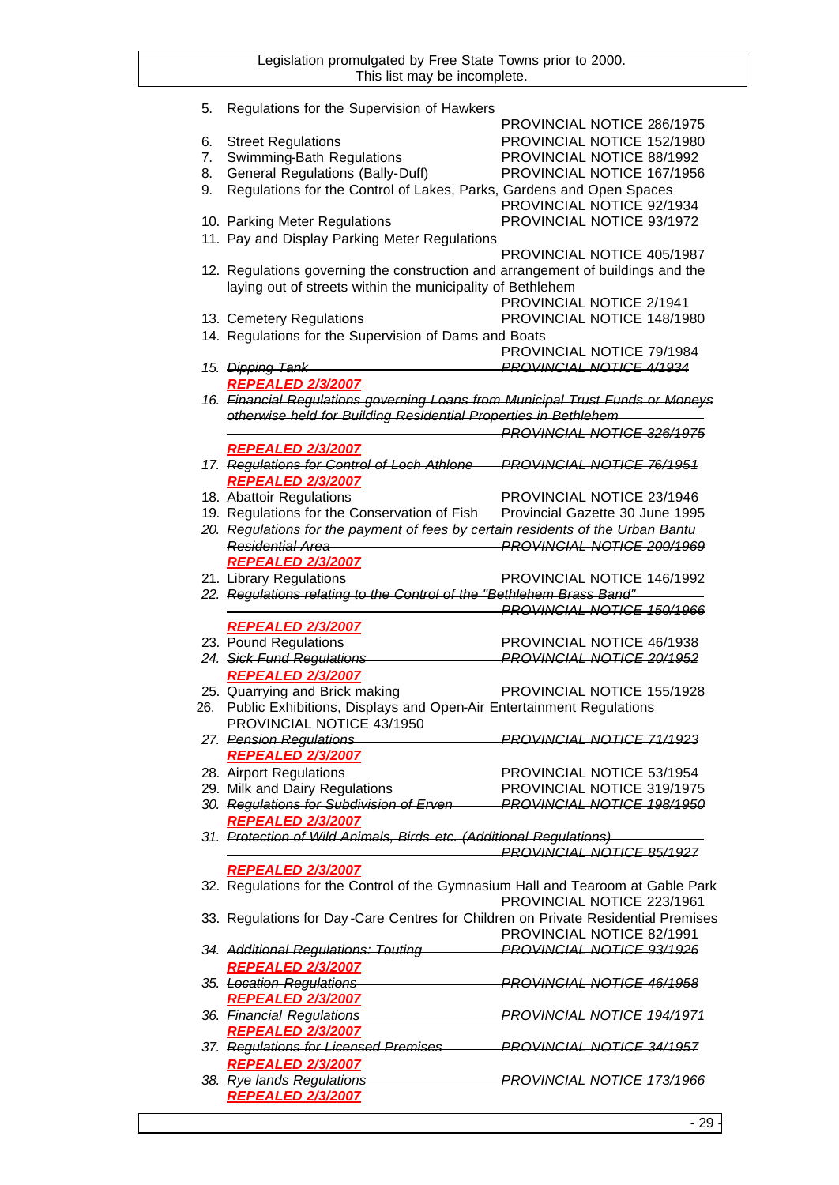| 5. | Regulations for the Supervision of Hawkers                                        |                                   |
|----|-----------------------------------------------------------------------------------|-----------------------------------|
|    |                                                                                   | PROVINCIAL NOTICE 286/1975        |
| 6. | <b>Street Regulations</b>                                                         | PROVINCIAL NOTICE 152/1980        |
| 7. | Swimming-Bath Regulations                                                         | PROVINCIAL NOTICE 88/1992         |
| 8. | <b>General Regulations (Bally-Duff)</b>                                           | PROVINCIAL NOTICE 167/1956        |
| 9. | Regulations for the Control of Lakes, Parks, Gardens and Open Spaces              |                                   |
|    |                                                                                   | PROVINCIAL NOTICE 92/1934         |
|    |                                                                                   |                                   |
|    | 10. Parking Meter Regulations                                                     | PROVINCIAL NOTICE 93/1972         |
|    | 11. Pay and Display Parking Meter Regulations                                     |                                   |
|    |                                                                                   | PROVINCIAL NOTICE 405/1987        |
|    | 12. Regulations governing the construction and arrangement of buildings and the   |                                   |
|    | laying out of streets within the municipality of Bethlehem                        |                                   |
|    |                                                                                   | PROVINCIAL NOTICE 2/1941          |
|    | 13. Cemetery Regulations                                                          | PROVINCIAL NOTICE 148/1980        |
|    | 14. Regulations for the Supervision of Dams and Boats                             |                                   |
|    |                                                                                   | PROVINCIAL NOTICE 79/1984         |
|    | 15. Dipping Tank                                                                  | <b>PROVINCIAL NOTICE 4/1934</b>   |
|    |                                                                                   |                                   |
|    | <b>REPEALED 2/3/2007</b>                                                          |                                   |
|    | 16. Financial Regulations governing Loans from Municipal Trust Funds or Moneys    |                                   |
|    | otherwise held for Building Residential Properties in Bethlehem                   |                                   |
|    |                                                                                   | <b>PROVINCIAL NOTICE 326/1975</b> |
|    | <b>REPEALED 2/3/2007</b>                                                          |                                   |
|    | 17. Regulations for Control of Loch Athlone                                       | <b>PROVINCIAL NOTICE 76/1951</b>  |
|    | <b>REPEALED 2/3/2007</b>                                                          |                                   |
|    | 18. Abattoir Regulations                                                          | PROVINCIAL NOTICE 23/1946         |
|    | 19. Regulations for the Conservation of Fish                                      | Provincial Gazette 30 June 1995   |
|    |                                                                                   |                                   |
|    | 20. Regulations for the payment of fees by certain residents of the Urban Bantu   |                                   |
|    | <b>Residential Area</b>                                                           | <b>PROVINCIAL NOTICE 200/1969</b> |
|    | <b>REPEALED 2/3/2007</b>                                                          |                                   |
|    | 21. Library Regulations                                                           | PROVINCIAL NOTICE 146/1992        |
|    | 22. Regulations relating to the Control of the "Bethlehem Brass Band"             |                                   |
|    |                                                                                   | <b>PROVINCIAL NOTICE 150/1966</b> |
|    | <b>REPEALED 2/3/2007</b>                                                          |                                   |
|    | 23. Pound Regulations                                                             | PROVINCIAL NOTICE 46/1938         |
|    | 24. Sick Fund Regulations                                                         | <b>PROVINCIAL NOTICE 20/1952</b>  |
|    | <b>REPEALED 2/3/2007</b>                                                          |                                   |
|    | 25. Quarrying and Brick making                                                    | PROVINCIAL NOTICE 155/1928        |
|    | 26. Public Exhibitions, Displays and Open-Air Entertainment Regulations           |                                   |
|    |                                                                                   |                                   |
|    | PROVINCIAL NOTICE 43/1950                                                         |                                   |
|    | 27. Pension Regulations                                                           | <b>PROVINCIAL NOTICE 71/1923</b>  |
|    | <b>REPEALED 2/3/2007</b>                                                          |                                   |
|    | 28. Airport Regulations                                                           | PROVINCIAL NOTICE 53/1954         |
|    | 29. Milk and Dairy Regulations                                                    | PROVINCIAL NOTICE 319/1975        |
|    | 30. Regulations for Subdivision of Erven-                                         | <b>PROVINCIAL NOTICE 198/1950</b> |
|    | <b>REPEALED 2/3/2007</b>                                                          |                                   |
|    | 31. Protection of Wild Animals, Birds etc. (Additional Regulations)               |                                   |
|    |                                                                                   | PROVINCIAL NOTICE 85/1927         |
|    | <b>REPEALED 2/3/2007</b>                                                          |                                   |
|    | 32. Regulations for the Control of the Gymnasium Hall and Tearoom at Gable Park   |                                   |
|    |                                                                                   | PROVINCIAL NOTICE 223/1961        |
|    |                                                                                   |                                   |
|    | 33. Regulations for Day-Care Centres for Children on Private Residential Premises |                                   |
|    |                                                                                   | PROVINCIAL NOTICE 82/1991         |
|    | 34. Additional Regulations: Touting                                               | <b>PROVINCIAL NOTICE 93/1926</b>  |
|    | <b>REPEALED 2/3/2007</b>                                                          |                                   |
|    | 35. Location Regulations                                                          | <b>PROVINCIAL NOTICE 46/1958</b>  |
|    | <b>REPEALED 2/3/2007</b>                                                          |                                   |
|    | 36. Financial Regulations                                                         | <b>PROVINCIAL NOTICE 194/1971</b> |
|    |                                                                                   |                                   |
|    | <b>REPEALED 2/3/2007</b>                                                          |                                   |
|    | 37. Regulations for Licensed Premises                                             | <b>PROVINCIAL NOTICE 34/1957</b>  |
|    | <b>REPEALED 2/3/2007</b>                                                          |                                   |
|    | 38. Rye lands Regulations                                                         | <b>PROVINCIAL NOTICE 173/1966</b> |
|    | <b>REPEALED 2/3/2007</b>                                                          |                                   |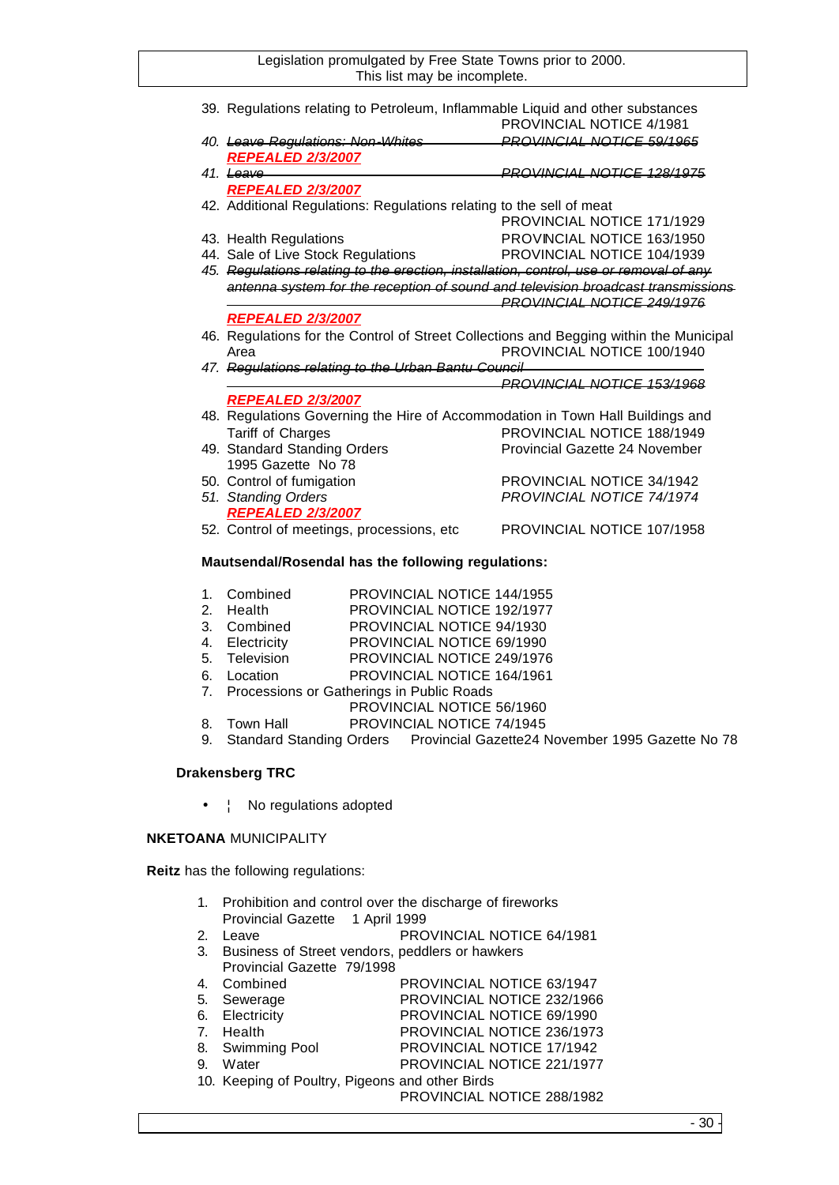|                                                    | 39. Regulations relating to Petroleum, Inflammable Liquid and other substances         | <b>PROVINCIAL NOTICE 4/1981</b>  |
|----------------------------------------------------|----------------------------------------------------------------------------------------|----------------------------------|
|                                                    | 40. Leave Regulations: Non-Whites                                                      | PROVINCIAL NOTICE 50/1065        |
|                                                    | <b>REPEALED 2/3/2007</b>                                                               |                                  |
|                                                    | $41 \text{ Leave}$                                                                     | PROVINCIAL NOTICE 128/1975       |
|                                                    | <u>REPEALED 2/3/2007</u>                                                               |                                  |
|                                                    | 42. Additional Regulations: Regulations relating to the sell of meat                   |                                  |
|                                                    |                                                                                        | PROVINCIAL NOTICE 171/1929       |
|                                                    | 43. Health Regulations                                                                 | PROVINCIAL NOTICE 163/1950       |
|                                                    | 44. Sale of Live Stock Regulations                                                     | PROVINCIAL NOTICE 104/1939       |
|                                                    | 45. Regulations relating to the erection, installation, control, use or removal of any |                                  |
|                                                    | antenna system for the reception of sound and television broadcast transmissions       |                                  |
|                                                    |                                                                                        | PROVINCIAL NOTICE 249/1976       |
|                                                    | <b>REPEALED 2/3/2007</b>                                                               |                                  |
|                                                    | 46. Regulations for the Control of Street Collections and Begging within the Municipal |                                  |
|                                                    | Area                                                                                   | PROVINCIAL NOTICE 100/1940       |
|                                                    | 47. Regulations relating to the Urban Bantu Council                                    |                                  |
|                                                    |                                                                                        | PROVINCIAL NOTICE 153/1968       |
|                                                    | <b>REPEALED 2/3/2007</b>                                                               |                                  |
|                                                    | 48. Regulations Governing the Hire of Accommodation in Town Hall Buildings and         |                                  |
|                                                    | Tariff of Charges                                                                      | PROVINCIAL NOTICE 188/1949       |
|                                                    | 49. Standard Standing Orders                                                           | Provincial Gazette 24 November   |
|                                                    | 1995 Gazette No 78                                                                     |                                  |
|                                                    | 50. Control of fumigation                                                              | PROVINCIAL NOTICE 34/1942        |
|                                                    | 51. Standing Orders                                                                    | <b>PROVINCIAL NOTICE 74/1974</b> |
|                                                    | <b>REPEALED 2/3/2007</b>                                                               |                                  |
|                                                    | 52. Control of meetings, processions, etc                                              | PROVINCIAL NOTICE 107/1958       |
|                                                    |                                                                                        |                                  |
| Mautsendal/Rosendal has the following regulations: |                                                                                        |                                  |

- 1. Combined PROVINCIAL NOTICE 144/1955<br>2. Health PROVINCIAL NOTICE 192/1977 PROVINCIAL NOTICE 192/1977
- 3. Combined PROVINCIAL NOTICE 94/1930
- 4. Electricity PROVINCIAL NOTICE 69/1990
- 5. Television PROVINCIAL NOTICE 249/1976
- 6. Location PROVINCIAL NOTICE 164/1961
- 7. Processions or Gatherings in Public Roads
- PROVINCIAL NOTICE 56/1960
- 8. Town Hall PROVINCIAL NOTICE 74/1945
- 9. Standard Standing Orders Provincial Gazette24 November 1995 Gazette No 78

## **Drakensberg TRC**

•  $\vdash$  No regulations adopted

## **NKETOANA** MUNICIPALITY

**Reitz** has the following regulations:

- 1. Prohibition and control over the discharge of fireworks Provincial Gazette 1 April 1999
- 2. Leave PROVINCIAL NOTICE 64/1981
- 3. Business of Street vendors, peddlers or hawkers Provincial Gazette 79/1998

| 4. Combined                                     | PROVINCIAL NOTICE 63/1947  |
|-------------------------------------------------|----------------------------|
| 5. Sewerage                                     | PROVINCIAL NOTICE 232/1966 |
| 6. Electricity                                  | PROVINCIAL NOTICE 69/1990  |
| 7. Health                                       | PROVINCIAL NOTICE 236/1973 |
| 8. Swimming Pool                                | PROVINCIAL NOTICE 17/1942  |
| 9. Water                                        | PROVINCIAL NOTICE 221/1977 |
| 10. Keeping of Poultry, Pigeons and other Birds |                            |
|                                                 | PROVINCIAL NOTICE 288/1982 |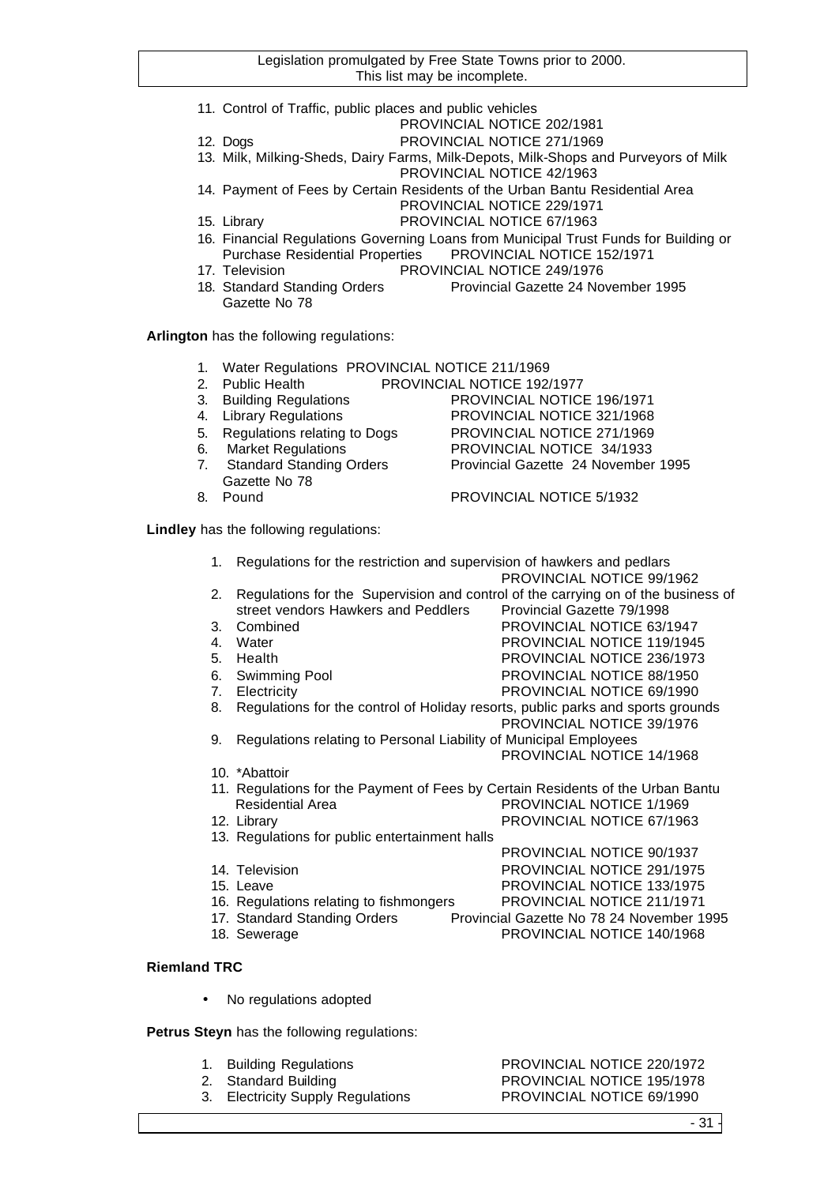- 11. Control of Traffic, public places and public vehicles
	- PROVINCIAL NOTICE 202/1981
- 12. Dogs PROVINCIAL NOTICE 271/1969
- 13. Milk, Milking-Sheds, Dairy Farms, Milk-Depots, Milk-Shops and Purveyors of Milk PROVINCIAL NOTICE 42/1963
- 14. Payment of Fees by Certain Residents of the Urban Bantu Residential Area PROVINCIAL NOTICE 229/1971
- 15. Library PROVINCIAL NOTICE 67/1963
- 16. Financial Regulations Governing Loans from Municipal Trust Funds for Building or PROVINCIAL NOTICE 152/1971
- 17. Television PROVINCIAL NOTICE 249/1976
- 18. Standard Standing Orders Provincial Gazette 24 November 1995 Gazette No 78

**Arlington** has the following regulations:

- 1. Water Regulations PROVINCIAL NOTICE 211/1969
- 2. Public Health PROVINCIAL NOTICE 192/1977
- 3. Building Regulations PROVINCIAL NOTICE 196/1971
- 4. Library Regulations PROVINCIAL NOTICE 321/1968
- 5. Regulations relating to Dogs PROVINCIAL NOTICE 271/1969
- 6. Market Regulations PROVINCIAL NOTICE 34/1933
- 7. Standard Standing Orders Provincial Gazette 24 November 1995 Gazette No 78
- 

8. Pound PROVINCIAL NOTICE 5/1932

- **Lindley** has the following regulations:
	- 1. Regulations for the restriction and supervision of hawkers and pedlars PROVINCIAL NOTICE 99/1962 2. Regulations for the Supervision and control of the carrying on of the business of
	- street vendors Hawkers and Peddlers Provincial Gazette 79/1998
	- 3. Combined PROVINCIAL NOTICE 63/1947
	- 4. Water **PROVINCIAL NOTICE 119/1945**
	- 5. Health PROVINCIAL NOTICE 236/1973
	- 6. Swimming Pool PROVINCIAL NOTICE 88/1950
	- 7. Electricity PROVINCIAL NOTICE 69/1990
	- 8. Regulations for the control of Holiday resorts, public parks and sports grounds PROVINCIAL NOTICE 39/1976
	- 9. Regulations relating to Personal Liability of Municipal Employees PROVINCIAL NOTICE 14/1968
	- 10. \*Abattoir
	- 11. Regulations for the Payment of Fees by Certain Residents of the Urban Bantu Residential Area **PROVINCIAL NOTICE 1/1969**
	- 12. Library PROVINCIAL NOTICE 67/1963
	- 13. Regulations for public entertainment halls
	-
	-
	-
	- 14. Television PROVINCIAL NOTICE 291/1975 15. Leave PROVINCIAL NOTICE 133/1975 16. Regulations relating to fishmongers PROVINCIAL NOTICE 211/1971 17. Standard Standing Orders Provincial Gazette No 78 24 November 1995

PROVINCIAL NOTICE 90/1937

- 18. Sewerage **PROVINCIAL NOTICE 140/1968**
- **Riemland TRC**
	- No regulations adopted

**Petrus Steyn** has the following regulations:

- 1. Building Regulations PROVINCIAL NOTICE 220/1972
	-
	- 3. Electricity Supply Regulations PROVINCIAL NOTICE 69/1990

2. Standard Building **PROVINCIAL NOTICE 195/1978**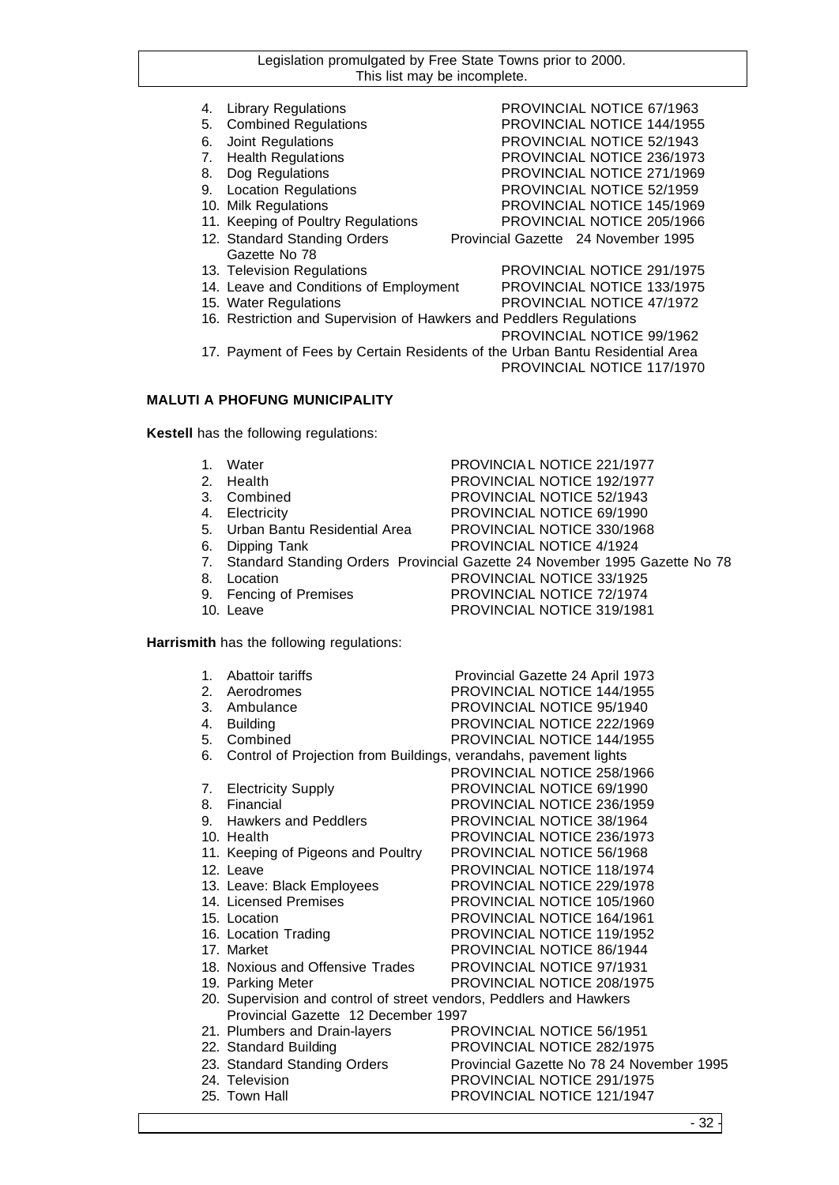- 4. Library Regulations PROVINCIAL NOTICE 67/1963
- 5. Combined Regulations PROVINCIAL NOTICE 144/1955
- 6. Joint Regulations PROVINCIAL NOTICE 52/1943
- 7. Health Regulations PROVINCIAL NOTICE 236/1973
- 8. Dog Regulations **PROVINCIAL NOTICE 271/1969**
- 9. Location Regulations PROVINCIAL NOTICE 52/1959
- 10. Milk Regulations PROVINCIAL NOTICE 145/1969
- 11. Keeping of Poultry Regulations PROVINCIAL NOTICE 205/1966
- 12. Standard Standing Orders Provincial Gazette 24 November 1995 Gazette No 78
- 13. Television Regulations PROVINCIAL NOTICE 291/1975
- 14. Leave and Conditions of Employment PROVINCIAL NOTICE 133/1975
- 15. Water Regulations PROVINCIAL NOTICE 47/1972
- 16. Restriction and Supervision of Hawkers and Peddlers Regulations
	- PROVINCIAL NOTICE 99/1962

17. Payment of Fees by Certain Residents of the Urban Bantu Residential Area PROVINCIAL NOTICE 117/1970

## **MALUTI A PHOFUNG MUNICIPALITY**

**Kestell** has the following regulations:

| $1_{-}$        | Water                                                            | PROVINCIAL NOTICE 221/1977                                                 |
|----------------|------------------------------------------------------------------|----------------------------------------------------------------------------|
| 2.             | Health                                                           | PROVINCIAL NOTICE 192/1977                                                 |
|                | 3. Combined                                                      | PROVINCIAL NOTICE 52/1943                                                  |
| 4.             | Electricity                                                      | PROVINCIAL NOTICE 69/1990                                                  |
| 5.             | Urban Bantu Residential Area                                     | PROVINCIAL NOTICE 330/1968                                                 |
| 6.             | Dipping Tank                                                     | PROVINCIAL NOTICE 4/1924                                                   |
| 7.             |                                                                  | Standard Standing Orders Provincial Gazette 24 November 1995 Gazette No 78 |
| 8.             | Location                                                         | PROVINCIAL NOTICE 33/1925                                                  |
|                | 9. Fencing of Premises                                           | <b>PROVINCIAL NOTICE 72/1974</b>                                           |
|                | 10. Leave                                                        | PROVINCIAL NOTICE 319/1981                                                 |
|                |                                                                  |                                                                            |
|                | Harrismith has the following regulations:                        |                                                                            |
|                |                                                                  |                                                                            |
|                | 1. Abattoir tariffs                                              | Provincial Gazette 24 April 1973                                           |
| 2 <sub>1</sub> | Aerodromes                                                       | PROVINCIAL NOTICE 144/1955                                                 |
| 3.             | Ambulance                                                        | PROVINCIAL NOTICE 95/1940                                                  |
| 4.             | <b>Building</b>                                                  | PROVINCIAL NOTICE 222/1969                                                 |
| 5.             | Combined                                                         | <b>PROVINCIAL NOTICE 144/1955</b>                                          |
| 6.             | Control of Projection from Buildings, verandahs, pavement lights |                                                                            |
|                |                                                                  | PROVINCIAL NOTICE 258/1966                                                 |
| 7.             | <b>Electricity Supply</b>                                        | PROVINCIAL NOTICE 69/1990                                                  |
| 8.             | Financial                                                        | PROVINCIAL NOTICE 236/1959                                                 |
|                |                                                                  |                                                                            |
| 9.             | <b>Hawkers and Peddlers</b>                                      | PROVINCIAL NOTICE 38/1964                                                  |
|                | 10. Health                                                       | PROVINCIAL NOTICE 236/1973                                                 |

- 12. Leave PROVINCIAL NOTICE 118/1974
- 13. Leave: Black Employees PROVINCIAL NOTICE 229/1978
- 14. Licensed Premises PROVINCIAL NOTICE 105/1960
- 15. Location PROVINCIAL NOTICE 164/1961
- 16. Location Trading **PROVINCIAL NOTICE 119/1952**
- 17. Market **PROVINCIAL NOTICE 86/1944**
- 18. Noxious and Offensive Trades PROVINCIAL NOTICE 97/1931
- 19. Parking Meter **PROVINCIAL NOTICE 208/1975**
- 20. Supervision and control of street vendors, Peddlers and Hawkers Provincial Gazette 12 December 1997
- 21. Plumbers and Drain-layers PROVINCIAL NOTICE 56/1951 22. Standard Building PROVINCIAL NOTICE 282/1975 23. Standard Standing Orders Provincial Gazette No 78 24 November 1995 24. Television PROVINCIAL NOTICE 291/1975 25. Town Hall **Example 25. Town Hall** PROVINCIAL NOTICE 121/1947
	- 32 -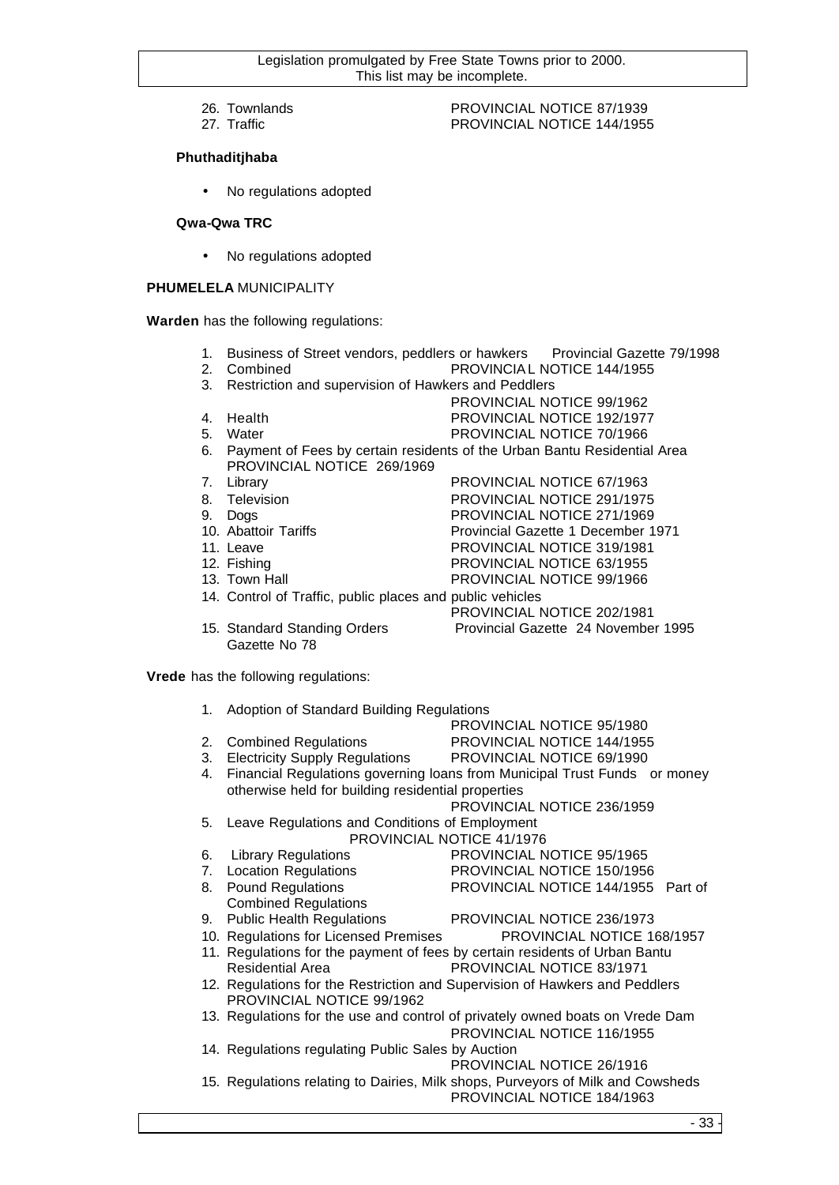- 
- 

## 26. Townlands PROVINCIAL NOTICE 87/1939 PROVINCIAL NOTICE 144/1955

## **Phuthaditjhaba**

• No regulations adopted

## **Qwa-Qwa TRC**

• No regulations adopted

## **PHUMELELA** MUNICIPALITY

**Warden** has the following regulations:

- 1. Business of Street vendors, peddlers or hawkers Provincial Gazette 79/1998
- 2. Combined PROVINCIAL NOTICE 144/1955
- 3. Restriction and supervision of Hawkers and Peddlers
	- PROVINCIAL NOTICE 99/1962
- 4. Health PROVINCIAL NOTICE 192/1977
- 5. Water **PROVINCIAL NOTICE 70/1966**
- 6. Payment of Fees by certain residents of the Urban Bantu Residential Area PROVINCIAL NOTICE 269/1969
- 7. Library **PROVINCIAL NOTICE 67/1963**
- 8. Television PROVINCIAL NOTICE 291/1975
- 
- 9. Dogs<br>
10. Abattoir Tariffs<br>
10. Abattoir Tariffs<br>
20. Provincial Gazette 1 December 1
- 11. Leave **PROVINCIAL NOTICE 319/1981**
- 12. Fishing **PROVINCIAL NOTICE 63/1955**
- 
- 
- 13. Town Hall **Example 20 FROVINCIAL NOTICE 99/1966** 14. Control of Traffic, public places and public vehicles PROVINCIAL NOTICE 202/1981

Provincial Gazette 1 December 1971

15. Standard Standing Orders Provincial Gazette 24 November 1995 Gazette No 78

**Vrede** has the following regulations:

| 1. | Adoption of Standard Building Regulations                |                                                                               |
|----|----------------------------------------------------------|-------------------------------------------------------------------------------|
|    |                                                          | PROVINCIAL NOTICE 95/1980                                                     |
| 2. | <b>Combined Regulations</b>                              | PROVINCIAL NOTICE 144/1955                                                    |
| 3. | Electricity Supply Regulations PROVINCIAL NOTICE 69/1990 |                                                                               |
| 4. |                                                          | Financial Regulations governing loans from Municipal Trust Funds or money     |
|    | otherwise held for building residential properties       |                                                                               |
|    |                                                          | PROVINCIAL NOTICE 236/1959                                                    |
| 5. | Leave Regulations and Conditions of Employment           |                                                                               |
|    |                                                          | PROVINCIAL NOTICE 41/1976                                                     |
| 6. | <b>Library Regulations</b>                               | PROVINCIAL NOTICE 95/1965                                                     |
| 7. | <b>Location Regulations</b>                              | PROVINCIAL NOTICE 150/1956                                                    |
| 8. | <b>Pound Regulations</b>                                 | PROVINCIAL NOTICE 144/1955 Part of                                            |
|    | <b>Combined Regulations</b>                              |                                                                               |
| 9. | <b>Public Health Regulations</b>                         | PROVINCIAL NOTICE 236/1973                                                    |
|    | 10. Regulations for Licensed Premises                    | PROVINCIAL NOTICE 168/1957                                                    |
|    |                                                          | 11. Regulations for the payment of fees by certain residents of Urban Bantu   |
|    | <b>Residential Area</b>                                  | PROVINCIAL NOTICE 83/1971                                                     |
|    |                                                          | 12. Regulations for the Restriction and Supervision of Hawkers and Peddlers   |
|    | PROVINCIAL NOTICE 99/1962                                |                                                                               |
|    |                                                          | 13. Regulations for the use and control of privately owned boats on Vrede Dam |
|    |                                                          | PROVINCIAL NOTICE 116/1955                                                    |
|    | 14. Regulations regulating Public Sales by Auction       |                                                                               |
|    |                                                          | PROVINCIAL NOTICE 26/1916                                                     |

15. Regulations relating to Dairies, Milk shops, Purveyors of Milk and Cowsheds PROVINCIAL NOTICE 184/1963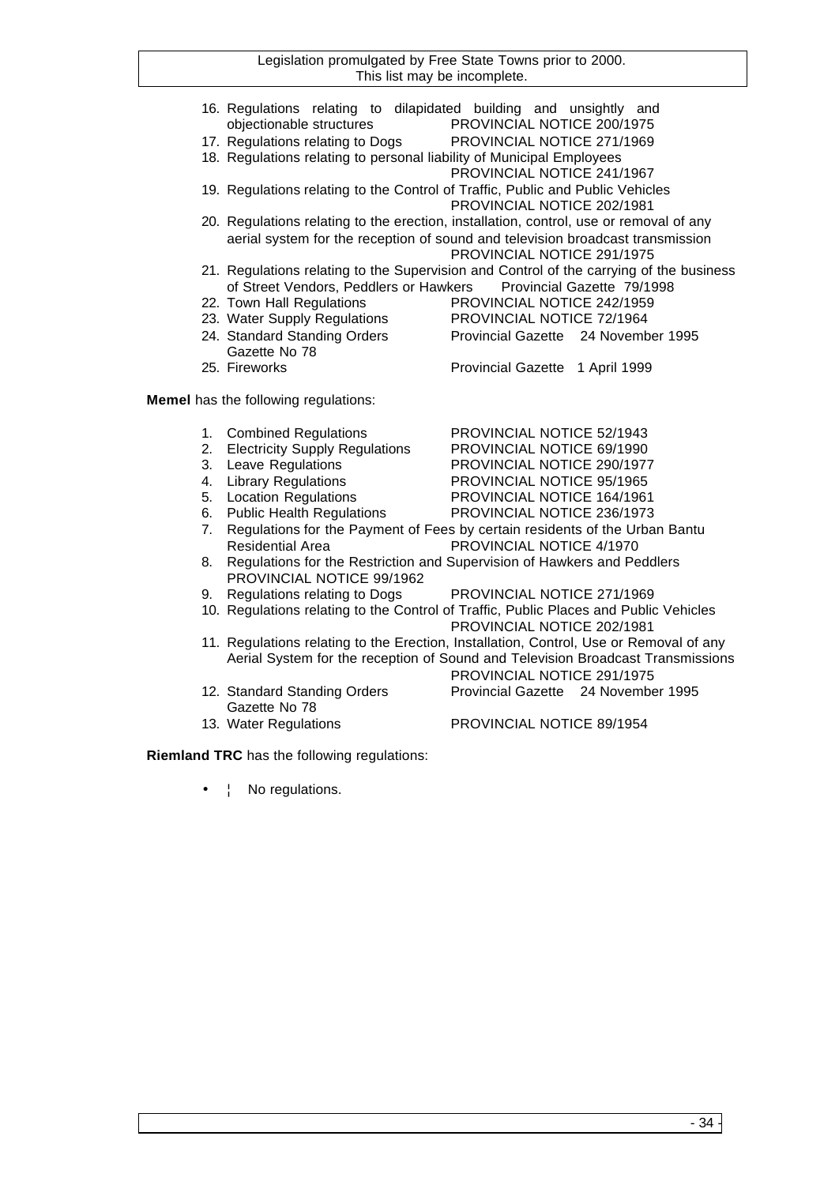- 16. Regulations relating to dilapidated building and unsightly and objectionable structures PROVINCIAL NOTICE 200/1975
- 17. Regulations relating to Dogs PROVINCIAL NOTICE 271/1969
- 18. Regulations relating to personal liability of Municipal Employees PROVINCIAL NOTICE 241/1967
- 19. Regulations relating to the Control of Traffic, Public and Public Vehicles PROVINCIAL NOTICE 202/1981
- 20. Regulations relating to the erection, installation, control, use or removal of any aerial system for the reception of sound and television broadcast transmission PROVINCIAL NOTICE 291/1975
- 21. Regulations relating to the Supervision and Control of the carrying of the business of Street Vendors, Peddlers or Hawkers Provincial Gazette 79/1998
- 22. Town Hall Regulations PROVINCIAL NOTICE 242/1959
- 23. Water Supply Regulations PROVINCIAL NOTICE 72/1964
- 24. Standard Standing Orders Provincial Gazette 24 November 1995 Gazette No 78 25. Fireworks Provincial Gazette 1 April 1999

**Memel** has the following regulations:

- 
- 1. Combined Regulations<br>
2. Electricity Supply Regulations<br>
PROVINCIAL NOTICE 69/1990 2. Electricity Supply Regulations PROVINCIAL NOTICE 69/1990
- 3. Leave Regulations PROVINCIAL NOTICE 290/1977
- 4. Library Regulations PROVINCIAL NOTICE 95/1965
- 5. Location Regulations PROVINCIAL NOTICE 164/1961
- 6. Public Health Regulations PROVINCIAL NOTICE 236/1973
- 
- 7. Regulations for the Payment of Fees by certain residents of the Urban Bantu Residential Area **PROVINCIAL NOTICE 4/1970**
- 8. Regulations for the Restriction and Supervision of Hawkers and Peddlers PROVINCIAL NOTICE 99/1962
- 9. Regulations relating to Dogs PROVINCIAL NOTICE 271/1969
- 10. Regulations relating to the Control of Traffic, Public Places and Public Vehicles
- PROVINCIAL NOTICE 202/1981 11. Regulations relating to the Erection, Installation, Control, Use or Removal of any Aerial System for the reception of Sound and Television Broadcast Transmissions
- 12. Standard Standing Orders Provincial Gazette 24 November 1995 Gazette No 78
- 13. Water Regulations PROVINCIAL NOTICE 89/1954

PROVINCIAL NOTICE 291/1975

**Riemland TRC** has the following regulations:

No regulations.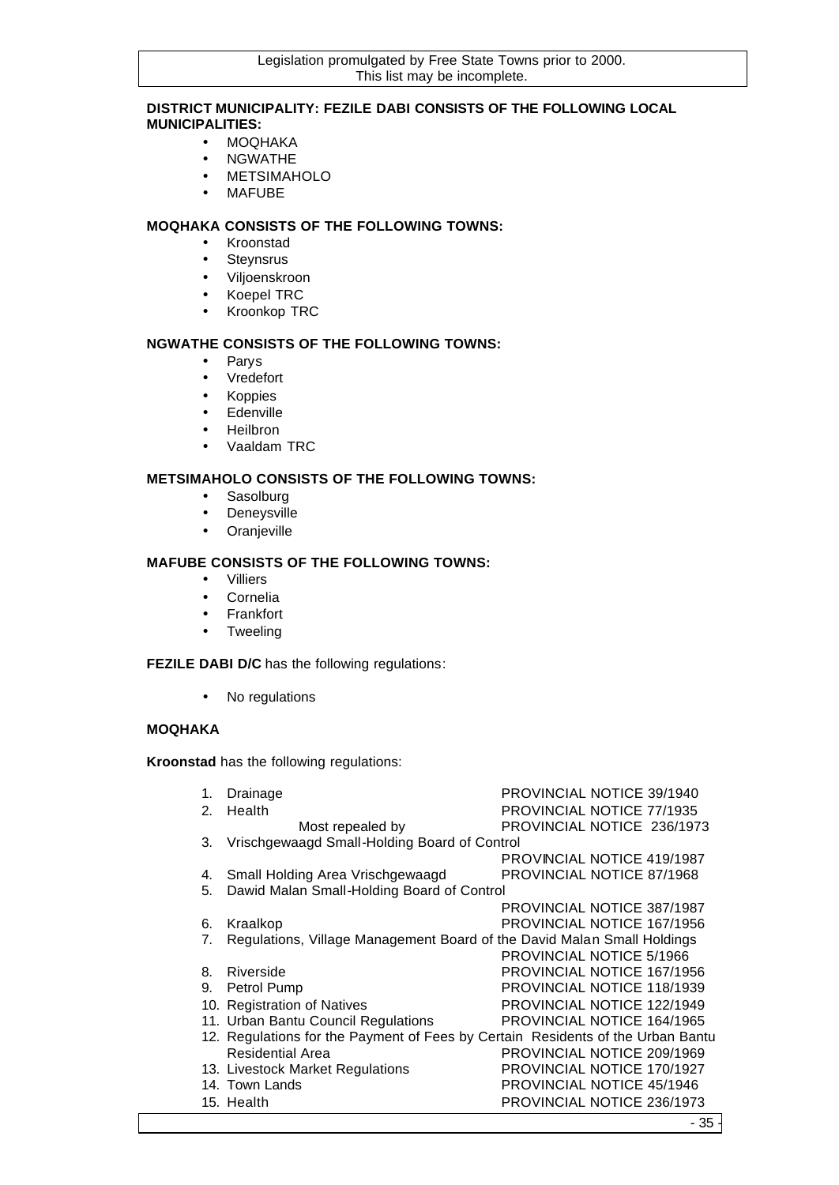## **DISTRICT MUNICIPALITY: FEZILE DABI CONSISTS OF THE FOLLOWING LOCAL MUNICIPALITIES:**

- MOQHAKA
- NGWATHE
- METSIMAHOLO
- MAFUBE

## **MOQHAKA CONSISTS OF THE FOLLOWING TOWNS:**

- Kroonstad
- Steynsrus
- Viljoenskroon
- Koepel TRC
- Kroonkop TRC

## **NGWATHE CONSISTS OF THE FOLLOWING TOWNS:**

- Parys
- Vredefort
- Koppies
- Edenville
- Heilbron
- Vaaldam TRC

## **METSIMAHOLO CONSISTS OF THE FOLLOWING TOWNS:**

- Sasolburg
- Deneysville
- Oranjeville

## **MAFUBE CONSISTS OF THE FOLLOWING TOWNS:**

- Villiers
- Cornelia
- Frankfort
- Tweeling

## **FEZILE DABI D/C** has the following regulations:

• No regulations

## **MOQHAKA**

**Kroonstad** has the following regulations:

| 1. | Drainage                                                                        | <b>PROVINCIAL NOTICE 39/1940</b>  |
|----|---------------------------------------------------------------------------------|-----------------------------------|
| 2. | Health                                                                          | PROVINCIAL NOTICE 77/1935         |
|    | Most repealed by                                                                | PROVINCIAL NOTICE 236/1973        |
| З. | Vrischgewaagd Small-Holding Board of Control                                    |                                   |
|    |                                                                                 | PROVINCIAL NOTICE 419/1987        |
| 4. | Small Holding Area Vrischgewaagd                                                | <b>PROVINCIAL NOTICE 87/1968</b>  |
| 5. | Dawid Malan Small-Holding Board of Control                                      |                                   |
|    |                                                                                 | PROVINCIAL NOTICE 387/1987        |
| 6. | Kraalkop                                                                        | PROVINCIAL NOTICE 167/1956        |
| 7. | Regulations, Village Management Board of the David Malan Small Holdings         |                                   |
|    |                                                                                 | PROVINCIAL NOTICE 5/1966          |
| 8. | Riverside                                                                       | PROVINCIAL NOTICE 167/1956        |
| 9. | Petrol Pump                                                                     | PROVINCIAL NOTICE 118/1939        |
|    | 10. Registration of Natives                                                     | PROVINCIAL NOTICE 122/1949        |
|    | 11. Urban Bantu Council Regulations                                             | <b>PROVINCIAL NOTICE 164/1965</b> |
|    | 12. Regulations for the Payment of Fees by Certain Residents of the Urban Bantu |                                   |
|    | <b>Residential Area</b>                                                         | PROVINCIAL NOTICE 209/1969        |
|    | 13. Livestock Market Regulations                                                | PROVINCIAL NOTICE 170/1927        |
|    | 14. Town Lands                                                                  | PROVINCIAL NOTICE 45/1946         |
|    | 15. Health                                                                      | PROVINCIAL NOTICE 236/1973        |
|    |                                                                                 | $\sim$                            |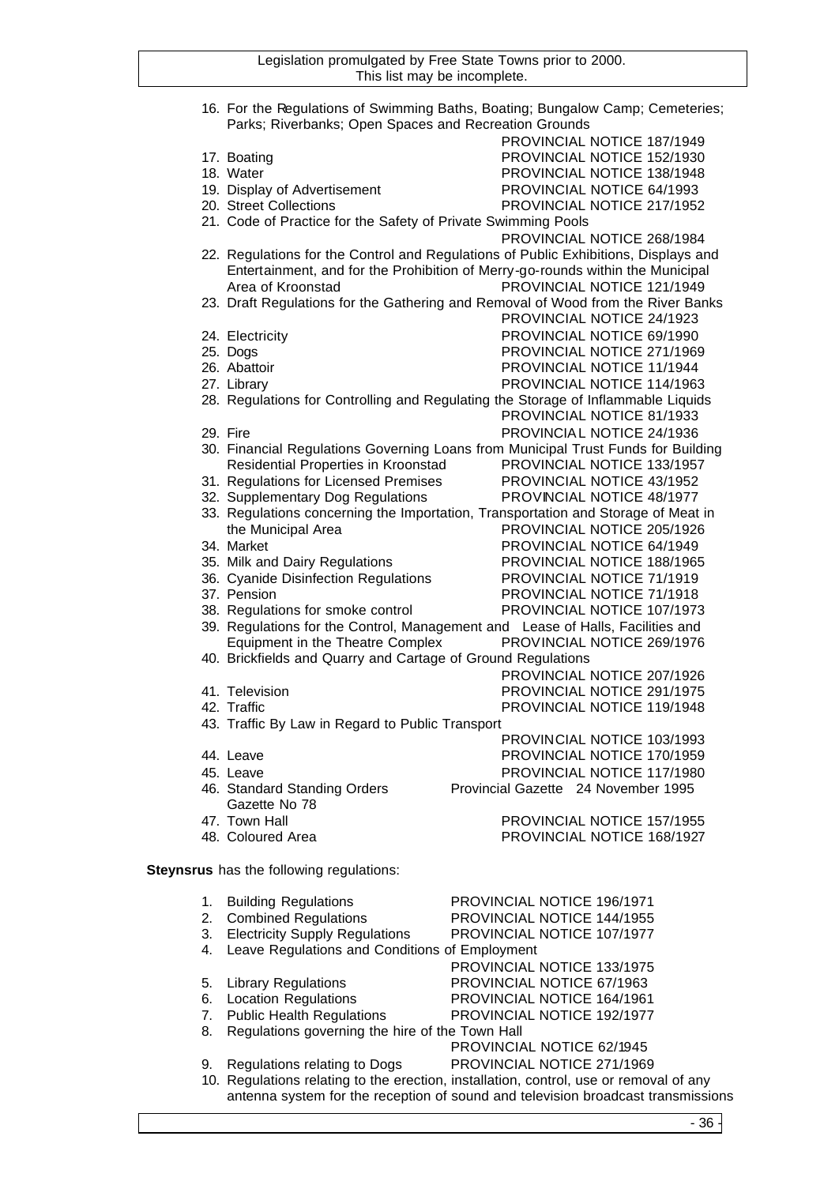|    | Parks; Riverbanks; Open Spaces and Recreation Grounds         | 16. For the Regulations of Swimming Baths, Boating; Bungalow Camp; Cemeteries;      |
|----|---------------------------------------------------------------|-------------------------------------------------------------------------------------|
|    |                                                               |                                                                                     |
|    |                                                               | PROVINCIAL NOTICE 187/1949                                                          |
|    | 17. Boating                                                   | PROVINCIAL NOTICE 152/1930                                                          |
|    | 18. Water                                                     | PROVINCIAL NOTICE 138/1948                                                          |
|    | 19. Display of Advertisement                                  | PROVINCIAL NOTICE 64/1993                                                           |
|    | 20. Street Collections                                        | PROVINCIAL NOTICE 217/1952                                                          |
|    | 21. Code of Practice for the Safety of Private Swimming Pools |                                                                                     |
|    |                                                               | PROVINCIAL NOTICE 268/1984                                                          |
|    |                                                               | 22. Regulations for the Control and Regulations of Public Exhibitions, Displays and |
|    |                                                               | Entertainment, and for the Prohibition of Merry-go-rounds within the Municipal      |
|    | Area of Kroonstad                                             | PROVINCIAL NOTICE 121/1949                                                          |
|    |                                                               | 23. Draft Regulations for the Gathering and Removal of Wood from the River Banks    |
|    |                                                               | PROVINCIAL NOTICE 24/1923                                                           |
|    |                                                               | PROVINCIAL NOTICE 69/1990                                                           |
|    | 24. Electricity                                               |                                                                                     |
|    | 25. Dogs                                                      | PROVINCIAL NOTICE 271/1969                                                          |
|    | 26. Abattoir                                                  | PROVINCIAL NOTICE 11/1944                                                           |
|    | 27. Library                                                   | PROVINCIAL NOTICE 114/1963                                                          |
|    |                                                               | 28. Regulations for Controlling and Regulating the Storage of Inflammable Liquids   |
|    |                                                               | PROVINCIAL NOTICE 81/1933                                                           |
|    | 29. Fire                                                      | PROVINCIAL NOTICE 24/1936                                                           |
|    |                                                               | 30. Financial Regulations Governing Loans from Municipal Trust Funds for Building   |
|    | Residential Properties in Kroonstad                           | PROVINCIAL NOTICE 133/1957                                                          |
|    | 31. Regulations for Licensed Premises                         | PROVINCIAL NOTICE 43/1952                                                           |
|    | 32. Supplementary Dog Regulations                             | PROVINCIAL NOTICE 48/1977                                                           |
|    |                                                               | 33. Regulations concerning the Importation, Transportation and Storage of Meat in   |
|    | the Municipal Area                                            | PROVINCIAL NOTICE 205/1926                                                          |
|    | 34. Market                                                    | PROVINCIAL NOTICE 64/1949                                                           |
|    |                                                               |                                                                                     |
|    | 35. Milk and Dairy Regulations                                | PROVINCIAL NOTICE 188/1965                                                          |
|    | 36. Cyanide Disinfection Regulations                          | PROVINCIAL NOTICE 71/1919                                                           |
|    | 37. Pension                                                   | PROVINCIAL NOTICE 71/1918                                                           |
|    | 38. Regulations for smoke control                             | PROVINCIAL NOTICE 107/1973                                                          |
|    |                                                               | 39. Regulations for the Control, Management and Lease of Halls, Facilities and      |
|    | Equipment in the Theatre Complex                              | PROVINCIAL NOTICE 269/1976                                                          |
|    | 40. Brickfields and Quarry and Cartage of Ground Regulations  |                                                                                     |
|    |                                                               | PROVINCIAL NOTICE 207/1926                                                          |
|    | 41. Television                                                | PROVINCIAL NOTICE 291/1975                                                          |
|    | 42. Traffic                                                   | PROVINCIAL NOTICE 119/1948                                                          |
|    | 43. Traffic By Law in Regard to Public Transport              |                                                                                     |
|    |                                                               | PROVINCIAL NOTICE 103/1993                                                          |
|    | 44. Leave                                                     | PROVINCIAL NOTICE 170/1959                                                          |
|    | 45. Leave                                                     | PROVINCIAL NOTICE 117/1980                                                          |
|    | 46. Standard Standing Orders                                  | Provincial Gazette 24 November 1995                                                 |
|    | Gazette No 78                                                 |                                                                                     |
|    |                                                               | PROVINCIAL NOTICE 157/1955                                                          |
|    | 47. Town Hall                                                 |                                                                                     |
|    | 48. Coloured Area                                             | PROVINCIAL NOTICE 168/1927                                                          |
|    | Steynsrus has the following regulations:                      |                                                                                     |
|    |                                                               |                                                                                     |
| 1. | <b>Building Regulations</b>                                   | PROVINCIAL NOTICE 196/1971                                                          |
| 2. | <b>Combined Regulations</b>                                   | PROVINCIAL NOTICE 144/1955                                                          |
| 3. | <b>Electricity Supply Regulations</b>                         | PROVINCIAL NOTICE 107/1977                                                          |
| 4. | Leave Regulations and Conditions of Employment                |                                                                                     |
|    |                                                               | PROVINCIAL NOTICE 133/1975                                                          |
|    |                                                               |                                                                                     |
| 5. | <b>Library Regulations</b>                                    | PROVINCIAL NOTICE 67/1963                                                           |
| 6. | <b>Location Regulations</b>                                   | PROVINCIAL NOTICE 164/1961                                                          |
| 7. | <b>Public Health Regulations</b>                              | PROVINCIAL NOTICE 192/1977                                                          |
| 8. | Regulations governing the hire of the Town Hall               |                                                                                     |
|    |                                                               | PROVINCIAL NOTICE 62/1945                                                           |

9. Regulations relating to Dogs PROVINCIAL NOTICE 271/1969

10. Regulations relating to the erection, installation, control, use or removal of any antenna system for the reception of sound and television broadcast transmissions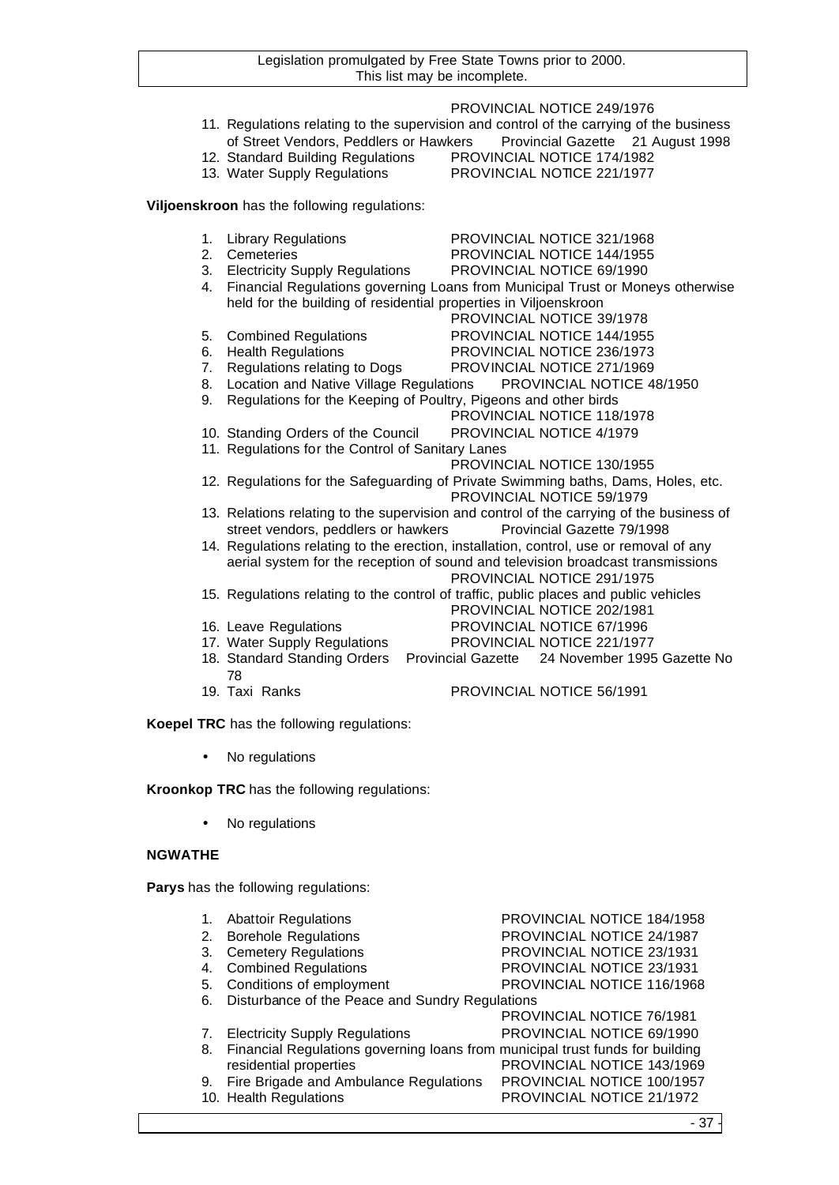PROVINCIAL NOTICE 249/1976 11. Regulations relating to the supervision and control of the carrying of the business of Street Vendors, Peddlers or Hawkers Provincial Gazette 21 August 1998 12. Standard Building Regulations PROVINCIAL NOTICE 174/1982 13. Water Supply Regulations PROVINCIAL NOTICE 221/1977 **Viljoenskroon** has the following regulations: 1. Library Regulations **PROVINCIAL NOTICE 321/1968**<br>2. Cemeteries **PROVINCIAL NOTICE 144/1955** PROVINCIAL NOTICE 144/1955 3. Electricity Supply Regulations PROVINCIAL NOTICE 69/1990 4. Financial Regulations governing Loans from Municipal Trust or Moneys otherwise held for the building of residential properties in Viljoenskroon PROVINCIAL NOTICE 39/1978 5. Combined Regulations PROVINCIAL NOTICE 144/1955 6. Health Regulations PROVINCIAL NOTICE 236/1973 7. Regulations relating to Dogs PROVINCIAL NOTICE 271/1969 8. Location and Native Village Regulations PROVINCIAL NOTICE 48/1950 9. Regulations for the Keeping of Poultry, Pigeons and other birds PROVINCIAL NOTICE 118/1978 10. Standing Orders of the Council PROVINCIAL NOTICE 4/1979 11. Regulations for the Control of Sanitary Lanes PROVINCIAL NOTICE 130/1955 12. Regulations for the Safeguarding of Private Swimming baths, Dams, Holes, etc. PROVINCIAL NOTICE 59/1979 13. Relations relating to the supervision and control of the carrying of the business of street vendors, peddlers or hawkers Provincial Gazette 79/1998 14. Regulations relating to the erection, installation, control, use or removal of any aerial system for the reception of sound and television broadcast transmissions PROVINCIAL NOTICE 291/1975 15. Regulations relating to the control of traffic, public places and public vehicles PROVINCIAL NOTICE 202/1981 16. Leave Regulations PROVINCIAL NOTICE 67/1996 17. Water Supply Regulations PROVINCIAL NOTICE 221/1977 18. Standard Standing Orders Provincial Gazette 24 November 1995 Gazette No 78 19. Taxi Ranks PROVINCIAL NOTICE 56/1991

**Koepel TRC** has the following regulations:

No regulations

**Kroonkop TRC** has the following regulations:

No regulations

#### **NGWATHE**

**Parys** has the following regulations:

| 1. | <b>Abattoir Regulations</b>                                                   | PROVINCIAL NOTICE 184/1958       |
|----|-------------------------------------------------------------------------------|----------------------------------|
| 2. | <b>Borehole Regulations</b>                                                   | PROVINCIAL NOTICE 24/1987        |
| 3. | <b>Cemetery Regulations</b>                                                   | PROVINCIAL NOTICE 23/1931        |
| 4. | <b>Combined Regulations</b>                                                   | PROVINCIAL NOTICE 23/1931        |
| 5. | Conditions of employment                                                      | PROVINCIAL NOTICE 116/1968       |
| 6. | Disturbance of the Peace and Sundry Regulations                               |                                  |
|    |                                                                               | <b>PROVINCIAL NOTICE 76/1981</b> |
| 7. | <b>Electricity Supply Regulations</b>                                         | PROVINCIAL NOTICE 69/1990        |
| 8. | Financial Regulations governing loans from municipal trust funds for building |                                  |
|    | residential properties                                                        | PROVINCIAL NOTICE 143/1969       |
| 9. | Fire Brigade and Ambulance Regulations                                        | PROVINCIAL NOTICE 100/1957       |
|    | 10. Health Regulations                                                        | PROVINCIAL NOTICE 21/1972        |
|    |                                                                               | - 37                             |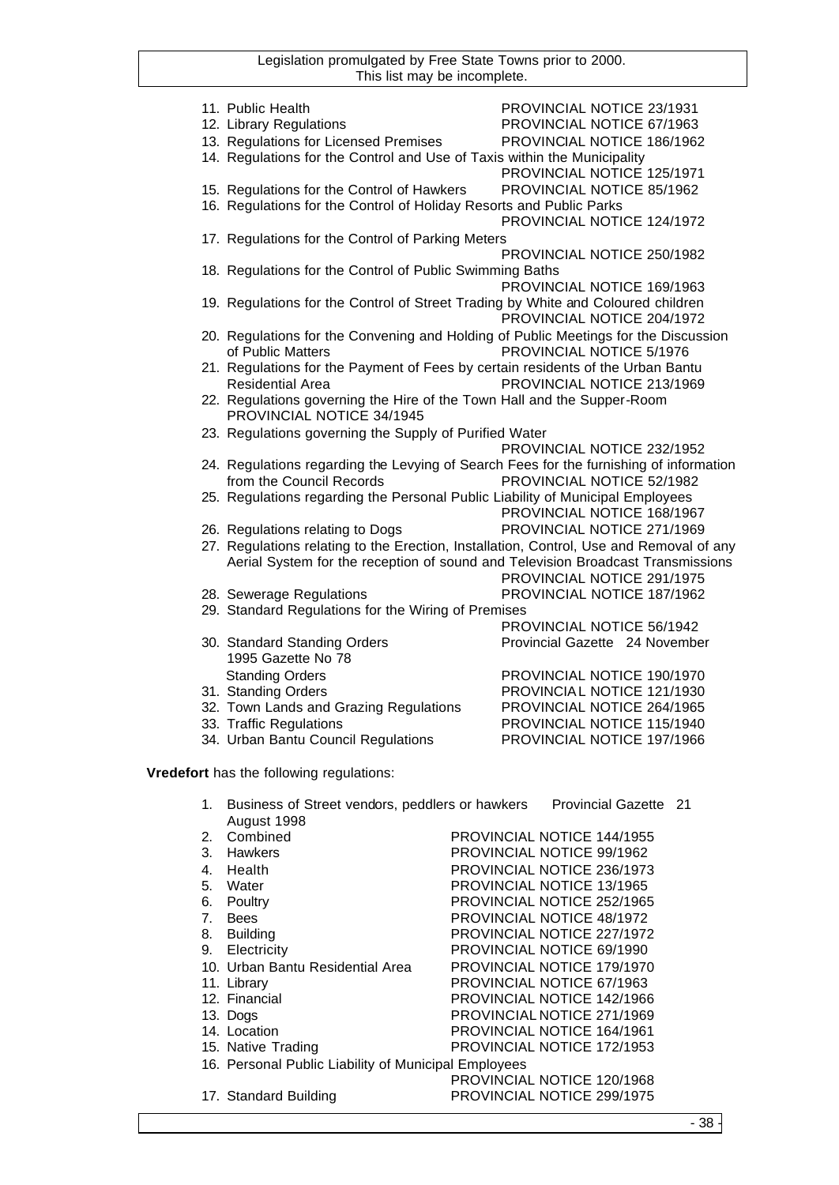|    | 11. Public Health                                                        | PROVINCIAL NOTICE 23/1931                                                               |
|----|--------------------------------------------------------------------------|-----------------------------------------------------------------------------------------|
|    | 12. Library Regulations                                                  | PROVINCIAL NOTICE 67/1963                                                               |
|    | 13. Regulations for Licensed Premises                                    | PROVINCIAL NOTICE 186/1962                                                              |
|    | 14. Regulations for the Control and Use of Taxis within the Municipality |                                                                                         |
|    |                                                                          | PROVINCIAL NOTICE 125/1971                                                              |
|    | 15. Regulations for the Control of Hawkers                               | PROVINCIAL NOTICE 85/1962                                                               |
|    | 16. Regulations for the Control of Holiday Resorts and Public Parks      |                                                                                         |
|    |                                                                          | PROVINCIAL NOTICE 124/1972                                                              |
|    |                                                                          |                                                                                         |
|    | 17. Regulations for the Control of Parking Meters                        |                                                                                         |
|    |                                                                          | PROVINCIAL NOTICE 250/1982                                                              |
|    | 18. Regulations for the Control of Public Swimming Baths                 |                                                                                         |
|    |                                                                          | PROVINCIAL NOTICE 169/1963                                                              |
|    |                                                                          | 19. Regulations for the Control of Street Trading by White and Coloured children        |
|    |                                                                          | PROVINCIAL NOTICE 204/1972                                                              |
|    |                                                                          | 20. Regulations for the Convening and Holding of Public Meetings for the Discussion     |
|    | of Public Matters                                                        | PROVINCIAL NOTICE 5/1976                                                                |
|    |                                                                          | 21. Regulations for the Payment of Fees by certain residents of the Urban Bantu         |
|    | <b>Residential Area</b>                                                  | PROVINCIAL NOTICE 213/1969                                                              |
|    | 22. Regulations governing the Hire of the Town Hall and the Supper-Room  |                                                                                         |
|    | PROVINCIAL NOTICE 34/1945                                                |                                                                                         |
|    | 23. Regulations governing the Supply of Purified Water                   |                                                                                         |
|    |                                                                          | PROVINCIAL NOTICE 232/1952                                                              |
|    |                                                                          | 24. Regulations regarding the Levying of Search Fees for the furnishing of information  |
|    | from the Council Records                                                 | PROVINCIAL NOTICE 52/1982                                                               |
|    |                                                                          | 25. Regulations regarding the Personal Public Liability of Municipal Employees          |
|    |                                                                          | PROVINCIAL NOTICE 168/1967                                                              |
|    | 26. Regulations relating to Dogs                                         | PROVINCIAL NOTICE 271/1969                                                              |
|    |                                                                          | 27. Regulations relating to the Erection, Installation, Control, Use and Removal of any |
|    |                                                                          | Aerial System for the reception of sound and Television Broadcast Transmissions         |
|    |                                                                          | PROVINCIAL NOTICE 291/1975                                                              |
|    | 28. Sewerage Regulations                                                 | PROVINCIAL NOTICE 187/1962                                                              |
|    | 29. Standard Regulations for the Wiring of Premises                      |                                                                                         |
|    |                                                                          | PROVINCIAL NOTICE 56/1942                                                               |
|    | 30. Standard Standing Orders                                             | Provincial Gazette 24 November                                                          |
|    | 1995 Gazette No 78                                                       |                                                                                         |
|    | <b>Standing Orders</b>                                                   | PROVINCIAL NOTICE 190/1970                                                              |
|    | 31. Standing Orders                                                      | PROVINCIAL NOTICE 121/1930                                                              |
|    | 32. Town Lands and Grazing Regulations                                   | PROVINCIAL NOTICE 264/1965                                                              |
|    | 33. Traffic Regulations                                                  | PROVINCIAL NOTICE 115/1940                                                              |
|    | 34. Urban Bantu Council Regulations                                      | PROVINCIAL NOTICE 197/1966                                                              |
|    |                                                                          |                                                                                         |
|    | Vredefort has the following regulations:                                 |                                                                                         |
|    |                                                                          |                                                                                         |
|    |                                                                          | 1. Business of Street vendors, peddlers or hawkers  Provincial Gazette 21               |
|    | August 1998                                                              |                                                                                         |
| 2. | Combined                                                                 | PROVINCIAL NOTICE 144/1955                                                              |
| 3. | Hawkers                                                                  | PROVINCIAL NOTICE 99/1962                                                               |
| 4. | Health                                                                   | PROVINCIAL NOTICE 236/1973                                                              |
|    | 5. Water                                                                 | PROVINCIAL NOTICE 13/1965                                                               |
|    | 6. Poultry                                                               | PROVINCIAL NOTICE 252/1965                                                              |
| 7. | <b>Bees</b>                                                              | PROVINCIAL NOTICE 48/1972                                                               |
| 8. | <b>Building</b>                                                          | PROVINCIAL NOTICE 227/1972                                                              |
|    | 9. Electricity                                                           | PROVINCIAL NOTICE 69/1990                                                               |
|    | 10. Urban Bantu Residential Area                                         | PROVINCIAL NOTICE 179/1970                                                              |
|    | 11. Library                                                              | PROVINCIAL NOTICE 67/1963                                                               |
|    | 12. Financial                                                            | PROVINCIAL NOTICE 142/1966                                                              |
|    | 13. Dogs                                                                 | PROVINCIAL NOTICE 271/1969                                                              |
|    | 14. Location                                                             | PROVINCIAL NOTICE 164/1961                                                              |
|    | 15. Native Trading                                                       | PROVINCIAL NOTICE 172/1953                                                              |
|    | 16. Personal Public Liability of Municipal Employees                     |                                                                                         |
|    |                                                                          | PROVINCIAL NOTICE 120/1968                                                              |
|    | 17. Standard Building                                                    | PROVINCIAL NOTICE 299/1975                                                              |
|    |                                                                          |                                                                                         |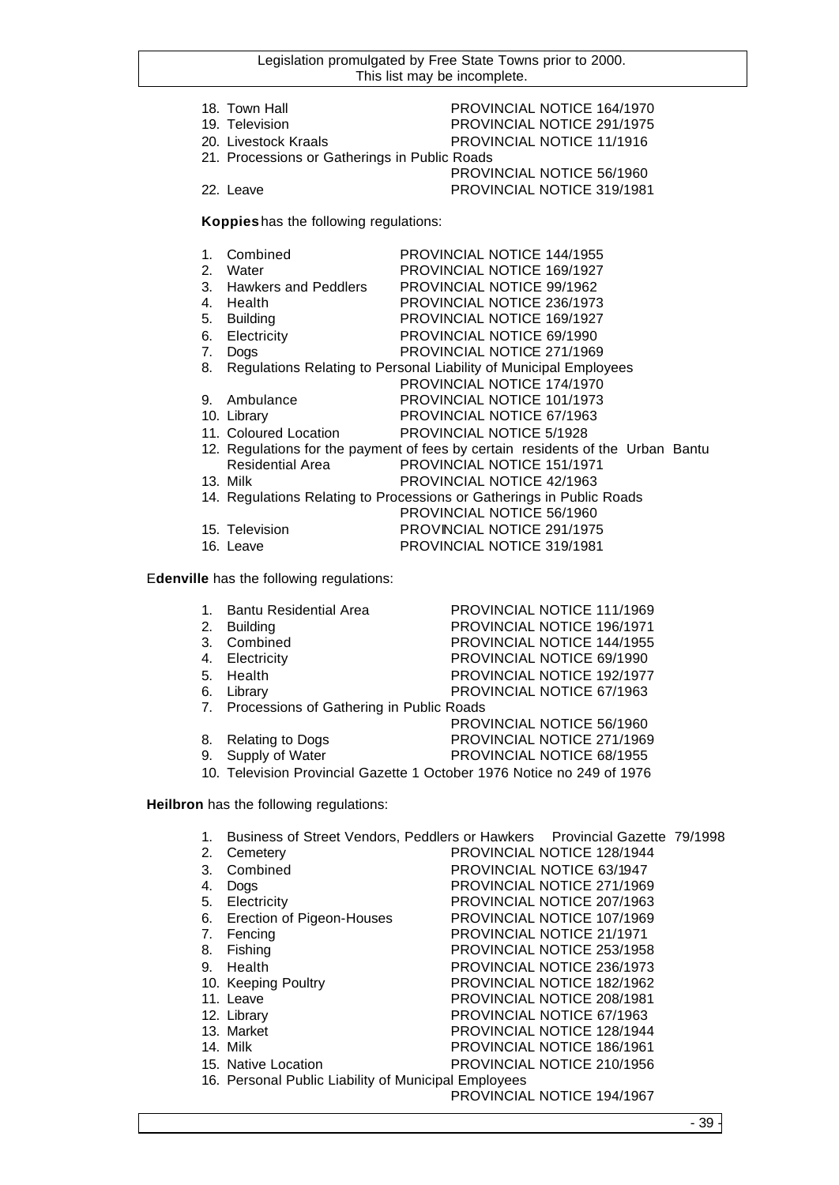| 18. Town Hall                                 | PROVINCIAL NOTICE 164/1970 |
|-----------------------------------------------|----------------------------|
| 19. Television                                | PROVINCIAL NOTICE 291/1975 |
| 20. Livestock Kraals                          | PROVINCIAL NOTICE 11/1916  |
| 21. Processions or Gatherings in Public Roads |                            |
|                                               | PROVINCIAL NOTICE 56/1960  |
| 22. Leave                                     | PROVINCIAL NOTICE 319/1981 |
|                                               |                            |

**Koppies** has the following regulations:

| 1. | Combined             | <b>PROVINCIAL NOTICE 144/1955</b>                                               |
|----|----------------------|---------------------------------------------------------------------------------|
| 2. | Water                | <b>PROVINCIAL NOTICE 169/1927</b>                                               |
| 3. | Hawkers and Peddlers | PROVINCIAL NOTICE 99/1962                                                       |
| 4. | Health               | PROVINCIAL NOTICE 236/1973                                                      |
| 5. | <b>Building</b>      | <b>PROVINCIAL NOTICE 169/1927</b>                                               |
| 6. | Electricity          | PROVINCIAL NOTICE 69/1990                                                       |
| 7. | Dogs                 | PROVINCIAL NOTICE 271/1969                                                      |
| 8. |                      | Regulations Relating to Personal Liability of Municipal Employees               |
|    |                      | PROVINCIAL NOTICE 174/1970                                                      |
| 9. | Ambulance            | PROVINCIAL NOTICE 101/1973                                                      |
|    | 10. Library          | PROVINCIAL NOTICE 67/1963                                                       |
|    |                      | 11. Coloured Location PROVINCIAL NOTICE 5/1928                                  |
|    |                      | 12. Regulations for the payment of fees by certain residents of the Urban Bantu |
|    | Residential Area     | PROVINCIAL NOTICE 151/1971                                                      |
|    | 13. Milk             | PROVINCIAL NOTICE 42/1963                                                       |
|    |                      | 14. Regulations Relating to Processions or Gatherings in Public Roads           |
|    |                      | PROVINCIAL NOTICE 56/1960                                                       |
|    | 15. Television       | PROVINCIAL NOTICE 291/1975                                                      |
|    | 16. Leave            | <b>PROVINCIAL NOTICE 319/1981</b>                                               |

E**denville** has the following regulations:

| 1. Bantu Residential Area                   | PROVINCIAL NOTICE 111/1969        |  |
|---------------------------------------------|-----------------------------------|--|
| 2. Building                                 | PROVINCIAL NOTICE 196/1971        |  |
| 3. Combined                                 | PROVINCIAL NOTICE 144/1955        |  |
| 4. Electricity                              | PROVINCIAL NOTICE 69/1990         |  |
| 5. Health                                   | <b>PROVINCIAL NOTICE 192/1977</b> |  |
| 6. Library                                  | PROVINCIAL NOTICE 67/1963         |  |
| 7. Processions of Gathering in Public Roads |                                   |  |
|                                             | PROVINCIAL NOTICE 56/1960         |  |
| 8 Poloting to Doge                          | DDOVINCIAL NOTICE 271/1060        |  |

- 8. Relating to Dogs<br>
9. Supply of Water<br>
PROVINCIAL NOTICE 68/1955 PROVINCIAL NOTICE 68/1955
- 

10. Television Provincial Gazette 1 October 1976 Notice no 249 of 1976

**Heilbron** has the following regulations:

| 1. | Business of Street Vendors, Peddlers or Hawkers Provincial Gazette 79/1998 |                                   |  |
|----|----------------------------------------------------------------------------|-----------------------------------|--|
| 2. | Cemetery                                                                   | <b>PROVINCIAL NOTICE 128/1944</b> |  |
| 3. | Combined                                                                   | PROVINCIAL NOTICE 63/1947         |  |
| 4. | <b>Dogs</b>                                                                | PROVINCIAL NOTICE 271/1969        |  |
| 5. | Electricity                                                                | PROVINCIAL NOTICE 207/1963        |  |
| 6. | Erection of Pigeon-Houses                                                  | PROVINCIAL NOTICE 107/1969        |  |
| 7. | Fencing                                                                    | <b>PROVINCIAL NOTICE 21/1971</b>  |  |
| 8. | Fishing                                                                    | PROVINCIAL NOTICE 253/1958        |  |
| 9. | Health                                                                     | PROVINCIAL NOTICE 236/1973        |  |
|    | 10. Keeping Poultry                                                        | PROVINCIAL NOTICE 182/1962        |  |
|    | 11. Leave                                                                  | PROVINCIAL NOTICE 208/1981        |  |
|    | 12. Library                                                                | PROVINCIAL NOTICE 67/1963         |  |
|    | 13. Market                                                                 | PROVINCIAL NOTICE 128/1944        |  |
|    | 14. Milk                                                                   | PROVINCIAL NOTICE 186/1961        |  |
|    | 15. Native Location                                                        | PROVINCIAL NOTICE 210/1956        |  |
|    | 16. Personal Public Liability of Municipal Employees                       |                                   |  |
|    |                                                                            | PROVINCIAL NOTICE 194/1967        |  |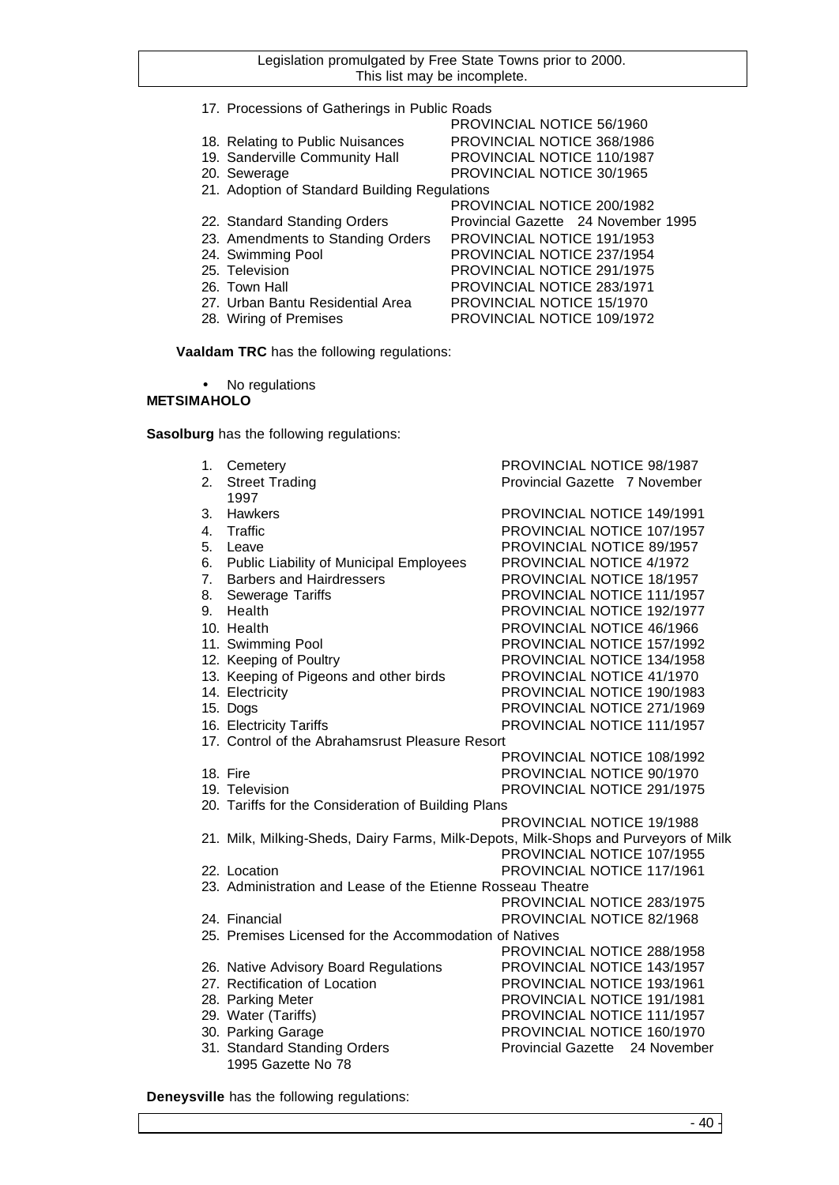- 17. Processions of Gatherings in Public Roads
- 18. Relating to Public Nuisances PROVINCIAL NOTICE 368/1986
- 19. Sanderville Community Hall PROVINCIAL NOTICE 110/1987
- 20. Sewerage **PROVINCIAL NOTICE 30/1965**
- 21. Adoption of Standard Building Regulations
- 
- 23. Amendments to Standing Orders PROVINCIAL NOTICE 191/1953
- 
- 
- 
- 
- 
- PROVINCIAL NOTICE 200/1982 22. Standard Standing Orders Provincial Gazette 24 November 1995 24. Swimming Pool PROVINCIAL NOTICE 237/1954<br>25. Television PROVINCIAL NOTICE 291/1975 PROVINCIAL NOTICE 291/1975 26. Town Hall PROVINCIAL NOTICE 283/1971 27. Urban Bantu Residential Area PROVINCIAL NOTICE 15/1970 28. Wiring of Premises PROVINCIAL NOTICE 109/1972

PROVINCIAL NOTICE 56/1960

**Vaaldam TRC** has the following regulations:

No regulations

## **METSIMAHOLO**

**Sasolburg** has the following regulations:

1. Cemetery PROVINCIAL NOTICE 98/1987 2. Street Trading **Provincial Gazette 7 November** 1997 3. Hawkers PROVINCIAL NOTICE 149/1991 4. Traffic **All PROVINCIAL NOTICE 107/1957**<br>5. Leave **PROVINCIAL NOTICE 89/1957** PROVINCIAL NOTICE 89/1957 6. Public Liability of Municipal Employees PROVINCIAL NOTICE 4/1972 7. Barbers and Hairdressers PROVINCIAL NOTICE 18/1957 8. Sewerage Tariffs **PROVINCIAL NOTICE 111/1957** 9. Health PROVINCIAL NOTICE 192/1977 10. Health PROVINCIAL NOTICE 46/1966 11. Swimming Pool PROVINCIAL NOTICE 157/1992 12. Keeping of Poultry **PROVINCIAL NOTICE 134/1958** 13. Keeping of Pigeons and other birds PROVINCIAL NOTICE 41/1970 14. Electricity PROVINCIAL NOTICE 190/1983 PROVINCIAL NOTICE 271/1969 16. Electricity Tariffs **PROVINCIAL NOTICE 111/1957** 17. Control of the Abrahamsrust Pleasure Resort PROVINCIAL NOTICE 108/1992 18. Fire **PROVINCIAL NOTICE 90/1970** 19. Television PROVINCIAL NOTICE 291/1975 20. Tariffs for the Consideration of Building Plans PROVINCIAL NOTICE 19/1988 21. Milk, Milking-Sheds, Dairy Farms, Milk-Depots, Milk-Shops and Purveyors of Milk PROVINCIAL NOTICE 107/1955 22. Location PROVINCIAL NOTICE 117/1961 23. Administration and Lease of the Etienne Rosseau Theatre PROVINCIAL NOTICE 283/1975 24. Financial PROVINCIAL NOTICE 82/1968 25. Premises Licensed for the Accommodation of Natives PROVINCIAL NOTICE 288/1958 26. Native Advisory Board Regulations PROVINCIAL NOTICE 143/1957 27. Rectification of Location **PROVINCIAL NOTICE 193/1961** 28. Parking Meter **PROVINCIAL NOTICE 191/1981** 29. Water (Tariffs) PROVINCIAL NOTICE 111/1957 30. Parking Garage **PROVINCIAL NOTICE 160/1970** 31. Standard Standing Orders **Provincial Gazette** 24 November 1995 Gazette No 78

**Deneysville** has the following regulations: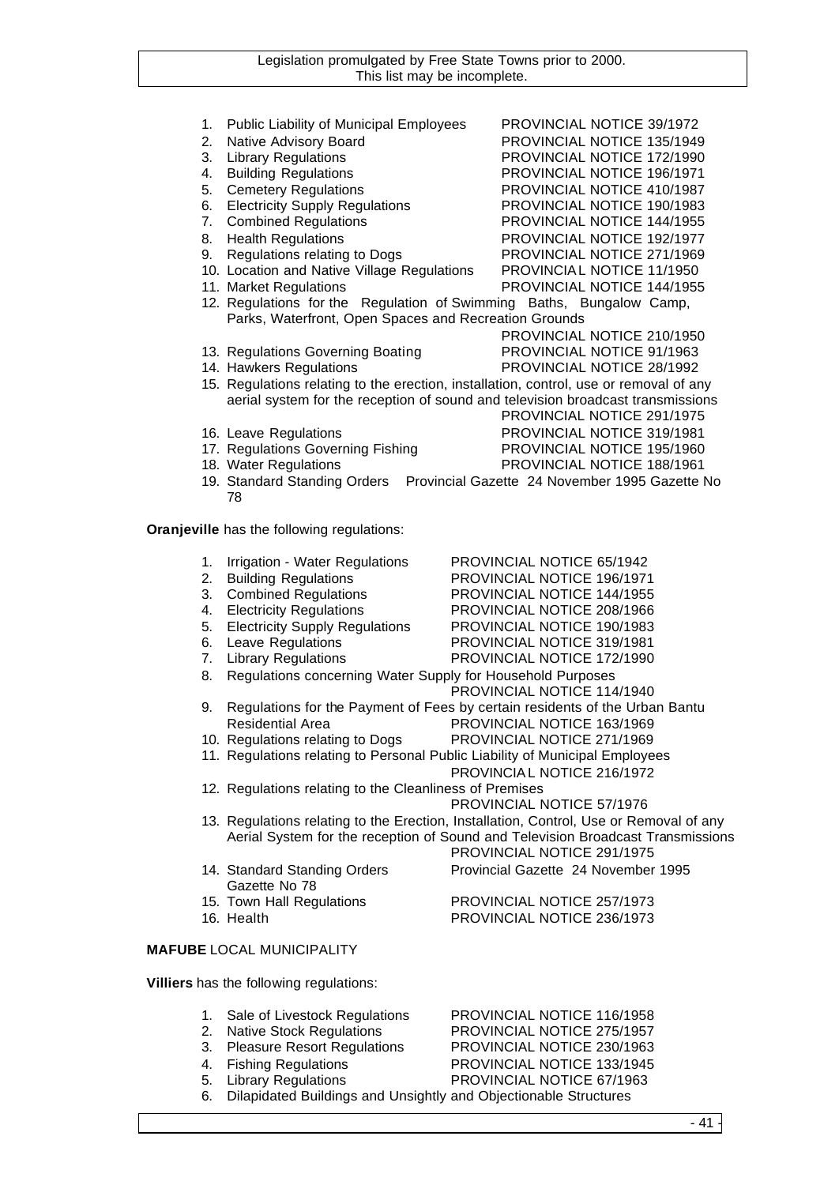| 1. | Public Liability of Municipal Employees                                      | PROVINCIAL NOTICE 39/1972                                                              |
|----|------------------------------------------------------------------------------|----------------------------------------------------------------------------------------|
| 2. | Native Advisory Board                                                        | PROVINCIAL NOTICE 135/1949                                                             |
| 3. | <b>Library Regulations</b>                                                   | PROVINCIAL NOTICE 172/1990                                                             |
| 4. | <b>Building Regulations</b>                                                  | PROVINCIAL NOTICE 196/1971                                                             |
| 5. | <b>Cemetery Regulations</b>                                                  | PROVINCIAL NOTICE 410/1987                                                             |
| 6. | <b>Electricity Supply Regulations</b>                                        | PROVINCIAL NOTICE 190/1983                                                             |
| 7. | <b>Combined Regulations</b>                                                  | PROVINCIAL NOTICE 144/1955                                                             |
| 8. | <b>Health Regulations</b>                                                    | PROVINCIAL NOTICE 192/1977                                                             |
| 9. | Regulations relating to Dogs                                                 | PROVINCIAL NOTICE 271/1969                                                             |
|    | 10. Location and Native Village Regulations                                  | PROVINCIAL NOTICE 11/1950                                                              |
|    |                                                                              |                                                                                        |
|    | 11. Market Regulations                                                       | PROVINCIAL NOTICE 144/1955                                                             |
|    | Parks, Waterfront, Open Spaces and Recreation Grounds                        | 12. Regulations for the Regulation of Swimming Baths, Bungalow Camp,                   |
|    |                                                                              | PROVINCIAL NOTICE 210/1950                                                             |
|    |                                                                              |                                                                                        |
|    | 13. Regulations Governing Boating                                            | PROVINCIAL NOTICE 91/1963                                                              |
|    | 14. Hawkers Regulations                                                      | PROVINCIAL NOTICE 28/1992                                                              |
|    |                                                                              | 15. Regulations relating to the erection, installation, control, use or removal of any |
|    |                                                                              | aerial system for the reception of sound and television broadcast transmissions        |
|    |                                                                              | PROVINCIAL NOTICE 291/1975                                                             |
|    | 16. Leave Regulations                                                        | PROVINCIAL NOTICE 319/1981                                                             |
|    | 17. Regulations Governing Fishing                                            | PROVINCIAL NOTICE 195/1960                                                             |
|    | 18. Water Regulations                                                        | PROVINCIAL NOTICE 188/1961                                                             |
|    |                                                                              | 19. Standard Standing Orders  Provincial Gazette 24 November 1995 Gazette No           |
|    | 78                                                                           |                                                                                        |
|    |                                                                              |                                                                                        |
|    | Oranjeville has the following regulations:                                   |                                                                                        |
|    |                                                                              |                                                                                        |
| 1. | Irrigation - Water Regulations                                               | PROVINCIAL NOTICE 65/1942                                                              |
| 2. | <b>Building Regulations</b>                                                  | PROVINCIAL NOTICE 196/1971                                                             |
| 3. | <b>Combined Regulations</b>                                                  | PROVINCIAL NOTICE 144/1955                                                             |
| 4. | <b>Electricity Regulations</b>                                               | PROVINCIAL NOTICE 208/1966                                                             |
| 5. | <b>Electricity Supply Regulations</b>                                        | PROVINCIAL NOTICE 190/1983                                                             |
| 6. | Leave Regulations                                                            | PROVINCIAL NOTICE 319/1981                                                             |
| 7. | <b>Library Regulations</b>                                                   | PROVINCIAL NOTICE 172/1990                                                             |
| 8. | Regulations concerning Water Supply for Household Purposes                   |                                                                                        |
|    |                                                                              | PROVINCIAL NOTICE 114/1940                                                             |
| 9. |                                                                              | Regulations for the Payment of Fees by certain residents of the Urban Bantu            |
|    | <b>Residential Area</b>                                                      | PROVINCIAL NOTICE 163/1969                                                             |
|    | 10. Regulations relating to Dogs                                             | PROVINCIAL NOTICE 271/1969                                                             |
|    | 11. Regulations relating to Personal Public Liability of Municipal Employees |                                                                                        |
|    |                                                                              | PROVINCIAL NOTICE 216/1972                                                             |
|    | 12. Regulations relating to the Cleanliness of Premises                      |                                                                                        |
|    |                                                                              | <b>PROVINCIAL NOTICE 57/1976</b>                                                       |
|    |                                                                              | 13. Regulations relating to the Erection, Installation, Control, Use or Removal of any |
|    |                                                                              | Aerial System for the reception of Sound and Television Broadcast Transmissions        |
|    |                                                                              | PROVINCIAL NOTICE 291/1975                                                             |
|    | 14. Standard Standing Orders                                                 | Provincial Gazette 24 November 1995                                                    |
|    | Gazette No 78                                                                |                                                                                        |
|    | 15. Town Hall Regulations                                                    | PROVINCIAL NOTICE 257/1973                                                             |
|    | 16. Health                                                                   | PROVINCIAL NOTICE 236/1973                                                             |
|    |                                                                              |                                                                                        |
|    | <b>MAFUBE LOCAL MUNICIPALITY</b>                                             |                                                                                        |
|    |                                                                              |                                                                                        |
|    | Villiers has the following regulations:                                      |                                                                                        |
|    |                                                                              |                                                                                        |
| 1. | Sale of Livestock Regulations                                                | PROVINCIAL NOTICE 116/1958                                                             |
| 2. | <b>Native Stock Regulations</b>                                              | PROVINCIAL NOTICE 275/1957                                                             |
| 3. | <b>Pleasure Resort Regulations</b>                                           | PROVINCIAL NOTICE 230/1963                                                             |
| 4. | <b>Fishing Regulations</b>                                                   | PROVINCIAL NOTICE 133/1945                                                             |

5. Library Regulations PROVINCIAL NOTICE 67/1963 6. Dilapidated Buildings and Unsightly and Objectionable Structures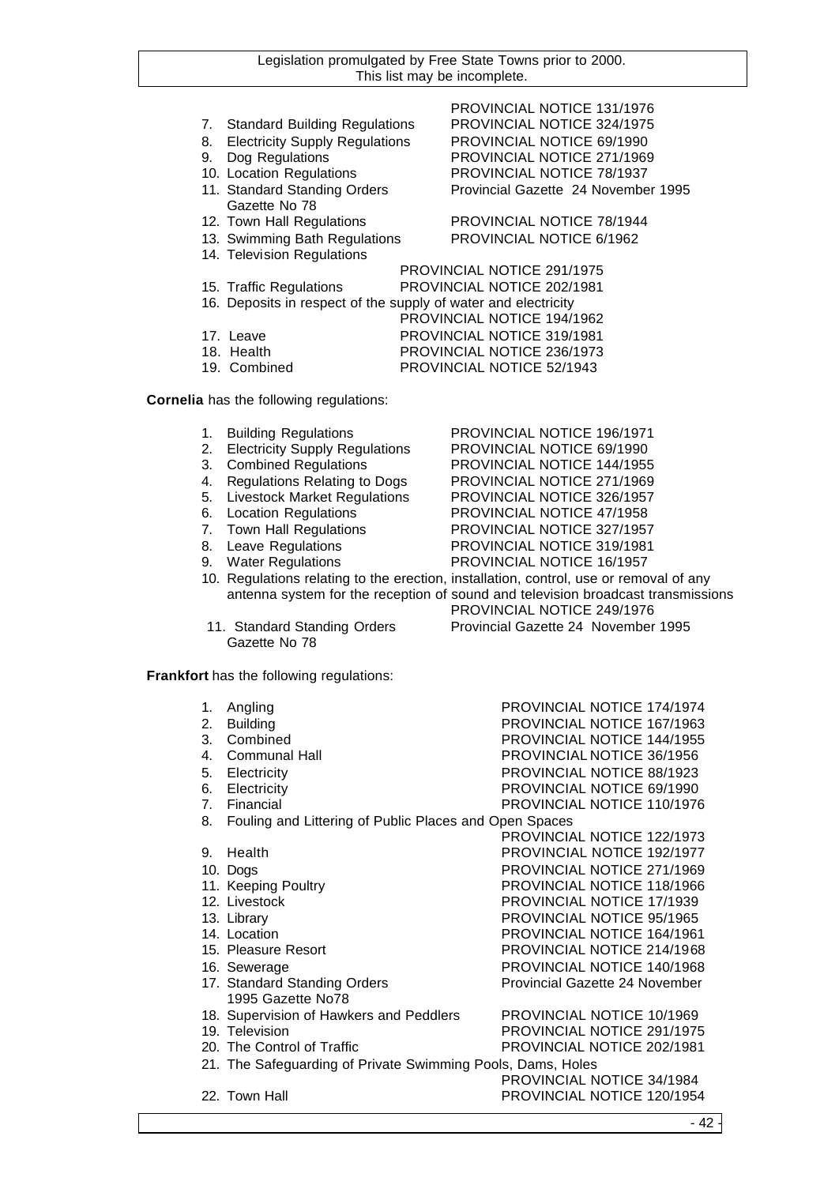- 7. Standard Building Regulations PROVINCIAL NOTICE 324/1975
- 8. Electricity Supply Regulations PROVINCIAL NOTICE 69/1990
- 
- 
- Gazette No 78
- 
- 
- 14. Television Regulations

# PROVINCIAL NOTICE 131/1976 9. Dog Regulations PROVINCIAL NOTICE 271/1969 10. Location Regulations PROVINCIAL NOTICE 78/1937 11. Standard Standing Orders Provincial Gazette 24 November 1995

12. Town Hall Regulations PROVINCIAL NOTICE 78/1944 13. Swimming Bath Regulations PROVINCIAL NOTICE 6/1962

PROVINCIAL NOTICE 291/1975 15. Traffic Regulations PROVINCIAL NOTICE 202/1981 16. Deposits in respect of the supply of water and electricity PROVINCIAL NOTICE 194/1962 17. Leave PROVINCIAL NOTICE 319/1981 18. Health PROVINCIAL NOTICE 236/1973 19. Combined PROVINCIAL NOTICE 52/1943

**Cornelia** has the following regulations:

1. Building Regulations PROVINCIAL NOTICE 196/1971 2. Electricity Supply Regulations PROVINCIAL NOTICE 69/1990<br>3. Combined Regulations PROVINCIAL NOTICE 144/1955 3. Combined Regulations PROVINCIAL NOTICE 144/1955 4. Regulations Relating to Dogs PROVINCIAL NOTICE 271/1969 5. Livestock Market Regulations PROVINCIAL NOTICE 326/1957 6. Location Regulations PROVINCIAL NOTICE 47/1958 7. Town Hall Regulations **PROVINCIAL NOTICE 327/1957**<br>8. Leave Regulations **PROVINCIAL NOTICE 319/1981** 8. Leave Regulations **PROVINCIAL NOTICE 319/1981** 9. Water Regulations PROVINCIAL NOTICE 16/1957 10. Regulations relating to the erection, installation, control, use or removal of any antenna system for the reception of sound and television broadcast transmissions PROVINCIAL NOTICE 249/1976 11. Standard Standing Orders Provincial Gazette 24 November 1995 Gazette No 78

**Frankfort** has the following regulations:

| 1. | Angling                                                     | <b>PROVINCIAL NOTICE 174/1974</b> |
|----|-------------------------------------------------------------|-----------------------------------|
| 2. | <b>Building</b>                                             | PROVINCIAL NOTICE 167/1963        |
| 3. | Combined                                                    | PROVINCIAL NOTICE 144/1955        |
| 4. | <b>Communal Hall</b>                                        | PROVINCIAL NOTICE 36/1956         |
| 5. | Electricity                                                 | PROVINCIAL NOTICE 88/1923         |
| 6. | Electricity                                                 | PROVINCIAL NOTICE 69/1990         |
| 7. | Financial                                                   | PROVINCIAL NOTICE 110/1976        |
| 8. | Fouling and Littering of Public Places and Open Spaces      |                                   |
|    |                                                             | PROVINCIAL NOTICE 122/1973        |
| 9. | Health                                                      | PROVINCIAL NOTICE 192/1977        |
|    | 10. Dogs                                                    | PROVINCIAL NOTICE 271/1969        |
|    | 11. Keeping Poultry                                         | PROVINCIAL NOTICE 118/1966        |
|    | 12. Livestock                                               | PROVINCIAL NOTICE 17/1939         |
|    | 13. Library                                                 | PROVINCIAL NOTICE 95/1965         |
|    | 14. Location                                                | PROVINCIAL NOTICE 164/1961        |
|    | 15. Pleasure Resort                                         | PROVINCIAL NOTICE 214/1968        |
|    | 16. Sewerage                                                | PROVINCIAL NOTICE 140/1968        |
|    | 17. Standard Standing Orders                                | Provincial Gazette 24 November    |
|    | 1995 Gazette No78                                           |                                   |
|    | 18. Supervision of Hawkers and Peddlers                     | PROVINCIAL NOTICE 10/1969         |
|    | 19. Television                                              | PROVINCIAL NOTICE 291/1975        |
|    | 20. The Control of Traffic                                  | PROVINCIAL NOTICE 202/1981        |
|    | 21. The Safeguarding of Private Swimming Pools, Dams, Holes |                                   |
|    |                                                             | PROVINCIAL NOTICE 34/1984         |
|    | 22. Town Hall                                               | PROVINCIAL NOTICE 120/1954        |
|    |                                                             |                                   |